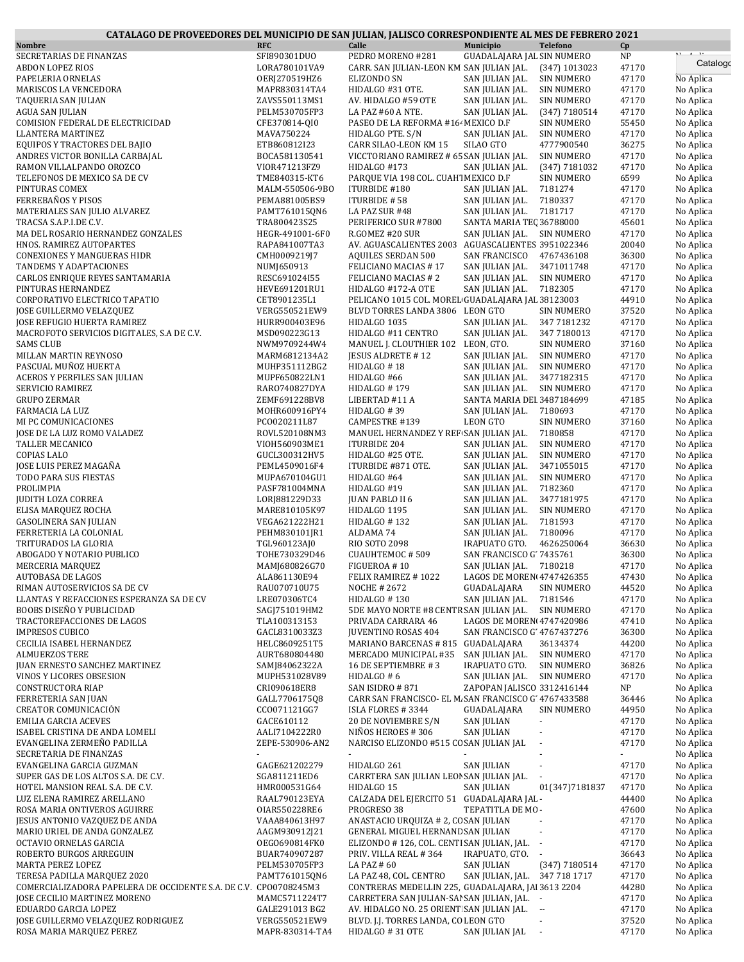| CATALAGO DE PROVEEDORES DEL MUNICIPIO DE SAN JULIAN, JALISCO CORRESPONDIENTE AL MES DE FEBRERO 2021 |                                |                                                                                      |                                                                       |                                            |                        |
|-----------------------------------------------------------------------------------------------------|--------------------------------|--------------------------------------------------------------------------------------|-----------------------------------------------------------------------|--------------------------------------------|------------------------|
| <b>Nombre</b>                                                                                       | <b>RFC</b>                     | Calle                                                                                | <b>Municipio</b><br><b>Telefono</b>                                   | Cp                                         |                        |
| SECRETARIAS DE FINANZAS<br><b>ABDON LOPEZ RIOS</b>                                                  | SFI890301DUO<br>LORA780101VA9  | PEDRO MORENO #281<br>CARR. SAN JULIAN-LEON KM SAN JULIAN JAL.                        | GUADALAJARA JAL SIN NUMERO<br>(347) 1013023                           | $\ensuremath{\mathsf{NP}}\xspace$<br>47170 | Catalogo               |
| PAPELERIA ORNELAS                                                                                   | OERJ270519HZ6                  | ELIZONDO SN                                                                          | SAN JULIAN JAL.<br><b>SIN NUMERO</b>                                  | 47170                                      | No Aplica              |
| MARISCOS LA VENCEDORA                                                                               | MAPR830314TA4                  | HIDALGO #31 OTE.                                                                     | SAN JULIAN JAL.<br><b>SIN NUMERO</b>                                  | 47170                                      | No Aplica              |
| TAQUERIA SAN JULIAN                                                                                 | ZAVS550113MS1                  | AV. HIDALGO #59 OTE                                                                  | SAN JULIAN JAL.<br><b>SIN NUMERO</b>                                  | 47170                                      | No Aplica              |
| AGUA SAN JULIAN                                                                                     | PELM530705FP3                  | LA PAZ #60 A NTE.                                                                    | SAN JULIAN JAL.<br>$(347)$ 7180514                                    | 47170                                      | No Aplica              |
| COMISION FEDERAL DE ELECTRICIDAD                                                                    | CFE370814-QI0                  | PASEO DE LA REFORMA #164 MEXICO D.F                                                  | SIN NUMERO                                                            | 55450                                      | No Aplica              |
| LLANTERA MARTINEZ                                                                                   | MAVA750224                     | HIDALGO PTE. S/N                                                                     | SAN JULIAN JAL.<br><b>SIN NUMERO</b>                                  | 47170                                      | No Aplica              |
| EQUIPOS Y TRACTORES DEL BAJIO                                                                       | ETB860812I23                   | CARR SILAO-LEON KM 15                                                                | SILAO GTO<br>4777900540                                               | 36275                                      | No Aplica              |
| ANDRES VICTOR BONILLA CARBAJAL<br>RAMON VILLALPANDO OROZCO                                          | BOCA581130541<br>VIOR471213FZ9 | VICCTORIANO RAMIREZ # 65 SAN JULIAN JAL.<br>HIDALGO #173                             | <b>SIN NUMERO</b><br>SAN JULIAN JAL.<br>(347) 7181032                 | 47170<br>47170                             | No Aplica<br>No Aplica |
| TELEFONOS DE MEXICO SA DE CV                                                                        | TME840315-KT6                  | PARQUE VIA 198 COL. CUAH MEXICO D.F                                                  | <b>SIN NUMERO</b>                                                     | 6599                                       | No Aplica              |
| PINTURAS COMEX                                                                                      | MALM-550506-9BO                | ITURBIDE #180                                                                        | SAN JULIAN JAL.<br>7181274                                            | 47170                                      | No Aplica              |
| FERREBAÑOS Y PISOS                                                                                  | PEMA881005BS9                  | ITURBIDE #58                                                                         | 7180337<br>SAN JULIAN JAL.                                            | 47170                                      | No Aplica              |
| MATERIALES SAN JULIO ALVAREZ                                                                        | PAMT761015QN6                  | LA PAZ SUR #48                                                                       | SAN JULIAN JAL.<br>7181717                                            | 47170                                      | No Aplica              |
| TRACSA S.A.P.I.DE C.V.                                                                              | TRA800423S25                   | PERIFERICO SUR #7800                                                                 | SANTA MARIA TEC 36788000                                              | 45601                                      | No Aplica              |
| MA DEL ROSARIO HERNANDEZ GONZALES                                                                   | HEGR-491001-6F0                | R.GOMEZ #20 SUR                                                                      | SAN JULIAN JAL. SIN NUMERO                                            | 47170                                      | No Aplica              |
| HNOS. RAMIREZ AUTOPARTES                                                                            | RAPA841007TA3                  |                                                                                      | AV. AGUASCALIENTES 2003 AGUASCALIENTES 3951022346                     | 20040                                      | No Aplica              |
| <b>CONEXIONES Y MANGUERAS HIDR</b>                                                                  | CMH0009219J7                   | <b>AQUILES SERDAN 500</b>                                                            | SAN FRANCISCO<br>4767436108                                           | 36300                                      | No Aplica              |
| TANDEMS Y ADAPTACIONES                                                                              | NUMJ650913                     | FELICIANO MACIAS #17                                                                 | SAN JULIAN JAL.<br>3471011748                                         | 47170                                      | No Aplica              |
| CARLOS ENRIQUE REYES SANTAMARIA                                                                     | RESC691024I55                  | FELICIANO MACIAS # 2                                                                 | SAN JULIAN JAL.<br><b>SIN NUMERO</b>                                  | 47170                                      | No Aplica              |
| PINTURAS HERNANDEZ                                                                                  | HEVE691201RU1                  | HIDALGO #172-A OTE                                                                   | SAN JULIAN JAL.<br>7182305                                            | 47170                                      | No Aplica              |
| CORPORATIVO ELECTRICO TAPATIO<br><b>JOSE GUILLERMO VELAZQUEZ</b>                                    | CET8901235L1<br>VERG550521EW9  | PELICANO 1015 COL. MOREL GUADALAJARA JAL 38123003<br>BLVD TORRES LANDA 3806 LEON GTO | <b>SIN NUMERO</b>                                                     | 44910<br>37520                             | No Aplica<br>No Aplica |
| JOSE REFUGIO HUERTA RAMIREZ                                                                         | HURR900403E96                  | HIDALGO 1035                                                                         | SAN JULIAN JAL.<br>347 7181232                                        | 47170                                      | No Aplica              |
| MACROFOTO SERVICIOS DIGITALES, S.A DE C.V.                                                          | MSD090223G13                   | HIDALGO #11 CENTRO                                                                   | SAN JULIAN JAL.<br>347 7180013                                        | 47170                                      | No Aplica              |
| SAMS CLUB                                                                                           | NWM9709244W4                   | MANUEL J. CLOUTHIER 102 LEON, GTO.                                                   | <b>SIN NUMERO</b>                                                     | 37160                                      | No Aplica              |
| MILLAN MARTIN REYNOSO                                                                               | MARM6812134A2                  | <b>IESUS ALDRETE #12</b>                                                             | SAN JULIAN JAL.<br>SIN NUMERO                                         | 47170                                      | No Aplica              |
| PASCUAL MUÑOZ HUERTA                                                                                | MUHP351112BG2                  | HIDALGO #18                                                                          | SAN JULIAN JAL.<br><b>SIN NUMERO</b>                                  | 47170                                      | No Aplica              |
| ACEROS Y PERFILES SAN JULIAN                                                                        | MUPF650822LN1                  | HIDALGO #66                                                                          | SAN JULIAN JAL.<br>3477182315                                         | 47170                                      | No Aplica              |
| SERVICIO RAMIREZ                                                                                    | RAR0740827DYA                  | HIDALGO #179                                                                         | SAN JULIAN JAL.<br><b>SIN NUMERO</b>                                  | 47170                                      | No Aplica              |
| GRUPO ZERMAR                                                                                        | ZEMF691228BV8                  | LIBERTAD #11 A                                                                       | SANTA MARIA DEI 3487184699                                            | 47185                                      | No Aplica              |
| FARMACIA LA LUZ                                                                                     | MOHR600916PY4                  | HIDALGO #39                                                                          | 7180693<br>SAN JULIAN JAL.                                            | 47170                                      | No Aplica              |
| MI PC COMUNICACIONES                                                                                | PC0020211L87                   | CAMPESTRE #139                                                                       | <b>LEON GTO</b><br><b>SIN NUMERO</b>                                  | 37160                                      | No Aplica              |
| JOSE DE LA LUZ ROMO VALADEZ                                                                         | ROVL520108NM3                  | MANUEL HERNANDEZ Y REF SAN JULIAN JAL.                                               | 7180858                                                               | 47170                                      | No Aplica              |
| TALLER MECANICO<br><b>COPIAS LALO</b>                                                               | VIOH560903ME1<br>GUCL300312HV5 | <b>ITURBIDE 204</b><br>HIDALGO #25 OTE.                                              | SAN JULIAN JAL.<br><b>SIN NUMERO</b><br>SAN JULIAN JAL.<br>SIN NUMERO | 47170<br>47170                             | No Aplica<br>No Aplica |
| JOSE LUIS PEREZ MAGAÑA                                                                              | PEML4509016F4                  | ITURBIDE #871 OTE.                                                                   | SAN JULIAN JAL.<br>3471055015                                         | 47170                                      | No Aplica              |
| TODO PARA SUS FIESTAS                                                                               | MUPA670104GU1                  | HIDALGO #64                                                                          | SAN JULIAN JAL.<br><b>SIN NUMERO</b>                                  | 47170                                      | No Aplica              |
| PROLIMPIA                                                                                           | PASF781004MNA                  | HIDALGO #19                                                                          | SAN JULIAN JAL.<br>7182360                                            | 47170                                      | No Aplica              |
| <b>JUDITH LOZA CORREA</b>                                                                           | LORJ881229D33                  | <b>JUAN PABLO II 6</b>                                                               | SAN JULIAN JAL.<br>3477181975                                         | 47170                                      | No Aplica              |
| ELISA MARQUEZ ROCHA                                                                                 | MARE810105K97                  | HIDALGO 1195                                                                         | SAN JULIAN JAL.<br>SIN NUMERO                                         | 47170                                      | No Aplica              |
| GASOLINERA SAN JULIAN                                                                               | VEGA621222H21                  | HIDALGO #132                                                                         | SAN JULIAN JAL.<br>7181593                                            | 47170                                      | No Aplica              |
| FERRETERIA LA COLONIAL                                                                              | PEHM830101JR1                  | ALDAMA 74                                                                            | SAN JULIAN JAL.<br>7180096                                            | 47170                                      | No Aplica              |
| TRITURADOS LA GLORIA                                                                                | TGL960123AJ0                   | RIO SOTO 2098                                                                        | IRAPUATO GTO.<br>4626250064                                           | 36630                                      | No Aplica              |
| ABOGADO Y NOTARIO PUBLICO                                                                           | TOHE730329D46                  | CUAUHTEMOC #509                                                                      | SAN FRANCISCO G' 7435761                                              | 36300                                      | No Aplica              |
| MERCERIA MARQUEZ                                                                                    | MAMJ680826G70                  | FIGUEROA #10                                                                         | SAN JULIAN JAL. 7180218                                               | 47170                                      | No Aplica              |
| AUTOBASA DE LAGOS<br>RIMAN AUTOSERVICIOS SA DE CV                                                   | ALA861130E94                   | FELIX RAMIREZ #1022                                                                  | LAGOS DE MOREN 4747426355<br>GUADALAJARA                              | 47430                                      | No Aplica<br>No Aplica |
| LLANTAS Y REFACCIONES ESPERANZA SA DE CV                                                            | RAU070710U75<br>LRE070306TC4   | NOCHE # 2672<br>HIDALGO #130                                                         | <b>SIN NUMERO</b><br>SAN JULIAN JAL.<br>7181546                       | 44520<br>47170                             | No Aplica              |
| BOOBS DISEÑO Y PUBLICIDAD                                                                           | SAGJ751019HM2                  | 5DE MAYO NORTE #8 CENTR SAN JULIAN JAL.                                              | <b>SIN NUMERO</b>                                                     | 47170                                      | No Aplica              |
| TRACTOREFACCIONES DE LAGOS                                                                          | TLA100313153                   | PRIVADA CARRARA 46                                                                   | LAGOS DE MOREN 4747420986                                             | 47410                                      | No Aplica              |
| <b>IMPRESOS CUBICO</b>                                                                              | GACL8310033Z3                  | <b>JUVENTINO ROSAS 404</b>                                                           | SAN FRANCISCO G' 4767437276                                           | 36300                                      | No Aplica              |
| CECILIA ISABEL HERNANDEZ                                                                            | HELC8609251T5                  | MARIANO BARCENAS # 815 GUADALAJARA                                                   | 36134374                                                              | 44200                                      | No Aplica              |
| <b>ALMUERZOS TERE</b>                                                                               | AURT680804480                  | MERCADO MUNICIPAL #35                                                                | SAN JULIAN JAL.<br><b>SIN NUMERO</b>                                  | 47170                                      | No Aplica              |
| <b>JUAN ERNESTO SANCHEZ MARTINEZ</b>                                                                | SAMJ84062322A                  | 16 DE SEPTIEMBRE #3                                                                  | IRAPUATO GTO.<br><b>SIN NUMERO</b>                                    | 36826                                      | No Aplica              |
| VINOS Y LICORES OBSESION                                                                            | MUPH531028V89                  | HIDALGO #6                                                                           | SAN JULIAN JAL.<br>SIN NUMERO                                         | 47170                                      | No Aplica              |
| CONSTRUCTORA RIAP                                                                                   | CRI090618ER8                   | SAN ISIDRO #871                                                                      | ZAPOPAN JALISCO 3312416144                                            | NP                                         | No Aplica              |
| FERRETERIA SAN JUAN                                                                                 | GALL770617508                  |                                                                                      | CARR SAN FRANCISCO- EL M. SAN FRANCISCO G' 4767433588                 | 36446                                      | No Aplica              |
| CREATOR COMUNICACIÓN<br>EMILIA GARCIA ACEVES                                                        | CC0071121GG7<br>GACE610112     | ISLA FLORES #3344<br>20 DE NOVIEMBRE S/N                                             | GUADALAJARA<br><b>SIN NUMERO</b><br><b>SAN JULIAN</b><br>$\sim$       | 44950<br>47170                             | No Aplica<br>No Aplica |
| ISABEL CRISTINA DE ANDA LOMELI                                                                      | AALI7104222R0                  | NIÑOS HEROES #306                                                                    | <b>SAN JULIAN</b><br>$\overline{\phantom{a}}$                         | 47170                                      | No Aplica              |
| EVANGELINA ZERMEÑO PADILLA                                                                          | ZEPE-530906-AN2                | NARCISO ELIZONDO #515 CO SAN JULIAN JAL                                              | ÷,                                                                    | 47170                                      | No Aplica              |
| SECRETARIA DE FINANZAS                                                                              |                                |                                                                                      |                                                                       |                                            | No Aplica              |
| EVANGELINA GARCIA GUZMAN                                                                            | GAGE621202279                  | HIDALGO 261                                                                          | <b>SAN JULIAN</b><br>$\sim$                                           | 47170                                      | No Aplica              |
| SUPER GAS DE LOS ALTOS S.A. DE C.V.                                                                 | SGA811211ED6                   | CARRTERA SAN JULIAN LEOP SAN JULIAN JAL.                                             |                                                                       | 47170                                      | No Aplica              |
| HOTEL MANSION REAL S.A. DE C.V.                                                                     | HMR000531G64                   | HIDALGO 15                                                                           | <b>SAN JULIAN</b><br>01(347)7181837                                   | 47170                                      | No Aplica              |
| LUZ ELENA RAMIREZ ARELLANO                                                                          | RAAL790123EYA                  | CALZADA DEL EJERCITO 51 GUADALAJARA JAL -                                            |                                                                       | 44400                                      | No Aplica              |
| ROSA MARIA ONTIVEROS AGUIRRE                                                                        | 0IAR550228RE6                  | PROGRESO 38                                                                          | TEPATITLA DE MO-                                                      | 47600                                      | No Aplica              |
| JESUS ANTONIO VAZQUEZ DE ANDA                                                                       | VAAA840613H97                  | ANASTACIO URQUIZA # 2, CC SAN JULIAN                                                 |                                                                       | 47170                                      | No Aplica              |
| MARIO URIEL DE ANDA GONZALEZ                                                                        | AAGM930912J21                  | GENERAL MIGUEL HERNAND SAN JULIAN                                                    | $\mathcal{L}_{\mathcal{A}}$                                           | 47170                                      | No Aplica              |
| OCTAVIO ORNELAS GARCIA<br>ROBERTO BURGOS ARREGUIN                                                   | OEG0690814FK0<br>BUAR740907287 | ELIZONDO # 126, COL. CENTI SAN JULIAN, JAL. -<br>PRIV. VILLA REAL #364               | IRAPUATO, GTO. -                                                      | 47170<br>36643                             | No Aplica<br>No Aplica |
| MARTA PEREZ LOPEZ                                                                                   | PELM530705FP3                  | LA PAZ $#60$                                                                         | <b>SAN JULIAN</b><br>$(347)$ 7180514                                  | 47170                                      | No Aplica              |
| TERESA PADILLA MARQUEZ 2020                                                                         | PAMT761015QN6                  | LA PAZ 48, COL. CENTRO                                                               | SAN JULIAN, JAL. 347 718 1717                                         | 47170                                      | No Aplica              |
| COMERCIALIZADORA PAPELERA DE OCCIDENTE S.A. DE C.V. CPO0708245M3                                    |                                |                                                                                      | CONTRERAS MEDELLIN 225, GUADALAJARA, JAI 3613 2204                    | 44280                                      | No Aplica              |
| JOSE CECILIO MARTINEZ MORENO                                                                        | MAMC5711224T7                  | CARRETERA SAN JULIAN-SAI SAN JULIAN, JAL. -                                          |                                                                       | 47170                                      | No Aplica              |
| EDUARDO GARCIA LOPEZ                                                                                | GALE291013 BG2                 | AV. HIDALGO NO. 25 ORIENT SAN JULIAN JAL. --                                         |                                                                       | 47170                                      | No Aplica              |
| JOSE GUILLERMO VELAZQUEZ RODRIGUEZ                                                                  | VERG550521EW9                  | BLVD. J.J. TORRES LANDA, CO LEON GTO                                                 |                                                                       | 37520                                      | No Aplica              |
| ROSA MARIA MARQUEZ PEREZ                                                                            | MAPR-830314-TA4                | HIDALGO #31 OTE                                                                      | SAN JULIAN JAL                                                        | 47170                                      | No Aplica              |

×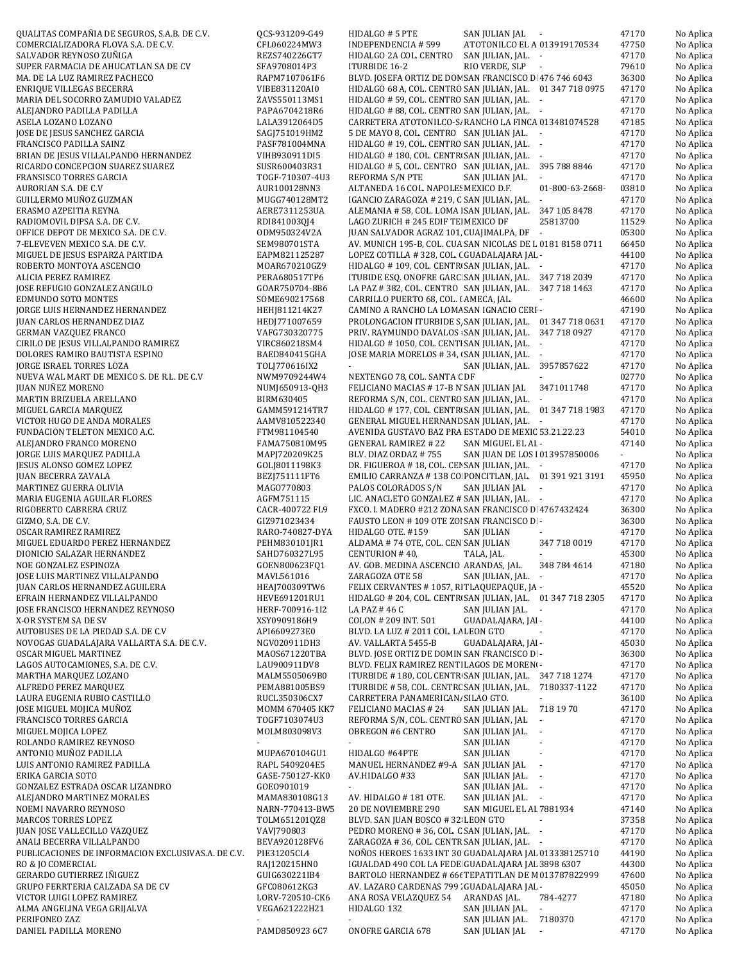QUALITAS COMPAÑIA DE SEGUROS, S.A.B. DE C.V. QCS-931209-G49 HIDALGO # 5 PTE SAN JULIAN JAL - 47170 No Aplica COMERCIALIZADORA FLOVA S.A. DE C.V. CFL060224MW3 INDEPENDENCIA # 599 ATOTONILCO EL ALTO 013919170534 47750 No Aplica SALVADOR REYNOSO ZUÑIGA **REZSTADO REZSTADO E REZSTADO E A COL. CENTRO** SAN JULIAN, JAL. - 47170 No Aplica SUPER FARMACIA DE AHUCATLAN SA DE CV SFA9708014P3 ITURBIDE 16-2 RIO VERDE, SLP - 79610 No Aplica MA. DE LA LUZ RAMIREZ PACHECO RAPM7107061F6 BLVD. JOSEFA ORTIZ DE DON SAN FRANCISCO DE 476 746 6043 36300 No Aplica ENRIQUE VILLEGAS BECERRA VIBE831120AI0 HIDALGO 68 A, COL. CENTRO SAN JULIAN, JAL. 01 347 718 0975 47170 No Aplica MARIA DEL SOCORRO ZAMUDIO VALADEZ ZAVS550113MS1 HIDALGO # 59, COL. CENTRO SAN JULIAN, JAL. - 47170 No Aplica ALEJANDRO PADILLA PADILLA PAPA6704218R6 HIDALGO # 88, COL. CENTRO SAN JULIAN, JAL. - 47170 No Aplica ASELA LOZANO LOZANO LALA3912064D5 CARRETERA ATOTONILCO-S/ RANCHO LA FINCA 013481074528 47185 No Aplica JOSE DE JESUS SANCHEZ GARCIA SAGJ751019HM2 5 DE MAYO 8, COL. CENTRO SAN JULIAN JAL. - 47170 No Aplica FRANCISCO PADILLA SAINZ **PASF781004MNA HIDALGO # 19, COL. CENTRO SAN JULIAN, JAL. -** 47170 No Aplica BRIAN DE JESUS VILLALPANDO HERNANDEZ VIHB930911DI5 HIDALGO # 180, COL. CENTR\ SAN JULIAN, JAL. - 47170 No Aplica RICARDO CONCEPCION SUAREZ SUAREZ SUSR600403R31 HIDALGO # 5, COL. CENTRO SAN JULIAN, JAL. 395 788 8846 47170 No Aplica FRANSISCO TORRES GARCIA TOGF-710307-4U3 REFORMA S/N PTE SAN JULIAN JAL. - 47170 No Aplica AURORIAN S.A. DE C.V **AURIOO128NN3** ALTANEDA 16 COL. NAPOLES MEXICO D.F. 01-800-63-2668-03810 No Aplica GUILLERMO MUÑOZ GUZMAN NA MUGG740128MT2 IGANCIO ZARAGOZA # 219, C SAN JULIAN, JAL. - 47170 No Aplica ERASMO AZPEITIA REYNA **ALEMANIA ALEMANIA # 58, COL. LOMA ISAN JULIAN**, JAL. 347 105 8478 47170 No Aplica RADIOMOVIL DIPSA S.A. DE C.V. CONTRADING A ROBALDO RELAGO ZURICH # 245 EDIF TEL MEXICO DF 25813700 11529 No Aplica OFFICE DEPOT DE MEXICO S.A. DE C.V. CODM950324V2A JUAN SALVADOR AGRAZ 101, CUAJIMALPA, DF - 05300 No Aplica 7-ELEVEVEN MEXICO S.A. DE C.V. SEM980701STA AV. MUNICH 195-B, COL. CUAUTEMOC SAN NICOLAS DE LAS G 0181 8158 0711 66450 No Aplica MIGUEL DE JESUS ESPARZA PARTIDA FARTIO EL ENTRO EL ENTROLO EL ENTROLOGO EL EL ENTRO GUADALAJARA JALENTZA EL EN ROBERTO MONTOYA ASCENCIO **MOAR670210GZ9** HIDALGO # 109, COL. CENTR\ SAN JULIAN, JAL. - 47170 No Aplica ALICIA PEREZ RAMIREZ **PERAGEOS PERAG80517TP6** ITUBIDE ESQ. ONOFRE GARC SAN JULIAN, JAL. 347 718 2039 47170 No Aplica JOSE REFUGIO GONZALEZ ANGULO GOAR750704-8B6 LA PAZ # 382, COL. CENTRO SAN JULIAN, JAL. 347 718 1463 47170 No Aplica EDMUNDO SOTO MONTES SOME690217568 CARRILLO PUERTO 68, COL. CENTRO AMECA, JAL. - 46600 No Aplica JORGE LUIS HERNANDEZ HERNANDEZ HEHJ811214K27 CAMINO A RANCHO LA LOMA # 14 B SAN IGNACIO CERRO- 47190 No Aplica JUAN CARLOS HERNANDEZ DIAZ **HEDJ771007659** PROLONGACION ITURBIDE S, SAN JULIAN, JAL. 01 347 718 0631 47170 No Aplica GERMAN VAZQUEZ FRANCO VAFG730320775 PRIV. RAYMUNDO DAVALOS : SAN JULIAN, JAL. 347 718 0927 47170 No Aplica CIRILO DE JESUS VILLALPANDO RAMIREZ VIRC860218SM4 HIDALGO # 1050, COL. CENTI SAN JULIAN, JAL. - 47170 No Aplica DOLORES RAMIRO BAUTISTA ESPINO BAED840415GHA JOSE MARIA MORELOS # 34, COL. CENTRO SAN JULIAN, JAL. - 47170 No Aplica JORGE ISRAEL TORRES LOZA TOLJ770616IX2 - SAN JULIAN, JAL. 3957857622 47170 No Aplica NUEVA WAL MART DE MEXICO S. DE R.L. DE C.V NWM9709244W4 NEXTENGO 78, COL. SANTA CDF - 02770 No Aplica JUAN NUÑEZ MORENO NUM SANTA NUMJ650913-QH3 FELICIANO MACIAS # 17-B N SAN JULIAN JAL 3471011748 47170 No Aplica MARTIN BRIZUELA ARELLANO **BIRM630405** REFORMA S/N, COL. CENTRO SAN JULIAN, JAL. - 47170 No Aplica MIGUEL GARCIA MARQUEZ **GAMM591214TR7** HIDALGO # 177, COL. CENTR<sup>,</sup> SAN JULIAN, JAL. 01 347 718 1983 47170 No Aplica VICTOR HUGO DE ANDA MORALES **ARMY810522340** GENERAL MIGUEL HERNAND SAN JULIAN, JAL. - 47170 No Aplica FUNDACION TELETON MEXICO A.C. **FTM981104540** AVENIDA GUSTAVO BAZ PRA ESTADO DE MEXIC 53.21.22.23 54010 No Aplica ALEJANDRO FRANCO MORENO FAMATEO FAMA750810M95 GENERAL RAMIREZ #22 SAN MIGUEL EL AI - 47140 No Aplica JORGE LUIS MARQUEZ PADILLA MAPJ720209K25 BLV. DIAZ ORDAZ # 755 SAN JUAN DE LOS LAGO 013957850006 - No Aplica JESUS ALONSO GOMEZ LOPEZ GOLJ8011198K3 DR. FIGUEROA # 18, COL. CENTRO SAN JULIAN, JAL. - 47170 No Aplica JUAN BECERRA ZAVALA BEZJ751111FT6 EMILIO CARRANZA # 138 COL. CENTRO PONCITLAN, JAL. 01 391 921 3191 45950 No Aplica MARTINEZ GUERRA OLIVIA MAGO770803 PALOS COLORADOS S/N SAN JULIAN JAL - 47170 No Aplica MARIA EUGENIA AGUILAR FLORES **AGFM751115** LIC. ANACLETO GONZALEZ # SAN JULIAN, JAL. - 47170 No Aplica RIGOBERTO CABRERA CRUZ CACR-400722 FL9 FXCO. I. MADERO #212 ZONA SAN FRANCISCO D. 4767432424 36300 No Aplica GIZMO, S.A. DE C.V. San De C.V. GIZ971023434 FAUSTO LEON # 109 OTE ZOI SAN FRANCISCO DEL SOCIONALE RI - 36300 No Aplica OSCAR RAMIREZ RAMIREZ CONSULSE AND RARO-740827-DYA HIDALGO OTE. #159 SAN JULIAN - 47170 No Aplica MIGUEL EDUARDO PEREZ HERNANDEZ PEHM830101JR1 ALDAMA # 74 OTE, COL. CEN SAN JULIAN 347 718 0019 47170 No Aplica DIONICIO SALAZAR HERNANDEZ SAHD760327L95 CENTURION # 40, TALA, JAL. - 45300 No Aplica NOE GONZALEZ ESPINOZA **Subject COENE** GOEN800623FQ1 AV. GOB. MEDINA ASCENCIO ARANDAS, JAL. 348 784 4614 47180 No Aplica JOSE LUIS MARTINEZ VILLALPANDO MAVL561016 ZARAGOZA OTE 58 SAN JULIAN, JAL. - 47170 No Aplica JUAN CARLOS HERNANDEZ AGUILERA HEAJ700309TW6 FELIX CERVANTES # 1057, RI TLAQUEPAQUE, JA - 45520 No Aplica EFRAIN HERNANDEZ VILLALPANDO **HEVE691201RU1** HIDALGO # 204, COL. CENTR\ SAN JULIAN, JAL. 01 347 718 2305 47170 No Aplica JOSE FRANCISCO HERNANDEZ REYNOSO HERF-700916-1I2 LA PAZ # 46 C SAN JULIAN JAL. - 47170 No Aplica X-OR SYSTEM SA DE SV NORTHCA AND THE SAME COLON # 209 INT. 501 GUADALAJARA, JAI- 44100 No Aplica AUTOBUSES DE LA PIEDAD S.A. DE C.V API6609273E0 BLVD. LA LUZ # 2011 COL. LA LEON GTO - 47170 No Aplica NOVOGAS GUADALAJARA VALLARTA S.A. DE C.V. NGV020911DH3 AV. VALLARTA 5455-B GUADALAJARA, JAL.- 45030 No Aplica OSCAR MIGUEL MARTINEZ **MAOSE ALLE ACCESS AND SELVET A SECUL DE SECULIE E DOMIN** SAN FRANCISCO DE RI - 36300 No Aplica LAGOS AUTOCAMIONES, S.A. DE C.V. 
<br>
LAU900911DV8
BLVD. FELIX RAMIREZ RENTI LAGOS DE MORENO, 2006 1770 No Aplica MARTHA MARQUEZ LOZANO **MALM5505069B0** ITURBIDE # 180, COL CENTR SAN JULIAN, JAL. 347 718 1274 47170 No Aplica ALFREDO PEREZ MARQUEZ **PEMAS81005BS9 ITURBIDE # 58, COL. CENTR**C SAN JULIAN, JAL. 7180337-1122 47170 No Aplica LAURA EUGENIA RUBIO CASTILLO RUCL350306CX7 CARRETERA PANAMERICANA KM3+990 COL S/C SILAO GTO. - 36100 No Aplica JOSE MIGUEL MOJICA MUÑOZ MOMM 670405 KK7 FELICIANO MACIAS # 24 SAN JULIAN JAL. 718 19 70 47170 No Aplica FRANCISCO TORRES GARCIA TOGF7103074U3 REFORMA S/N, COL. CENTRO SAN JULIAN, JAL - 47170 No Aplica MIGUEL MOJICA LOPEZ MOLM803098V3 OBREGON #6 CENTRO SAN JULIAN JAL. - 47170 No Aplica ROLANDO RAMIREZ REYNOSO - - SAN JULIAN - 47170 No Aplica ANTONIO MUÑOZ PADILLA MUPA670104GU1 HIDALGO #64PTE SAN JULIAN - 47170 No Aplica LUIS ANTONIO RAMIREZ PADILLA RAPL 5409204E5 MANUEL HERNANDEZ #9-A SAN JULIAN JAL - 47170 No Aplica ERIKA GARCIA SOTO GASE-750127-KK0 AV.HIDALGO #33 SAN JULIAN JAL. - 47170 No Aplica GONZALEZ ESTRADA OSCAR LIZANDRO GOEO901019 - SAN JULIAN JAL. - 47170 No Aplica ALEJANDRO MARTINEZ MORALES MAMA830108G13 AV. HIDALGO # 181 OTE. SAN JULIAN JAL. - 47170 No Aplica NOEMI NAVARRO REYNOSO NARN-770413-BW5 20 DE NOVIEMBRE 290 SAN MIGUEL EL ALTO81934 47140 No Aplica MARCOS TORRES LOPEZ **TOLM651201QZ8** BLVD. SAN JUAN BOSCO # 32 LEON GTO - 37358 No Aplica JUAN JOSE VALLECILLO VAZQUEZ VAVJ790803 PEDRO MORENO # 36, COL. CENTRO SAN JULIAN, JAL. - 47170 No Aplica ANALI BECERRA VILLALPANDO BEVA920128FV6 ZARAGOZA # 36, COL. CENTR SAN JULIAN, JAL. - 47170 No Aplica PUBLICACIONES DE INFORMACION EXCLUSIVAS.A. DE C.V. PIE31205CL4 NOÑOS HEROES 1633 INT 30 GUADALAJARA JAL 013338125710 44190 No Aplica RO & JO COMERCIAL RAJ120215HN0 IGUALDAD 490 COL LA FEDERACION GUADALAJARA JAL3898 6307 44300 No Aplica GUIG630221IB4 BARTOLO HERNANDEZ # 66t TEPATITLAN DE M 013787822999 47600 No Aplica GRUPO FERRTERIA CALZADA SA DE CV GFC080612KG3 AV. LAZARO CARDENAS 799 . GUADALAJARA JAL - 45050 No Aplica VICTOR LUIGI LOPEZ RAMIREZ LORV-720510-CK6 ANA ROSA VELAZQUEZ 54 ARANDAS JAL. 784-4277 47180 No Aplica ALMA ANGELINA VEGA GRIJALVA VEGA621222H21 HIDALGO 132 SAN JULIAN JAL. - 47170 No Aplica PERIFONEO ZAZ - - SAN JULIAN JAL. 7180370 47170 No Aplica DANIEL PADILLA MORENO PAMD850923 6C7 ONOFRE GARCIA 678 SAN JULIAN JAL - 47170 No Aplica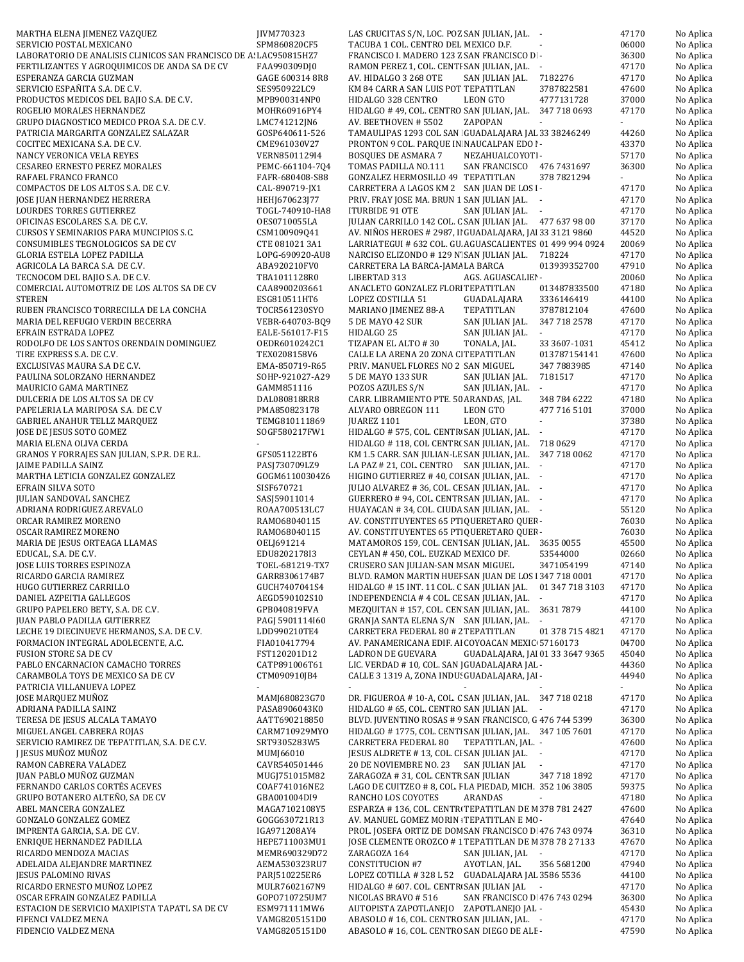| MARTHA ELENA JIMENEZ VAZQUEZ                                      | JIVM770323      | LAS CRUCITAS S/N, LOC. POZ SAN JULIAN, JAL. -                                                      | 47170 | No Aplica |
|-------------------------------------------------------------------|-----------------|----------------------------------------------------------------------------------------------------|-------|-----------|
| SERVICIO POSTAL MEXICANO                                          | SPM860820CF5    | TACUBA 1 COL. CENTRO DEL MEXICO D.F.                                                               | 06000 | No Aplica |
| LABORATORIO DE ANALISIS CLINICOS SAN FRANCISCO DE A: LAC950815HZ7 |                 | FRANCISCO I. MADERO 123 Z SAN FRANCISCO D -                                                        | 36300 | No Aplica |
| FERTILIZANTES Y AGROQUIMICOS DE ANDA SA DE CV                     | FAA990309DJ0    | RAMON PEREZ 1, COL. CENTI SAN JULIAN, JAL. -                                                       | 47170 | No Aplica |
| ESPERANZA GARCIA GUZMAN                                           | GAGE 600314 8R8 | AV. HIDALGO 3 268 OTE<br>7182276<br>SAN JULIAN JAL.                                                | 47170 | No Aplica |
| SERVICIO ESPAÑITA S.A. DE C.V.                                    | SES950922LC9    | KM 84 CARR A SAN LUIS POT TEPATITLAN<br>3787822581                                                 | 47600 | No Aplica |
| PRODUCTOS MEDICOS DEL BAJIO S.A. DE C.V.                          | MPB900314NP0    | LEON GTO<br>4777131728<br>HIDALGO 328 CENTRO                                                       | 37000 | No Aplica |
| ROGELIO MORALES HERNANDEZ                                         | MOHR60916PY4    | HIDALGO #49, COL. CENTRO SAN JULIAN, JAL. 347 718 0693                                             | 47170 | No Aplica |
| GRUPO DIAGNOSTICO MEDICO PROA S.A. DE C.V.                        | LMC741212JN6    | ZAPOPAN<br>AV. BEETHOVEN # 5502                                                                    |       | No Aplica |
| PATRICIA MARGARITA GONZALEZ SALAZAR                               | GOSP640611-526  | TAMAULIPAS 1293 COL SAN GUADALAJARA JAL 33 38246249                                                | 44260 | No Aplica |
| COCITEC MEXICANA S.A. DE C.V.                                     | CME961030V27    | PRONTON 9 COL. PARQUE IN NAUCALPAN EDO I-                                                          | 43370 | No Aplica |
| NANCY VERONICA VELA REYES                                         | VERN8501129I4   | <b>BOSQUES DE ASMARA 7</b><br>NEZAHUALCOYOTI-                                                      | 57170 | No Aplica |
| <b>CESAREO ERNESTO PEREZ MORALES</b>                              | PEMC-661104-7Q4 | TOMAS PADILLA NO.111<br>SAN FRANCISCO 476 7431697                                                  | 36300 | No Aplica |
| RAFAEL FRANCO FRANCO                                              |                 | GONZALEZ HERMOSILLO 49 TEPATITLAN<br>378 7821294                                                   | ÷.    |           |
|                                                                   | FAFR-680408-S88 |                                                                                                    |       | No Aplica |
| COMPACTOS DE LOS ALTOS S.A. DE C.V.                               | CAL-890719-JX1  | CARRETERA A LAGOS KM 2 SAN JUAN DE LOS I-                                                          | 47170 | No Aplica |
| JOSE JUAN HERNANDEZ HERRERA                                       | HEHJ670623J77   | PRIV. FRAY JOSE MA. BRUN 1 SAN JULIAN JAL. -                                                       | 47170 | No Aplica |
| LOURDES TORRES GUTIERREZ                                          | TOGL-740910-HA8 | ITURBIDE 91 OTE<br>SAN JULIAN JAL. -                                                               | 47170 | No Aplica |
| OFICINAS ESCOLARES S.A. DE C.V.                                   | 0ES0710055LA    | JULIAN CARRILLO 142 COL. C SAN JULIAN JAL. 477 637 98 00                                           | 37170 | No Aplica |
| CURSOS Y SEMINARIOS PARA MUNCIPIOS S.C.                           | CSM100909Q41    | AV. NIÑOS HEROES # 2987, II GUADALAJARA, JAI 33 3121 9860                                          | 44520 | No Aplica |
| CONSUMIBLES TEGNOLOGICOS SA DE CV                                 | CTE 081021 3A1  | LARRIATEGUI # 632 COL. GU. AGUASCALIENTES 01 499 994 0924                                          | 20069 | No Aplica |
| GLORIA ESTELA LOPEZ PADILLA                                       | LOPG-690920-AU8 | NARCISO ELIZONDO #129 N'SAN JULIAN JAL. 718224                                                     | 47170 | No Aplica |
| AGRICOLA LA BARCA S.A. DE C.V.                                    | ABA920210FV0    | CARRETERA LA BARCA-JAMA LA BARCA<br>013939352700                                                   | 47910 | No Aplica |
| TECNOCOM DEL BAJIO S.A. DE C.V.                                   | TBA1011128R0    | LIBERTAD 313<br>AGS. AGUASCALIEI -                                                                 | 20060 | No Aplica |
| COMERCIAL AUTOMOTRIZ DE LOS ALTOS SA DE CV                        | CAA8900203661   | ANACLETO GONZALEZ FLORI TEPATITLAN<br>013487833500                                                 | 47180 | No Aplica |
| <b>STEREN</b>                                                     | ESG810511HT6    | LOPEZ COSTILLA 51<br>GUADALAJARA<br>3336146419                                                     | 44100 | No Aplica |
| RUBEN FRANCISCO TORRECILLA DE LA CONCHA                           | TOCR561230SYO   | MARIANO JIMENEZ 88-A<br>TEPATITLAN<br>3787812104                                                   | 47600 | No Aplica |
| MARIA DEL REFUGIO VERDIN BECERRA                                  | VEBR-640703-BQ9 | 5 DE MAYO 42 SUR<br>SAN JULIAN JAL.<br>347 718 2578                                                | 47170 | No Aplica |
| EFRAIN ESTRADA LOPEZ                                              | EALE-561017-F15 | HIDALGO 25<br>SAN JULIAN JAL.                                                                      | 47170 | No Aplica |
| RODOLFO DE LOS SANTOS ORENDAIN DOMINGUEZ                          | 0EDR6010242C1   | TIZAPAN EL ALTO #30<br>TONALA, JAL.<br>33 3607-1031                                                | 45412 | No Aplica |
| TIRE EXPRESS S.A. DE C.V.                                         | TEX0208158V6    | CALLE LA ARENA 20 ZONA CI TEPATITLAN<br>013787154141                                               | 47600 | No Aplica |
| EXCLUSIVAS MAURA S.A DE C.V.                                      | EMA-850719-R65  | PRIV. MANUEL FLORES NO 2 SAN MIGUEL<br>347 7883985                                                 | 47140 | No Aplica |
| PAULINA SOLORZANO HERNANDEZ                                       | SOHP-921027-A29 | 5 DE MAYO 133 SUR<br>SAN JULIAN JAL.<br>7181517                                                    | 47170 | No Aplica |
| MAURICIO GAMA MARTINEZ                                            | GAMM851116      | POZOS AZULES S/N<br>SAN JULIAN, JAL.<br>$\mathcal{L}_{\mathcal{A}}$                                | 47170 | No Aplica |
|                                                                   |                 |                                                                                                    |       |           |
| DULCERIA DE LOS ALTOS SA DE CV                                    | DAL080818RR8    | CARR. LIBRAMIENTO PTE. 50 ARANDAS, JAL.<br>348 784 6222                                            | 47180 | No Aplica |
| PAPELERIA LA MARIPOSA S.A. DE C.V                                 | PMA850823178    | LEON GTO<br>477 716 5101<br>ALVARO OBREGON 111                                                     | 37000 | No Aplica |
| <b>GABRIEL ANAHUR TELLZ MARQUEZ</b>                               | TEMG810111869   | LEON, GTO<br>JUAREZ 1101<br>$\blacksquare$                                                         | 37380 | No Aplica |
| JOSE DE JESUS SOTO GOMEZ                                          | SOGF580217FW1   | HIDALGO # 575, COL. CENTR SAN JULIAN, JAL. -                                                       | 47170 | No Aplica |
| MARIA ELENA OLIVA CERDA                                           |                 | HIDALGO #118, COL CENTR(SAN JULIAN, JAL. 718 0629                                                  | 47170 | No Aplica |
| GRANOS Y FORRAJES SAN JULIAN, S.P.R. DE R.L.                      | GFS051122BT6    | KM 1.5 CARR. SAN JULIAN-LE SAN JULIAN, JAL. 347 718 0062                                           | 47170 | No Aplica |
| JAIME PADILLA SAINZ                                               | PASJ730709LZ9   | LA PAZ # 21, COL. CENTRO SAN JULIAN, JAL. -                                                        | 47170 | No Aplica |
| MARTHA LETICIA GONZALEZ GONZALEZ                                  | GOGM61100304Z6  | HIGINO GUTIERREZ #40, COI SAN JULIAN, JAL. -                                                       | 47170 | No Aplica |
| EFRAIN SILVA SOTO                                                 | SISF670721      | JULIO ALVAREZ # 36, COL. CE SAN JULIAN, JAL. -                                                     | 47170 | No Aplica |
| JULIAN SANDOVAL SANCHEZ                                           | SASJ59011014    | GUERRERO # 94, COL. CENTR SAN JULIAN, JAL. -                                                       | 47170 | No Aplica |
| ADRIANA RODRIGUEZ AREVALO                                         | ROAA700513LC7   | HUAYACAN #34, COL. CIUDA SAN JULIAN, JAL. -                                                        | 55120 | No Aplica |
| ORCAR RAMIREZ MORENO                                              | RAM068040115    | AV. CONSTITUYENTES 65 PT QUERETARO QUEF-                                                           | 76030 | No Aplica |
| OSCAR RAMIREZ MORENO                                              | RAM068040115    | AV. CONSTITUYENTES 65 PT QUERETARO QUEF -                                                          | 76030 | No Aplica |
| MARIA DE JESUS ORTEAGA LLAMAS                                     | OELJ691214      | MATAMOROS 159, COL. CENT SAN JULIAN, JAL. 3635 0055                                                | 45500 | No Aplica |
| EDUCAL, S.A. DE C.V.                                              | EDU8202178I3    | CEYLAN #450, COL. EUZKAD MEXICO DF.<br>53544000                                                    | 02660 | No Aplica |
| JOSE LUIS TORRES ESPINOZA                                         | TOEL-681219-TX7 | CRUSERO SAN JULIAN-SAN M SAN MIGUEL<br>3471054199                                                  | 47140 | No Aplica |
| RICARDO GARCIA RAMIREZ                                            | GARR8306174B7   | BLVD. RAMON MARTIN HUEF SAN JUAN DE LOS 1347 718 0001                                              | 47170 | No Aplica |
| HUGO GUTIERREZ CARRILLO                                           | GUCH7407041S4   | HIDALGO #15 INT. 11 COL. C SAN JULIAN JAL. 01 347 718 3103                                         | 47170 | No Aplica |
| DANIEL AZPEITIA GALLEGOS                                          |                 |                                                                                                    | 47170 |           |
|                                                                   | AEGD590102S10   | INDEPENDENCIA #4 COL. CE SAN JULIAN, JAL. -<br>MEZQUITAN #157, COL. CEN SAN JULIAN, JAL. 3631 7879 |       | No Aplica |
| GRUPO PAPELERO BETY, S.A. DE C.V.                                 | GPB040819FVA    |                                                                                                    | 44100 | No Aplica |
| JUAN PABLO PADILLA GUTIERREZ                                      | PAGJ 5901114160 | GRANJA SANTA ELENA S/N SAN JULIAN, JAL. -                                                          | 47170 | No Aplica |
| LECHE 19 DIECINUEVE HERMANOS, S.A. DE C.V.                        | LDD990210TE4    | CARRETERA FEDERAL 80 # 2 TEPATITLAN<br>01 378 715 4821                                             | 47170 | No Aplica |
| FORMACION INTEGRAL ADOLECENTE, A.C.                               | FIA010417794    | AV. PANAMERICANA EDIF. AI COYOACAN MEXIC 57160173                                                  | 04700 | No Aplica |
| <b>FUSION STORE SA DE CV</b>                                      | FST120201D12    | LADRON DE GUEVARA<br>GUADALAJARA, JAI 01 33 3647 9365                                              | 45040 | No Aplica |
| PABLO ENCARNACION CAMACHO TORRES                                  | CATP891006T61   | LIC. VERDAD # 10, COL. SAN   GUADALAJARA JAL -                                                     | 44360 | No Aplica |
| CARAMBOLA TOYS DE MEXICO SA DE CV                                 | CTM090910JB4    | CALLE 3 1319 A, ZONA INDU: GUADALAJARA, JAI -                                                      | 44940 | No Aplica |
| PATRICIA VILLANUEVA LOPEZ                                         |                 |                                                                                                    | ÷.    | No Aplica |
| JOSE MARQUEZ MUÑOZ                                                | MAMJ680823G70   | DR. FIGUEROA #10-A, COL. C SAN JULIAN, JAL. 347 718 0218                                           | 47170 | No Aplica |
| ADRIANA PADILLA SAINZ                                             | PASA8906043K0   | HIDALGO # 65, COL. CENTRO SAN JULIAN JAL. -                                                        | 47170 | No Aplica |
| TERESA DE JESUS ALCALA TAMAYO                                     | AATT690218850   | BLVD. JUVENTINO ROSAS # 9 SAN FRANCISCO, G 476 744 5399                                            | 36300 | No Aplica |
| MIGUEL ANGEL CABRERA ROJAS                                        | CARM710929MYO   | HIDALGO #1775, COL. CENTI SAN JULIAN, JAL. 347 105 7601                                            | 47170 | No Aplica |
| SERVICIO RAMIREZ DE TEPATITLAN, S.A. DE C.V.                      | SRT9305283W5    | CARRETERA FEDERAL 80<br>TEPATITLAN, JAL. -                                                         | 47600 | No Aplica |
| I JESUS MUÑOZ MUÑOZ                                               | MUMJ66010       | JESUS ALDRETE #13, COL. CI SAN JULIAN JAL. -                                                       | 47170 | No Aplica |
| RAMON CABRERA VALADEZ                                             | CAVR540501446   | 20 DE NOVIEMBRE NO. 23<br>SAN JULIAN JAL                                                           | 47170 | No Aplica |
| JUAN PABLO MUÑOZ GUZMAN                                           | MUGJ751015M82   | ZARAGOZA #31, COL. CENTR SAN JULIAN<br>347 718 1892                                                | 47170 | No Aplica |
| FERNANDO CARLOS CORTÉS ACEVES                                     | COAF741016NE2   | LAGO DE CUITZEO # 8, COL. I LA PIEDAD, MICH. 352 106 3805                                          | 59375 | No Aplica |
| GRUPO BOTANERO ALTEÑO, SA DE CV                                   | GBA001004DI9    | RANCHO LOS COYOTES<br>ARANDAS                                                                      | 47180 | No Aplica |
| ABEL MANCERA GONZALEZ                                             | MAGA7102108Y5   | ESPARZA #136, COL. CENTRI TEPATITLAN DE M378 781 2427                                              | 47600 | No Aplica |
| GONZALO GONZALEZ GOMEZ                                            | GOGG630721R13   | AV. MANUEL GOMEZ MORIN TEPATITLAN E MC -                                                           | 47640 | No Aplica |
| IMPRENTA GARCIA, S.A. DE C.V.                                     | IGA971208AY4    | PROL. JOSEFA ORTIZ DE DOM SAN FRANCISCO D 476 743 0974                                             | 36310 | No Aplica |
|                                                                   |                 |                                                                                                    |       |           |
| ENRIQUE HERNANDEZ PADILLA                                         | HEPE711003MU1   | JOSE CLEMENTE OROZCO #1 TEPATITLAN DE M378 78 2 7133                                               | 47670 | No Aplica |
| RICARDO MENDOZA MACIAS                                            | MEMR690329D72   | ZARAGOZA 164<br>SAN JULIAN, JAL -                                                                  | 47170 | No Aplica |
| ADELAIDA ALEJANDRE MARTINEZ                                       | AEMA530323RU7   | AYOTLAN, JAL.<br>CONSTITUCION #7<br>356 5681200                                                    | 47940 | No Aplica |
| JESUS PALOMINO RIVAS                                              | PARJ510225ER6   | LOPEZ COTILLA #328 L 52 GUADALAJARA JAL 3586 5536                                                  | 44100 | No Aplica |
| RICARDO ERNESTO MUÑOZ LOPEZ                                       | MULR7602167N9   | HIDALGO # 607. COL. CENTR SAN JULIAN JAL                                                           | 47170 | No Aplica |
| OSCAR EFRAIN GONZALEZ PADILLA                                     | GOP0710725UM7   | SAN FRANCISCO D 476 743 0294<br>NICOLAS BRAVO #516                                                 | 36300 | No Aplica |
| ESTACION DE SERVICIO MAXIPISTA TAPATL SA DE CV                    | ESM971111MW6    | AUTOPISTA ZAPOTLANEJO ZAPOTLANEJO JAL -                                                            | 45430 | No Aplica |
| FIFENCI VALDEZ MENA                                               | VAMG8205151D0   | ABASOLO #16, COL. CENTRO SAN JULIAN, JAL. -                                                        | 47170 | No Aplica |
| FIDENCIO VALDEZ MENA                                              | VAMG8205151D0   | ABASOLO # 16, COL. CENTRO SAN DIEGO DE ALE -                                                       | 47590 | No Aplica |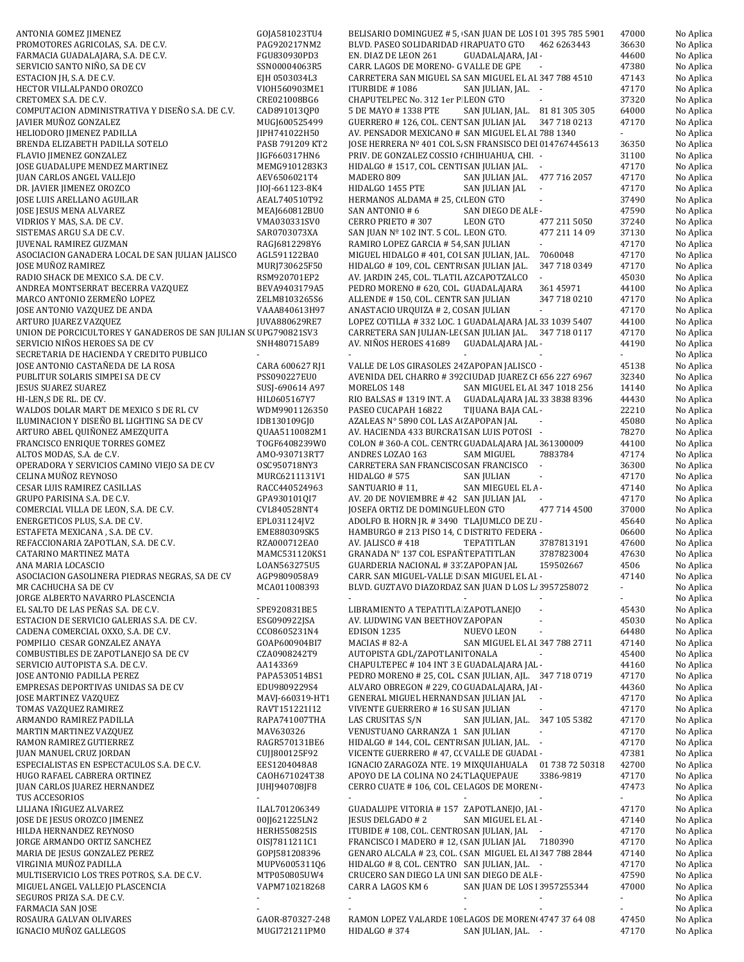| ANTONIA GOMEZ JIMENEZ                                           | GOJA581023TU4            | BELISARIO DOMINGUEZ # 5, SAN JUAN DE LOS 101 395 785 5901         | 47000                       | No Aplica |
|-----------------------------------------------------------------|--------------------------|-------------------------------------------------------------------|-----------------------------|-----------|
| PROMOTORES AGRICOLAS, S.A. DE C.V.                              | PAG920217NM2             | BLVD. PASEO SOLIDARIDAD : IRAPUATO GTO 462 6263443                | 36630                       | No Aplica |
| FARMACIA GUADALAJARA, S.A. DE C.V.                              | FGU830930PD3             | EN. DIAZ DE LEON 261<br>GUADALAJARA, JAI -                        | 44600                       | No Aplica |
| SERVICIO SANTO NIÑO, SA DE CV                                   | SSN00004063R5            | CARR. LAGOS DE MORENO- G VALLE DE GPE                             | 47380                       | No Aplica |
| ESTACION JH, S.A. DE C.V.                                       | EJH 0503034L3            | CARRETERA SAN MIGUEL SA SAN MIGUEL EL AI 347 788 4510             | 47143                       | No Aplica |
| HECTOR VILLALPANDO OROZCO                                       | VIOH560903ME1            | ITURBIDE #1086<br>SAN JULIAN, JAL. -                              | 47170                       | No Aplica |
| CRETOMEX S.A. DE C.V.                                           | CRE021008BG6             | CHAPUTELPEC No. 312 1er P LEON GTO                                | 37320                       | No Aplica |
| COMPUTACION ADMINISTRATIVA Y DISEÑO S.A. DE C.V.                | CAD891013QP0             | SAN JULIAN, JAL. 81 81 305 305<br>5 DE MAYO # 1338 PTE            | 64000                       | No Aplica |
| JAVIER MUÑOZ GONZALEZ                                           | MUGJ600525499            | GUERRERO # 126, COL. CENT SAN JULIAN JAL<br>347 718 0213          | 47170                       | No Aplica |
| HELIODORO JIMENEZ PADILLA                                       | JIPH741022H50            | AV. PENSADOR MEXICANO # SAN MIGUEL EL AI 788 1340                 | $\mathcal{L}_{\mathcal{A}}$ | No Aplica |
| BRENDA ELIZABETH PADILLA SOTELO                                 | PASB 791209 KT2          | JOSE HERRERA Nº 401 COL S. SN FRANSISCO DEI 014767445613          | 36350                       | No Aplica |
| FLAVIO JIMENEZ GONZALEZ                                         | JIGF660317HN6            | PRIV. DE GONZALEZ COSSIO : CHIHUAHUA, CHI. -                      | 31100                       | No Aplica |
| JOSE GUADALUPE MENDEZ MARTINEZ                                  | MEMG9101283K3            | HIDALGO #1517, COL. CENTI SAN JULIAN JAL. -                       | 47170                       | No Aplica |
| <b>JUAN CARLOS ANGEL VALLEJO</b>                                | AEV6506021T4             | MADERO 809<br>SAN JULIAN JAL. 477 716 2057                        | 47170                       | No Aplica |
| DR. JAVIER JIMENEZ OROZCO                                       | JI0J-661123-8K4          | HIDALGO 1455 PTE<br>SAN JULIAN JAL<br>$\mathcal{L}_{\mathcal{A}}$ | 47170                       | No Aplica |
| JOSE LUIS ARELLANO AGUILAR                                      | AEAL740510T92            | HERMANOS ALDAMA # 25, C LEON GTO                                  | 37490                       | No Aplica |
| JOSE JESUS MENA ALVAREZ                                         | MEAJ660812BU0            | SAN ANTONIO #6<br>SAN DIEGO DE ALE-                               | 47590                       | No Aplica |
| VIDRIOS Y MAS, S.A. DE C.V.                                     | VMA030331SV0             | CERRO PRIETO #307<br>LEON GTO<br>477 211 5050                     | 37240                       | No Aplica |
| SISTEMAS ARGU S.A DE C.V.                                       | SAR0703073XA             | SAN JUAN Nº 102 INT. 5 COL. LEON GTO.<br>477 211 14 09            | 37130                       | No Aplica |
| <b>JUVENAL RAMIREZ GUZMAN</b>                                   | RAGJ6812298Y6            | RAMIRO LOPEZ GARCIA # 54, SAN JULIAN<br>÷.                        | 47170                       | No Aplica |
| ASOCIACION GANADERA LOCAL DE SAN JULIAN JALISCO                 | AGL591122BA0             | MIGUEL HIDALGO #401, COL SAN JULIAN, JAL.<br>7060048              | 47170                       | No Aplica |
| JOSE MUÑOZ RAMIREZ                                              | MURJ730625F50            | HIDALGO #109, COL. CENTR SAN JULIAN JAL.<br>347 718 0349          | 47170                       | No Aplica |
| RADIO SHACK DE MEXICO S.A. DE C.V.                              | RSM920701EP2             | AV. JARDIN 245, COL. TLATIL AZCAPOTZALCO                          | 45030                       | No Aplica |
| ANDREA MONTSERRAT BECERRA VAZQUEZ                               |                          | PEDRO MORENO # 620, COL. GUADALAJARA<br>361 45971                 | 44100                       |           |
|                                                                 | BEVA9403179A5            |                                                                   |                             | No Aplica |
| MARCO ANTONIO ZERMEÑO LOPEZ                                     | ZELM8103265S6            | ALLENDE #150, COL. CENTR SAN JULIAN<br>347 718 0210<br>$\sim$     | 47170                       | No Aplica |
| JOSE ANTONIO VAZQUEZ DE ANDA                                    | VAAA840613H97            | ANASTACIO URQUIZA # 2, CC SAN JULIAN                              | 47170                       | No Aplica |
| ARTURO JUAREZ VAZQUEZ                                           | JUVA880629RE7            | LOPEZ COTILLA #332 LOC. 1 GUADALAJARA JAL 33 1039 5407            | 44100                       | No Aplica |
| UNION DE PORCICULTORES Y GANADEROS DE SAN JULIAN S(UPG790821SV3 |                          | CARRETERA SAN JULIAN-LE(SAN JULIAN JAL. 347 718 0117              | 47170                       | No Aplica |
| SERVICIO NIÑOS HEROES SA DE CV                                  | SNH480715A89             | AV. NIÑOS HEROES 41689 GUADALAJARA JAL -                          | 44190                       | No Aplica |
| SECRETARIA DE HACIENDA Y CREDITO PUBLICO                        |                          | ÷.                                                                | $\sim$                      | No Aplica |
| JOSE ANTONIO CASTAÑEDA DE LA ROSA                               | CARA 600627 RJ1          | VALLE DE LOS GIRASOLES 24 ZAPOPAN JALISCO -                       | 45138                       | No Aplica |
| PUBLITUR SOLARIS SIMPEI SA DE CV                                | PSS090227EU0             | AVENIDA DEL CHARRO #392 CIUDAD JUAREZ CI 656 227 6967             | 32340                       | No Aplica |
| JESUS SUAREZ SUAREZ                                             | SUSJ-690614 A97          | MORELOS 148<br>SAN MIGUEL EL AI 347 1018 256                      | 14140                       | No Aplica |
| HI-LEN,S DE RL. DE CV.                                          | HIL0605167Y7             | RIO BALSAS #1319 INT. A GUADALAJARA JAL 33 3838 8396              | 44430                       | No Aplica |
| WALDOS DOLAR MART DE MEXICO S DE RL CV                          | WDM9901126350            | PASEO CUCAPAH 16822<br>TIJUANA BAJA CAL -                         | 22210                       | No Aplica |
| ILUMINACION Y DISEÑO BL LIGHTING SA DE CV                       | IDB130109GJ0             | AZALEAS Nº 5890 COL LAS A ZAPOPAN JAL                             | 45080                       | No Aplica |
| ARTURO ABEL QUIÑONEZ AMEZQUITA                                  | QUAA5110082M1            | AV. HACIENDA 433 BURCRAT SAN LUIS POTOSI -                        | 78270                       | No Aplica |
| FRANCISCO ENRIQUE TORRES GOMEZ                                  | T0GF6408239W0            | COLON #360-A COL. CENTR( GUADALAJARA JAL 361300009                | 44100                       | No Aplica |
| ALTOS MODAS, S.A. de C.V.                                       | AMO-930713RT7            | 7883784<br>ANDRES LOZAO 163<br>SAM MIGUEL                         | 47174                       | No Aplica |
| OPERADORA Y SERVICIOS CAMINO VIEJO SA DE CV                     | OSC950718NY3             | CARRETERA SAN FRANCISCC SAN FRANCISCO -                           | 36300                       | No Aplica |
| CELINA MUÑOZ REYNOSO                                            | MURC6211131V1            | HIDALGO #575<br>SAN JULIAN<br>$\overline{\phantom{a}}$            | 47170                       | No Aplica |
| CESAR LUIS RAMIREZ CASILLAS                                     | RACC440524963            | SANTUARIO #11,<br>SAN MIEGUEL EL A-                               | 47140                       | No Aplica |
| GRUPO PARISINA S.A. DE C.V.                                     | GPA930101QI7             | AV. 20 DE NOVIEMBRE #42 SAN JULIAN JAL                            | 47170                       | No Aplica |
| COMERCIAL VILLA DE LEON, S.A. DE C.V.                           | CVL840528NT4             | JOSEFA ORTIZ DE DOMINGUE LEON GTO<br>477 714 4500                 | 37000                       | No Aplica |
| ENERGETICOS PLUS, S.A. DE C.V.                                  | EPL031124JV2             | ADOLFO B. HORN JR. #3490 TLAJUMLCO DE ZU -                        | 45640                       | No Aplica |
| ESTAFETA MEXICANA, S.A. DE C.V.                                 | EME880309SK5             | HAMBURGO # 213 PISO 14, C DISTRITO FEDERA -                       | 06600                       | No Aplica |
| REFACCIONARIA ZAPOTLAN, S.A. DE C.V.                            | RZA000712EA0             | AV. JALISCO #418<br>TEPATITLAN<br>3787813191                      | 47600                       | No Aplica |
| <b>CATARINO MARTINEZ MATA</b>                                   | MAMC531120KS1            | GRANADA Nº 137 COL ESPAÑ TEPATITLAN<br>3787823004                 | 47630                       | No Aplica |
| ANA MARIA LOCASCIO                                              | LOAN563275U5             | <b>GUARDERIA NACIONAL #33' ZAPOPAN JAL</b><br>159502667           | 4506                        | No Aplica |
| ASOCIACION GASOLINERA PIEDRAS NEGRAS, SA DE CV                  | AGP9809058A9             | CARR. SAN MIGUEL-VALLE D SAN MIGUEL EL AI -                       | 47140                       | No Aplica |
| MR CACHUCHA SA DE CV                                            | MCA011008393             | BLVD. GUZTAVO DIAZORDAZ SAN JUAN D LOS L. 3957258072              | $\sim$                      | No Aplica |
| JORGE ALBERTO NAVARRO PLASCENCIA                                |                          |                                                                   | ÷.                          | No Aplica |
| EL SALTO DE LAS PEÑAS S.A. DE C.V.                              | SPE920831BE5             | LIBRAMIENTO A TEPATITLA ZAPOTLANEJO                               | 45430                       | No Aplica |
| ESTACION DE SERVICIO GALERIAS S.A. DE C.V.                      | ESG090922JSA             | AV. LUDWING VAN BEETHOV ZAPOPAN                                   | 45030                       | No Aplica |
| CADENA COMERCIAL OXXO, S.A. DE C.V.                             | CC08605231N4             | <b>EDISON 1235</b><br>NUEVO LEON                                  | 64480                       | No Aplica |
| POMPILIO CESAR GONZALEZ ANAYA                                   | GOAP600904BI7            | MACIAS # 82-A<br>SAN MIGUEL EL AI 347 788 2711                    | 47140                       | No Aplica |
| COMBUSTIBLES DE ZAPOTLANEJO SA DE CV                            | CZA0908242T9             | AUTOPISTA GDL/ZAPOTLAN TONALA                                     | 45400                       | No Aplica |
| SERVICIO AUTOPISTA S.A. DE C.V.                                 | AA143369                 | CHAPULTEPEC #104 INT 3 E GUADALAJARA JAL -                        | 44160                       | No Aplica |
| JOSE ANTONIO PADILLA PEREZ                                      | PAPA530514BS1            | PEDRO MORENO # 25, COL. C SAN JULIAN, AJL. 347 718 0719           | 47170                       | No Aplica |
| EMPRESAS DEPORTIVAS UNIDAS SA DE CV                             | EDU9809229S4             | ALVARO OBREGON # 229, CO GUADALAJARA, JAI -                       | 44360                       | No Aplica |
| <b>JOSE MARTINEZ VAZQUEZ</b>                                    | MAVJ-660319-HT1          | GENERAL MIGUEL HERNAND SAN JULIAN JAL -                           | 47170                       | No Aplica |
| TOMAS VAZQUEZ RAMIREZ                                           | RAVT151221I12            | VIVENTE GUERRERO # 16 SU SAN JULIAN                               | 47170                       | No Aplica |
| ARMANDO RAMIREZ PADILLA                                         | RAPA741007THA            | LAS CRUSITAS S/N<br>SAN JULIAN, JAL. 347 105 5382                 | 47170                       | No Aplica |
| MARTIN MARTINEZ VAZQUEZ                                         | MAV630326                | VENUSTUANO CARRANZA 1 SAN JULIAN<br>$\sim$                        | 47170                       | No Aplica |
|                                                                 |                          |                                                                   |                             |           |
| RAMON RAMIREZ GUTIERREZ                                         | RAGR570131BE6            | HIDALGO #144, COL. CENTR SAN JULIAN, JAL. -                       | 47170                       | No Aplica |
| JUAN MANUEL CRUZ JORDAN                                         | CUJJ800125F92            | VICENTE GUERRERO #47, C(VALLE DE GUADAI -                         | 47381                       | No Aplica |
| ESPECIALISTAS EN ESPECTACULOS S.A. DE C.V.                      | EES1204048A8             | IGNACIO ZARAGOZA NTE. 19 MIXQUIAHUALA 01 738 72 50318             | 42700                       | No Aplica |
| HUGO RAFAEL CABRERA ORTINEZ                                     | CAOH671024T38            | APOYO DE LA COLINA NO 24. TLAQUEPAUE<br>3386-9819                 | 47170                       | No Aplica |
| JUAN CARLOS JUAREZ HERNANDEZ                                    | JUHJ940708JF8            | CERRO CUATE # 106, COL. CE LAGOS DE MORENO-                       | 47473                       | No Aplica |
| TUS ACCESORIOS                                                  | $\sim$                   | $\blacksquare$                                                    | $\sim$                      | No Aplica |
| LILIANA IÑIGUEZ ALVAREZ                                         | ILAL701206349            | GUADALUPE VITORIA #157 ZAPOTLANEJO, JAI -                         | 47170                       | No Aplica |
| JOSE DE JESUS OROZCO JIMENEZ                                    | 00JJ621225LN2            | <b>JESUS DELGADO #2</b><br>SAN MIGUEL EL AI -                     | 47140                       | No Aplica |
| HILDA HERNANDEZ REYNOSO                                         | <b>HERH550825IS</b>      | ITUBIDE #108, COL. CENTRC SAN JULIAN, JAL -                       | 47170                       | No Aplica |
| JORGE ARMANDO ORTIZ SANCHEZ                                     | 0ISJ7811211C1            | FRANCISCO I MADERO #12, (SAN JULIAN JAL 7180390                   | 47170                       | No Aplica |
| MARIA DE JESUS GONZALEZ PEREZ                                   | GOPJ581208396            | GENARO ALCALA # 23, COL. (SAN MIGUEL EL A 347 788 2844            | 47140                       | No Aplica |
| VIRGINIA MUÑOZ PADILLA                                          | MUPV6005311Q6            | HIDALGO # 8, COL. CENTRO SAN JULIAN, JAL. -                       | 47170                       | No Aplica |
| MULTISERVICIO LOS TRES POTROS, S.A. DE C.V.                     | MTP050805UW4             | CRUCERO SAN DIEGO LA UNI SAN DIEGO DE ALE-                        | 47590                       | No Aplica |
| MIGUEL ANGEL VALLEJO PLASCENCIA                                 | VAPM710218268            | CARR A LAGOS KM 6<br>SAN JUAN DE LOS 13957255344                  | 47000                       | No Aplica |
| SEGUROS PRIZA S.A. DE C.V.                                      | $\overline{\phantom{a}}$ | $\blacksquare$<br>÷.                                              | $\sim$                      | No Aplica |
| <b>FARMACIA SAN JOSE</b>                                        |                          |                                                                   |                             | No Aplica |
| ROSAURA GALVAN OLIVARES                                         | GAOR-870327-248          | RAMON LOPEZ VALARDE 108 LAGOS DE MOREN 4747 37 64 08              | 47450                       | No Aplica |
| IGNACIO MUÑOZ GALLEGOS                                          | MUGI721211PM0            | HIDALGO #374<br>SAN JULIAN, JAL. -                                | 47170                       | No Aplica |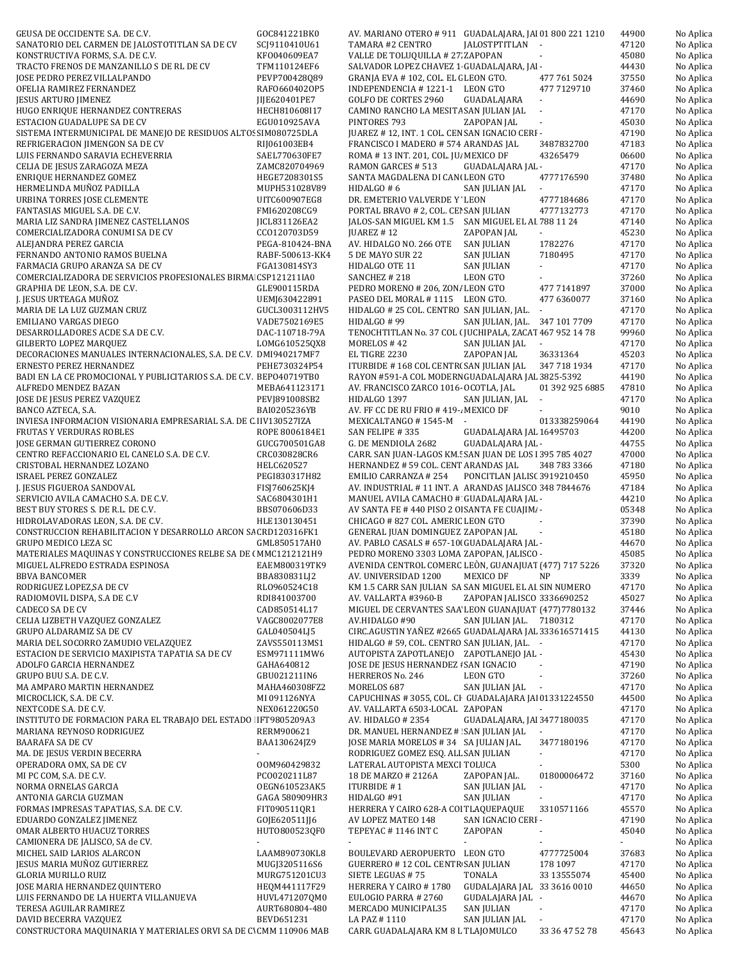| GEUSA DE OCCIDENTE S.A. DE C.V.                                                        | GOC841221BK0                    | AV. MARIANO OTERO # 911 GUADALAJARA, JAI 01 800 221 1210                                    |                               |                             | 44900          | No Aplica              |
|----------------------------------------------------------------------------------------|---------------------------------|---------------------------------------------------------------------------------------------|-------------------------------|-----------------------------|----------------|------------------------|
| SANATORIO DEL CARMEN DE JALOSTOTITLAN SA DE CV                                         | SCJ9110410U61                   | TAMARA #2 CENTRO                                                                            | JALOSTPTITLAN -               |                             | 47120          | No Aplica              |
| KONSTRUCTIVA FORMS, S.A. DE C.V.                                                       | KF0040609EA7                    | VALLE DE TOLUQUILLA # 27 ZAPOPAN                                                            |                               |                             | 45080          | No Aplica              |
| TRACTO FRENOS DE MANZANILLO S DE RL DE CV                                              | TFM110124EF6                    | SALVADOR LOPEZ CHAVEZ 1 GUADALAJARA, JAI-                                                   |                               |                             | 44430          | No Aplica              |
| JOSE PEDRO PEREZ VILLALPANDO                                                           | PEVP700428Q89                   | GRANJA EVA #102, COL. EL (LEON GTO.                                                         |                               | 477 761 5024<br>477 7129710 | 37550<br>37460 | No Aplica              |
| OFELIA RAMIREZ FERNANDEZ<br>JESUS ARTURO JIMENEZ                                       | RAF06604020P5<br>JIJE620401PE7  | INDEPENDENCIA #1221-1 LEON GTO<br>GOLFO DE CORTES 2960                                      | GUADALAJARA                   | $\overline{\phantom{a}}$    | 44690          | No Aplica<br>No Aplica |
| HUGO ENRIQUE HERNANDEZ CONTRERAS                                                       | HECH810608I17                   | CAMINO RANCHO LA MESITA SAN JULIAN JAL                                                      |                               | $\overline{\phantom{a}}$    | 47170          | No Aplica              |
| ESTACION GUADALUPE SA DE CV                                                            | EGU010925AVA                    | PINTORES 793                                                                                | ZAPOPAN JAL                   |                             | 45030          | No Aplica              |
| SISTEMA INTERMUNICIPAL DE MANEJO DE RESIDUOS ALTOS SIM080725DLA                        |                                 | JUAREZ #12, INT. 1 COL. CEN SAN IGNACIO CERI -                                              |                               |                             | 47190          | No Aplica              |
| REFRIGERACION JIMENGON SA DE CV                                                        | RIJ061003EB4                    | FRANCISCO I MADERO # 574 ARANDAS JAL                                                        |                               | 3487832700                  | 47183          | No Aplica              |
| LUIS FERNANDO SARAVIA ECHEVERRIA                                                       | SAEL770630FE7                   | ROMA #13 INT. 201, COL. JU MEXICO DF                                                        |                               | 43265479                    | 06600          | No Aplica              |
| CELIA DE JESUS ZARAGOZA MEZA                                                           | ZAMC820704969                   | RAMON GARCES # 513                                                                          | GUADALAJARA JAL -             |                             | 47170          | No Aplica              |
| ENRIQUE HERNANDEZ GOMEZ                                                                | HEGE7208301S5                   | SANTA MAGDALENA DI CAN(LEON GTO                                                             |                               | 4777176590                  | 37480          | No Aplica              |
| HERMELINDA MUÑOZ PADILLA                                                               | MUPH531028V89                   | HIDALGO #6                                                                                  | SAN JULIAN JAL                |                             | 47170          | No Aplica              |
| URBINA TORRES JOSE CLEMENTE<br>FANTASIAS MIGUEL S.A. DE C.V.                           | UITC600907EG8<br>FMI620208CG9   | DR. EMETERIO VALVERDE Y LEON                                                                |                               | 4777184686<br>4777132773    | 47170<br>47170 | No Aplica              |
| MARIA LIZ SANDRA JIMENEZ CASTELLANOS                                                   | JICL831126EA2                   | PORTAL BRAVO # 2, COL. CEI SAN JULIAN<br>JALOS-SAN MIGUEL KM 1.5 SAN MIGUEL EL AI 788 11 24 |                               |                             | 47140          | No Aplica<br>No Aplica |
| COMERCIALIZADORA CONUMI SA DE CV                                                       | CC0120703D59                    | JUAREZ $# 12$                                                                               | ZAPOPAN JAL                   | $\sim$                      | 45230          | No Aplica              |
| ALEJANDRA PEREZ GARCIA                                                                 | PEGA-810424-BNA                 | AV. HIDALGO NO. 266 OTE                                                                     | SAN JULIAN                    | 1782276                     | 47170          | No Aplica              |
| FERNANDO ANTONIO RAMOS BUELNA                                                          | RABF-500613-KK4                 | 5 DE MAYO SUR 22                                                                            | <b>SAN JULIAN</b>             | 7180495                     | 47170          | No Aplica              |
| FARMACIA GRUPO ARANZA SA DE CV                                                         | FGA130814SY3                    | HIDALGO OTE 11                                                                              | <b>SAN JULIAN</b>             |                             | 47170          | No Aplica              |
| COMERCIALIZADORA DE SERVICIOS PROFESIONALES BIRMA CSP121211IA0                         |                                 | SANCHEZ # 218                                                                               | <b>LEON GTO</b>               |                             | 37260          | No Aplica              |
| GRAPHIA DE LEON, S.A. DE C.V.                                                          | GLE900115RDA                    | PEDRO MORENO # 206, ZON/ LEON GTO                                                           |                               | 477 7141897                 | 37000          | No Aplica              |
| J. JESUS URTEAGA MUÑOZ                                                                 | UEMJ630422891                   | PASEO DEL MORAL #1115 LEON GTO.                                                             |                               | 477 6360077                 | 37160          | No Aplica              |
| MARIA DE LA LUZ GUZMAN CRUZ                                                            | GUCL3003112HV5                  | HIDALGO # 25 COL. CENTRO SAN JULIAN, JAL. -                                                 |                               |                             | 47170          | No Aplica              |
| EMILIANO VARGAS DIEGO<br>DESARROLLADORES ACDE S.A DE C.V.                              | VADE7502169E5<br>DAC-110718-79A | HIDALGO #99<br>TENOCHTITLAN No. 37 COL (JUCHIPALA, ZACAT 467 952 14 78                      | SAN JULIAN, JAL. 347 101 7709 |                             | 47170<br>99960 | No Aplica<br>No Aplica |
| <b>GILBERTO LOPEZ MARQUEZ</b>                                                          | LOMG610525QX8                   | MORELOS #42                                                                                 | SAN JULIAN JAL                | $\overline{\phantom{a}}$    | 47170          | No Aplica              |
| DECORACIONES MANUALES INTERNACIONALES, S.A. DE C.V. DMI940217MF7                       |                                 | EL TIGRE 2230                                                                               | ZAPOPAN JAL                   | 36331364                    | 45203          | No Aplica              |
| <b>ERNESTO PEREZ HERNANDEZ</b>                                                         | PEHE730324P54                   | ITURBIDE #168 COL CENTR(SAN JULIAN JAL                                                      |                               | 347 718 1934                | 47170          | No Aplica              |
| BADI EN LA CE PROMOCIONAL Y PUBLICITARIOS S.A. DE C.V. BEPO40719TB0                    |                                 | RAYON #591-A COL MODERN GUADALAJARA JAL 3825-5392                                           |                               |                             | 44190          | No Aplica              |
| ALFREDO MENDEZ BAZAN                                                                   | MEBA641123171                   | AV. FRANCISCO ZARCO 1016- OCOTLA, JAL.                                                      |                               | 01 392 925 6885             | 47810          | No Aplica              |
| JOSE DE JESUS PEREZ VAZQUEZ                                                            | PEVJ891008SB2                   | HIDALGO 1397                                                                                | SAN JULIAN, JAL               | $\blacksquare$              | 47170          | No Aplica              |
| BANCO AZTECA, S.A.                                                                     | BAI0205236YB                    | AV. FF CC DE RU FRIO # 419-. MEXICO DF                                                      |                               |                             | 9010           | No Aplica              |
| INVIESA INFORMACION VISIONARIA EMPRESARIAL S.A. DE C IIV130527IZA                      |                                 | MEXICALTANGO #1545-M -                                                                      |                               | 013338259064                | 44190          | No Aplica              |
| <b>FRUTAS Y VERDURAS ROBLES</b><br>JOSE GERMAN GUTIERREZ CORONO                        | ROPE 8006184E1<br>GUCG700501GA8 | SAN FELIPE #335<br>G. DE MENDIOLA 2682                                                      | GUADALAJARA JAL 16495703      |                             | 44200<br>44755 | No Aplica              |
| CENTRO REFACCIONARIO EL CANELO S.A. DE C.V.                                            | CRC030828CR6                    | CARR. SAN JUAN-LAGOS KM.: SAN JUAN DE LOS 1395 785 4027                                     | GUADALAJARA JAL -             |                             | 47000          | No Aplica<br>No Aplica |
| CRISTOBAL HERNANDEZ LOZANO                                                             | HELC620527                      | HERNANDEZ # 59 COL. CENT ARANDAS JAL                                                        |                               | 348 783 3366                | 47180          | No Aplica              |
| ISRAEL PEREZ GONZALEZ                                                                  | PEGI830317H82                   | EMILIO CARRANZA # 254                                                                       | PONCITLAN JALIS(3919210450    |                             | 45950          | No Aplica              |
| J. JESUS FIGUEROA SANDOVAL                                                             | FISJ760625KJ4                   | AV. INDUSTRIAL #11 INT. A ARANDAS JALISCO 348 7844676                                       |                               |                             | 47184          | No Aplica              |
| SERVICIO AVILA CAMACHO S.A. DE C.V.                                                    | SAC6804301H1                    | MANUEL AVILA CAMACHO # GUADALAJARA JAL -                                                    |                               |                             | 44210          | No Aplica              |
| BEST BUY STORES S. DE R.L. DE C.V.                                                     | BBS070606D33                    | AV SANTA FE # 440 PISO 2 O SANTA FE CUAJIM. -                                               |                               |                             | 05348          | No Aplica              |
| HIDROLAVADORAS LEON, S.A. DE C.V.                                                      | HLE130130451                    | CHICAGO # 827 COL. AMERIC LEON GTO                                                          |                               |                             | 37390          | No Aplica              |
| CONSTRUCCION REHABILITACION Y DESARROLLO ARCON SA CRD120316FK1                         |                                 | GENERAL JUAN DOMINGUEZ ZAPOPAN JAL                                                          |                               | $\mathcal{L}_{\mathcal{A}}$ | 45180          | No Aplica              |
| GRUPO MEDICO LEZA SC<br>MATERIALES MAQUINAS Y CONSTRUCCIONES RELBE SA DE (MMC1212121H9 | GML850517AH0                    | AV. PABLO CASALS # 657-10(GUADALAJARA JAL -<br>PEDRO MORENO 3303 LOMA ZAPOPAN, JALISCO -    |                               |                             | 44670<br>45085 | No Aplica<br>No Aplica |
| MIGUEL ALFREDO ESTRADA ESPINOSA                                                        | EAEM800319TK9                   | AVENIDA CENTROL COMERC LEÒN, GUANAJUAT (477) 717 5226                                       |                               |                             | 37320          | No Aplica              |
| BBVA BANCOMER                                                                          | BBA830831LJ2                    | AV. UNIVERSIDAD 1200                                                                        | MEXICO DF                     | ΝP                          | 3339           | No Aplica              |
| RODRIGUEZ LOPEZ, SA DE CV                                                              | RL0960524C18                    | KM 1.5 CARR SAN JULIAN SA SAN MIGUEL EL AI SIN NUMERO                                       |                               |                             | 47170          | No Aplica              |
| RADIOMOVIL DISPA, S.A DE C.V                                                           | RDI841003700                    | AV. VALLARTA #3960-B                                                                        | ZAPOPAN JALISCO 3336690252    |                             | 45027          | No Aplica              |
| CADECO SA DE CV                                                                        | CAD850514L17                    | MIGUEL DE CERVANTES SAA LEON GUANAJUAT (477)7780132                                         |                               |                             | 37446          | No Aplica              |
| CELIA LIZBETH VAZQUEZ GONZALEZ                                                         | VAGC8002077E8                   | AV.HIDALGO #90                                                                              | SAN JULIAN JAL. 7180312       |                             | 47170          | No Aplica              |
| GRUPO ALDARAMIZ SA DE CV                                                               | GAL040504LJ5                    | CIRC.AGUSTIN YAÑEZ #2665 GUADALAJARA JAL 333616571415                                       |                               |                             | 44130          | No Aplica              |
| MARIA DEL SOCORRO ZAMUDIO VELAZQUEZ                                                    | ZAVS550113MS1                   | HIDALGO # 59, COL. CENTRO SAN JULIAN, JAL. -                                                |                               |                             | 47170          | No Aplica              |
| ESTACION DE SERVICIO MAXIPISTA TAPATIA SA DE CV                                        | ESM971111MW6                    | AUTOPISTA ZAPOTLANEJO ZAPOTLANEJO JAL -                                                     |                               | $\blacksquare$              | 45430<br>47190 | No Aplica              |
| ADOLFO GARCIA HERNANDEZ<br>GRUPO BUU S.A. DE C.V.                                      | GAHA640812<br>GBU021211IN6      | JOSE DE JESUS HERNANDEZ I SAN IGNACIO<br>HERREROS No. 246                                   | LEON GTO                      | $\overline{\phantom{a}}$    | 37260          | No Aplica<br>No Aplica |
| MA AMPARO MARTIN HERNANDEZ                                                             | MAHA460308FZ2                   | MORELOS 687                                                                                 | SAN JULIAN JAL                | $\sim$                      | 47170          | No Aplica              |
| MICROCLICK, S.A. DE C.V.                                                               | MI 091126NYA                    | CAPUCHINAS #3055, COL. CI GUADALAJARA JAI 01331224550                                       |                               |                             | 44500          | No Aplica              |
| NEXTCODE S.A. DE C.V.                                                                  | NEX061220G50                    | AV. VALLARTA 6503-LOCAL ZAPOPAN                                                             |                               |                             | 47170          | No Aplica              |
| INSTITUTO DE FORMACION PARA EL TRABAJO DEL ESTADO IFT9805209A3                         |                                 | AV. HIDALGO # 2354                                                                          | GUADALAJARA, JAI 3477180035   |                             | 47170          | No Aplica              |
| MARIANA REYNOSO RODRIGUEZ                                                              | RERM900621                      | DR. MANUEL HERNANDEZ # SAN JULIAN JAL                                                       |                               | $\blacksquare$              | 47170          | No Aplica              |
| BAARAFA SA DE CV                                                                       | BAA130624JZ9                    | JOSE MARIA MORELOS #34 SA JULIAN JAL.                                                       |                               | 3477180196                  | 47170          | No Aplica              |
| MA. DE JESUS VERDIN BECERRA                                                            | 00M960429832                    | RODRIGUEZ GOMEZ ESQ. ALI SAN JULIAN<br>LATERAL AUTOPISTA MEXCI TOLUCA                       |                               | ÷.                          | 47170<br>5300  | No Aplica<br>No Aplica |
| OPERADORA OMX, SA DE CV<br>MI PC COM, S.A. DE C.V.                                     | PC0020211L87                    | 18 DE MARZO # 2126A                                                                         | ZAPOPAN JAL.                  | 01800006472                 | 37160          | No Aplica              |
| NORMA ORNELAS GARCIA                                                                   | OEGN610523AK5                   | ITURBIDE #1                                                                                 | SAN JULIAN JAL                | $\blacksquare$              | 47170          | No Aplica              |
| ANTONIA GARCIA GUZMAN                                                                  | GAGA 580909HR3                  | HIDALGO #91                                                                                 | SAN JULIAN                    |                             | 47170          | No Aplica              |
| FORMAS IMPRESAS TAPATIAS, S.A. DE C.V.                                                 | FIT090511QR1                    | HERRERA Y CAIRO 628-A COI TLAQUEPAQUE                                                       |                               | 3310571166                  | 45570          | No Aplica              |
| EDUARDO GONZALEZ JIMENEZ                                                               | GOJE620511JJ6                   | AV LOPEZ MATEO 148                                                                          | SAN IGNACIO CERI -            |                             | 47190          | No Aplica              |
| OMAR ALBERTO HUACUZ TORRES                                                             | HUT0800523QF0                   | TEPEYAC #1146 INT C                                                                         | ZAPOPAN                       | $\overline{\phantom{a}}$    | 45040          | No Aplica              |
| CAMIONERA DE JALISCO, SA de CV.                                                        |                                 |                                                                                             |                               |                             |                | No Aplica              |
| MICHEL SAID LARIOS ALARCON                                                             | LAAM890730KL8                   | BOULEVARD AEROPUERTO LEON GTO                                                               |                               | 4777725004                  | 37683          | No Aplica              |
| JESUS MARIA MUÑOZ GUTIERREZ                                                            | MUGJ3205116S6                   | GUERRERO # 12 COL. CENTR SAN JULIAN                                                         | TONALA                        | 178 1097                    | 47170          | No Aplica              |
| GLORIA MURILLO RUIZ<br>JOSE MARIA HERNANDEZ QUINTERO                                   | MURG751201CU3<br>HEQM441117F29  | SIETE LEGUAS #75<br>HERRERA Y CAIRO #1780                                                   | GUDALAJARA JAL 33 3616 0010   | 33 13555074                 | 45400<br>44650 | No Aplica<br>No Aplica |
| LUIS FERNANDO DE LA HUERTA VILLANUEVA                                                  | HUVL471207QM0                   | EULOGIO PARRA # 2760                                                                        | GUDALAJARA JAL -              |                             | 44670          | No Aplica              |
| TERESA AGUILAR RAMIREZ                                                                 | AURT680804-480                  | MERCADO MUNICIPAL35                                                                         | <b>SAN JULIAN</b>             | $\overline{\phantom{a}}$    | 47170          | No Aplica              |
| DAVID BECERRA VAZQUEZ                                                                  | BEVD651231                      | LA PAZ # 1110                                                                               | SAN JULIAN JAL                | $\overline{\phantom{a}}$    | 47170          | No Aplica              |
| CONSTRUCTORA MAQUINARIA Y MATERIALES ORVI SA DE C'CMM 110906 MAB                       |                                 | CARR. GUADALAJARA KM 8 L TLAJOMULCO                                                         |                               | 33 36 47 52 78              | 45643          | No Aplica              |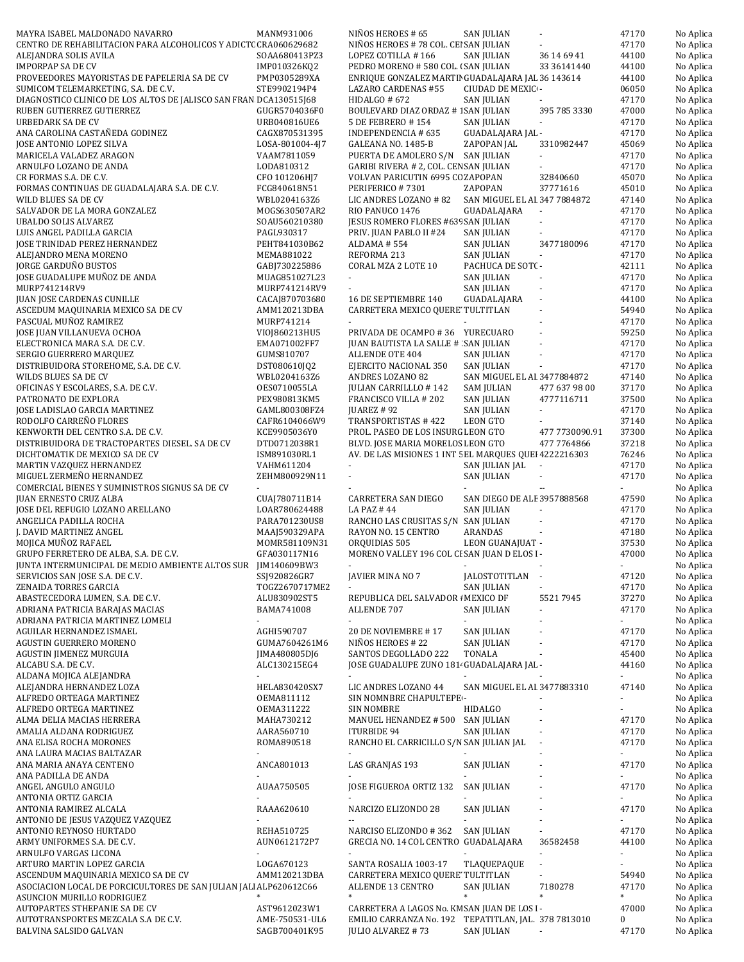| CENTRO DE REHABILITACION PARA ALCOHOLICOS Y ADICTC CRA060629682   | MANM931006                      | NIÑOS HEROES # 65                                                         | <b>SAN JULIAN</b>            |                             | 47170                   | No Aplica              |
|-------------------------------------------------------------------|---------------------------------|---------------------------------------------------------------------------|------------------------------|-----------------------------|-------------------------|------------------------|
|                                                                   |                                 | NIÑOS HEROES # 78 COL. CEI SAN JULIAN                                     |                              |                             | 47170                   | No Aplica              |
| ALEJANDRA SOLIS AVILA                                             | SOAA680413PZ3                   | LOPEZ COTILLA #166                                                        | <b>SAN JULIAN</b>            | 36 14 69 41                 | 44100                   | No Aplica              |
| <b>IMPORPAP SA DE CV</b>                                          | IMP010326KQ2                    | PEDRO MORENO # 580 COL. (SAN JULIAN                                       |                              | 33 36141440                 | 44100                   | No Aplica              |
| PROVEEDORES MAYORISTAS DE PAPELERIA SA DE CV                      | PMP0305289XA                    | ENRIQUE GONZALEZ MARTII GUADALAJARA JAL 36 143614                         |                              |                             | 44100                   | No Aplica              |
| SUMICOM TELEMARKETING, S.A. DE C.V.                               | STE9902194P4                    | LAZARO CARDENAS #55                                                       | CIUDAD DE MEXIC -            |                             | 06050                   | No Aplica              |
| DIAGNOSTICO CLINICO DE LOS ALTOS DE JALISCO SAN FRAN DCA130515J68 |                                 | HIDALGO # 672                                                             | <b>SAN JULIAN</b>            |                             | 47170                   | No Aplica              |
| RUBEN GUTIERREZ GUTIERREZ                                         | GUGR5704036F0                   | BOULEVARD DIAZ ORDAZ # 1SAN JULIAN                                        |                              | 395 785 3330                | 47000                   | No Aplica              |
| <b>URBEDARK SA DE CV</b>                                          | URB040816UE6                    | <b>5 DE FEBRERO # 154</b>                                                 | <b>SAN JULIAN</b>            |                             | 47170                   | No Aplica              |
| ANA CAROLINA CASTAÑEDA GODINEZ                                    | CAGX870531395                   | INDEPENDENCIA # 635                                                       | GUADALAJARA JAL -            |                             | 47170                   | No Aplica              |
| JOSE ANTONIO LOPEZ SILVA                                          | LOSA-801004-4J7                 | GALEANA NO. 1485-B                                                        | ZAPOPAN JAL                  | 3310982447                  | 45069                   | No Aplica              |
| MARICELA VALADEZ ARAGON                                           | VAAM7811059                     | PUERTA DE AMOLERO S/N SAN JULIAN                                          |                              | ÷.                          | 47170                   | No Aplica              |
| ARNULFO LOZANO DE ANDA                                            | LODA810312                      | GARIBI RIVERA # 2, COL. CEN SAN JULIAN                                    |                              |                             | 47170                   | No Aplica              |
| CR FORMAS S.A. DE C.V.                                            | CFO 101206HJ7                   | VOLVAN PARICUTIN 6995 CO ZAPOPAN                                          |                              | 32840660                    | 45070                   | No Aplica              |
| FORMAS CONTINUAS DE GUADALAJARA S.A. DE C.V.                      | FCG840618N51                    | PERIFERICO #7301                                                          | ZAPOPAN                      | 37771616                    | 45010                   | No Aplica              |
| WILD BLUES SA DE CV                                               | WBL0204163Z6                    | LIC ANDRES LOZANO #82<br>RIO PANUCO 1476                                  | SAN MIGUEL EL AI 347 7884872 |                             | 47140<br>47170          | No Aplica              |
| SALVADOR DE LA MORA GONZALEZ<br>UBALDO SOLIS ALVAREZ              | MOGS630507AR2<br>SOAU560210380  | JESUS ROMERO FLORES #639 SAN JULIAN                                       | GUADALAJARA                  | $\sim$                      | 47170                   | No Aplica<br>No Aplica |
| LUIS ANGEL PADILLA GARCIA                                         | PAGL930317                      | PRIV. JUAN PABLO II #24                                                   | <b>SAN JULIAN</b>            |                             | 47170                   | No Aplica              |
| JOSE TRINIDAD PEREZ HERNANDEZ                                     | PEHT841030B62                   | ALDAMA #554                                                               | <b>SAN JULIAN</b>            | 3477180096                  | 47170                   | No Aplica              |
| ALEJANDRO MENA MORENO                                             | MEMA881022                      | REFORMA 213                                                               | <b>SAN JULIAN</b>            | $\sim$                      | 47170                   | No Aplica              |
| JORGE GARDUÑO BUSTOS                                              | GABJ730225886                   | CORAL MZA 2 LOTE 10                                                       | PACHUCA DE SOT(-             |                             | 42111                   | No Aplica              |
| JOSE GUADALUPE MUÑOZ DE ANDA                                      | MUAG851027L23                   | ÷.                                                                        | SAN JULIAN                   |                             | 47170                   | No Aplica              |
| MURP741214RV9                                                     | MURP741214RV9                   |                                                                           | SAN JULIAN                   | $\sim$                      | 47170                   | No Aplica              |
| <b>JUAN JOSE CARDENAS CUNILLE</b>                                 | CACAJ870703680                  | 16 DE SEPTIEMBRE 140                                                      | GUADALAJARA                  |                             | 44100                   | No Aplica              |
| ASCEDUM MAQUINARIA MEXICO SA DE CV                                | AMM120213DBA                    | CARRETERA MEXICO QUERE' TULTITLAN                                         |                              |                             | 54940                   | No Aplica              |
| PASCUAL MUÑOZ RAMIREZ                                             | MURP741214                      |                                                                           |                              |                             | 47170                   | No Aplica              |
| JOSE JUAN VILLANUEVA OCHOA                                        | VI0J860213HU5                   | PRIVADA DE OCAMPO #36 YURECUARO                                           |                              |                             | 59250                   | No Aplica              |
| ELECTRONICA MARA S.A. DE C.V.                                     | EMA071002FF7                    | JUAN BAUTISTA LA SALLE # SAN JULIAN                                       |                              |                             | 47170                   | No Aplica              |
| SERGIO GUERRERO MARQUEZ                                           | GUMS810707                      | <b>ALLENDE OTE 404</b>                                                    | <b>SAN JULIAN</b>            | ÷,                          | 47170                   | No Aplica              |
| DISTRIBUIDORA STOREHOME, S.A. DE C.V.                             | DST080610JQ2                    | EJERCITO NACIONAL 350                                                     | <b>SAN JULIAN</b>            | $\sim$                      | 47170                   | No Aplica              |
| WILDS BLUES SA DE CV                                              | WBL0204163Z6                    | ANDRES LOZANO 82                                                          | SAN MIGUEL EL AI 3477884872  |                             | 47140                   | No Aplica              |
| OFICINAS Y ESCOLARES, S.A. DE C.V.                                | OES0710055LA                    | <b>JULIAN CARRILLLO #142</b>                                              | <b>SAM JULIAN</b>            | 477 637 98 00               | 37170                   | No Aplica              |
| PATRONATO DE EXPLORA                                              | PEX980813KM5                    | FRANCISCO VILLA # 202                                                     | <b>SAN JULIAN</b>            | 4777116711                  | 37500                   | No Aplica              |
| JOSE LADISLAO GARCIA MARTINEZ                                     | GAML800308FZ4                   | JUAREZ #92                                                                | <b>SAN JULIAN</b>            | $\sim$                      | 47170                   | No Aplica              |
| RODOLFO CARREÑO FLORES                                            | CAFR6104066W9                   | TRANSPORTISTAS #422                                                       | LEON GTO                     |                             | 37140                   | No Aplica              |
| KENWORTH DEL CENTRO S.A. DE C.V.                                  | KCE9905036Y0                    | PROL. PASEO DE LOS INSURG LEON GTO                                        |                              | 477 7730090.91              | 37300                   | No Aplica              |
| DISTRIBUIDORA DE TRACTOPARTES DIESEL. SA DE CV                    | DTD0712038R1                    | BLVD. JOSE MARIA MORELOS LEON GTO                                         |                              | 477 7764866                 | 37218                   | No Aplica              |
| DICHTOMATIK DE MEXICO SA DE CV                                    | ISM891030RL1                    | AV. DE LAS MISIONES 1 INT 5 EL MARQUES QUEI 4222216303                    |                              |                             | 76246                   | No Aplica              |
| MARTIN VAZQUEZ HERNANDEZ                                          | VAHM611204                      |                                                                           | SAN JULIAN JAL               |                             | 47170                   | No Aplica              |
|                                                                   | ZEHM800929N11                   | $\mathcal{L}_{\mathcal{A}}$                                               | <b>SAN JULIAN</b>            | $\mathcal{L}_{\mathcal{A}}$ | 47170                   | No Aplica              |
| MIGUEL ZERMEÑO HERNANDEZ                                          |                                 |                                                                           |                              |                             |                         |                        |
| COMERCIAL BIENES Y SUMINISTROS SIGNUS SA DE CV                    |                                 |                                                                           |                              | цц.                         |                         | No Aplica              |
| <b>JUAN ERNESTO CRUZ ALBA</b>                                     | CUAJ780711B14                   | CARRETERA SAN DIEGO                                                       | SAN DIEGO DE ALE 3957888568  |                             | 47590                   | No Aplica              |
| JOSE DEL REFUGIO LOZANO ARELLANO                                  | LOAR780624488                   | LA PAZ #44                                                                | SAN JULIAN                   |                             | 47170                   | No Aplica              |
| ANGELICA PADILLA ROCHA                                            | PARA701230US8                   | RANCHO LAS CRUSITAS S/N SAN JULIAN                                        |                              | $\mathcal{L}_{\mathcal{A}}$ | 47170                   | No Aplica              |
| J. DAVID MARTINEZ ANGEL                                           | MAAJ590329APA                   | RAYON NO. 15 CENTRO                                                       | ARANDAS                      |                             | 47180                   | No Aplica              |
| MOJICA MUÑOZ RAFAEL                                               | MOMR581109N31                   | ORQUIDIAS 505                                                             | LEON GUANAJUAT -             |                             | 37530                   | No Aplica              |
| GRUPO FERRETERO DE ALBA, S.A. DE C.V.                             | GFA030117N16                    | MORENO VALLEY 196 COL CI SAN JUAN D ELOS I-                               |                              |                             | 47000                   | No Aplica              |
| JUNTA INTERMUNICIPAL DE MEDIO AMBIENTE ALTOS SUR JIM140609BW3     |                                 | ÷.                                                                        | ×.                           |                             |                         | No Aplica              |
| SERVICIOS SAN JOSE S.A. DE C.V.                                   | SSJ920826GR7                    | JAVIER MINA NO 7                                                          | <b>JALOSTOTITLAN</b>         |                             | 47120                   | No Aplica              |
| ZENAIDA TORRES GARCIA                                             | T0GZ2670717ME2                  |                                                                           | SAN JULIAN                   |                             | 47170                   | No Aplica              |
| ABASTECEDORA LUMEN, S.A. DE C.V.                                  | ALU830902ST5                    | REPUBLICA DEL SALVADOR I MEXICO DF                                        |                              | 55217945                    | 37270                   | No Aplica              |
| ADRIANA PATRICIA BARAJAS MACIAS                                   | BAMA741008                      | ALLENDE 707                                                               | SAN JULIAN                   |                             | 47170                   | No Aplica              |
| ADRIANA PATRICIA MARTINEZ LOMELI<br>AGUILAR HERNANDEZ ISMAEL      | AGHI590707                      | 20 DE NOVIEMBRE #17                                                       | <b>SAN JULIAN</b>            |                             | 47170                   | No Aplica<br>No Aplica |
| <b>AGUSTIN GUERRERO MORENO</b>                                    | GUMA7604261M6                   | NIÑOS HEROES # 22                                                         | <b>SAN JULIAN</b>            |                             | 47170                   | No Aplica              |
| AGUSTIN JIMENEZ MURGUIA                                           | JIMA480805DJ6                   | SANTOS DEGOLLADO 222                                                      | <b>TONALA</b>                |                             | 45400                   | No Aplica              |
| ALCABU S.A. DE C.V.                                               | ALC130215EG4                    | JOSE GUADALUPE ZUNO 181 GUADALAJARA JAL -                                 |                              |                             | 44160                   | No Aplica              |
| ALDANA MOJICA ALEJANDRA                                           |                                 |                                                                           |                              |                             |                         | No Aplica              |
| ALEJANDRA HERNANDEZ LOZA                                          | HELA830420SX7                   | LIC ANDRES LOZANO 44                                                      | SAN MIGUEL EL AI 3477883310  |                             | 47140                   | No Aplica              |
| ALFREDO ORTEAGA MARTINEZ                                          | OEMA811112                      | SIN NOMNBRE CHAPULTEPE -                                                  |                              |                             |                         | No Aplica              |
| ALFREDO ORTEGA MARTINEZ                                           | 0EMA311222                      | SIN NOMBRE                                                                | HIDALGO                      |                             |                         | No Aplica              |
| ALMA DELIA MACIAS HERRERA                                         | MAHA730212                      | MANUEL HENANDEZ # 500                                                     | SAN JULIAN                   |                             | 47170                   | No Aplica              |
| AMALIA ALDANA RODRIGUEZ                                           | AARA560710                      | <b>ITURBIDE 94</b>                                                        | SAN JULIAN                   | $\blacksquare$              | 47170                   | No Aplica              |
| ANA ELISA ROCHA MORONES                                           | ROMA890518                      | RANCHO EL CARRICILLO S/N SAN JULIAN JAL                                   |                              |                             | 47170                   | No Aplica              |
| ANA LAURA MACIAS BALTAZAR                                         | ×.                              |                                                                           |                              |                             | $\blacksquare$          | No Aplica              |
| ANA MARIA ANAYA CENTENO                                           | ANCA801013                      | LAS GRANJAS 193                                                           | <b>SAN JULIAN</b>            |                             | 47170                   | No Aplica              |
| ANA PADILLA DE ANDA                                               |                                 |                                                                           |                              |                             |                         | No Aplica              |
| ANGEL ANGULO ANGULO                                               | AUAA750505                      | JOSE FIGUEROA ORTIZ 132                                                   | <b>SAN JULIAN</b>            |                             | 47170                   | No Aplica              |
| ANTONIA ORTIZ GARCIA                                              |                                 |                                                                           |                              |                             | $\blacksquare$          | No Aplica              |
| ANTONIA RAMIREZ ALCALA                                            | RAAA620610                      | NARCIZO ELIZONDO 28<br>$\overline{\phantom{a}}$                           | <b>SAN JULIAN</b>            |                             | 47170                   | No Aplica              |
| ANTONIO DE JESUS VAZQUEZ VAZQUEZ                                  |                                 |                                                                           |                              | $\blacksquare$              |                         | No Aplica              |
| ANTONIO REYNOSO HURTADO                                           | REHA510725                      | NARCISO ELIZONDO #362                                                     | <b>SAN JULIAN</b>            |                             | 47170                   | No Aplica              |
| ARMY UNIFORMES S.A. DE C.V.                                       | AUN0612172P7                    | GRECIA NO. 14 COL CENTRO GUADALAJARA                                      |                              | 36582458<br>٠               | 44100<br>$\blacksquare$ | No Aplica              |
| ARNULFO VARGAS LICONA<br>ARTURO MARTIN LOPEZ GARCIA               | LOGA670123                      | SANTA ROSALIA 1003-17                                                     | TLAQUEPAQUE                  | ÷,                          |                         | No Aplica<br>No Aplica |
| ASCENDUM MAQUINARIA MEXICO SA DE CV                               | AMM120213DBA                    | CARRETERA MEXICO QUERE' TULTITLAN                                         |                              |                             | 54940                   | No Aplica              |
| ASOCIACION LOCAL DE PORCICULTORES DE SAN JULIAN JALI ALP620612C66 |                                 | ALLENDE 13 CENTRO                                                         | SAN JULIAN                   | 7180278                     | 47170                   | No Aplica              |
| ASUNCION MURILLO RODRIGUEZ                                        |                                 | *                                                                         | $\ast$                       | $\ast$                      | $\ast$                  | No Aplica              |
| AUTOPARTES STHEPANIE SA DE CV                                     | AST9612023W1                    | CARRETERA A LAGOS No. KM SAN JUAN DE LOS I-                               |                              |                             | 47000                   | No Aplica              |
| AUTOTRANSPORTES MEZCALA S.A DE C.V.<br>BALVINA SALSIDO GALVAN     | AME-750531-UL6<br>SAGB700401K95 | EMILIO CARRANZA No. 192 TEPATITLAN, JAL. 378 7813010<br>JULIO ALVAREZ #73 | SAN JULIAN                   |                             | 0<br>47170              | No Aplica<br>No Aplica |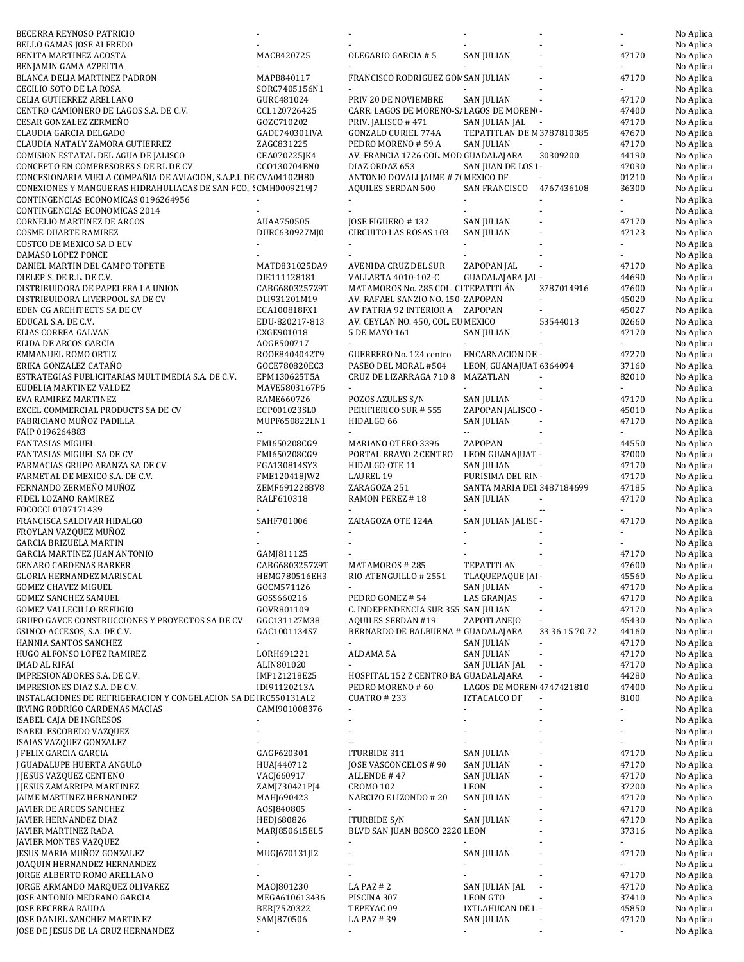| BECERRA REYNOSO PATRICIO                                          |                            |                                                           |                            |                          | ÷,             | No Aplica              |
|-------------------------------------------------------------------|----------------------------|-----------------------------------------------------------|----------------------------|--------------------------|----------------|------------------------|
| BELLO GAMAS JOSE ALFREDO                                          |                            |                                                           |                            |                          |                | No Aplica              |
| BENITA MARTINEZ ACOSTA                                            | MACB420725                 | OLEGARIO GARCIA # 5                                       | <b>SAN JULIAN</b>          |                          | 47170          | No Aplica              |
| BENJAMIN GAMA AZPEITIA                                            |                            |                                                           |                            |                          |                | No Aplica              |
| BLANCA DELIA MARTINEZ PADRON                                      | MAPB840117                 | FRANCISCO RODRIGUEZ GON SAN JULIAN                        |                            |                          | 47170          | No Aplica              |
| CECILIO SOTO DE LA ROSA                                           | SORC7405156N1              |                                                           |                            |                          |                | No Aplica              |
| CELIA GUTIERREZ ARELLANO                                          | GURC481024                 | PRIV 20 DE NOVIEMBRE                                      | <b>SAN JULIAN</b>          |                          | 47170          | No Aplica              |
| CENTRO CAMIONERO DE LAGOS S.A. DE C.V.                            | CCL120726425               | CARR. LAGOS DE MORENO-S/ LAGOS DE MORENI -                |                            |                          | 47400          | No Aplica              |
| CESAR GONZALEZ ZERMEÑO                                            | GOZC710202                 | PRIV. JALISCO #471                                        | SAN JULIAN JAL             |                          | 47170          | No Aplica              |
| CLAUDIA GARCIA DELGADO                                            | GADC740301IVA              | GONZALO CURIEL 774A                                       | TEPATITLAN DE M 3787810385 |                          | 47670          | No Aplica              |
| CLAUDIA NATALY ZAMORA GUTIERREZ                                   | ZAGC831225                 | PEDRO MORENO #59 A                                        | SAN JULIAN                 |                          | 47170          | No Aplica              |
| COMISION ESTATAL DEL AGUA DE JALISCO                              | CEA070225JK4               | AV. FRANCIA 1726 COL. MOD GUADALAJARA                     |                            | 30309200                 | 44190          | No Aplica              |
| CONCEPTO EN COMPRESORES S DE RL DE CV                             | CC0130704BN0               | DIAZ ORDAZ 653                                            | SAN JUAN DE LOS I-         |                          | 47030          | No Aplica              |
| CONCESIONARIA VUELA COMPAÑIA DE AVIACION, S.A.P.I. DE CVA04102H80 |                            | ANTONIO DOVALI JAIME # 7( MEXICO DF                       |                            |                          | 01210          | No Aplica              |
| CONEXIONES Y MANGUERAS HIDRAHULIACAS DE SAN FCO., : CMH0009219J7  |                            | <b>AQUILES SERDAN 500</b>                                 | SAN FRANCISCO 4767436108   |                          | 36300          | No Aplica              |
| CONTINGENCIAS ECONOMICAS 0196264956                               |                            |                                                           |                            |                          |                | No Aplica              |
| CONTINGENCIAS ECONOMICAS 2014                                     |                            |                                                           |                            |                          |                | No Aplica              |
| <b>CORNELIO MARTINEZ DE ARCOS</b>                                 | AUAA750505                 | JOSE FIGUERO #132                                         | <b>SAN JULIAN</b>          |                          | 47170          | No Aplica              |
| <b>COSME DUARTE RAMIREZ</b>                                       | DURC630927MJ0              | CIRCUITO LAS ROSAS 103                                    | <b>SAN JULIAN</b>          |                          | 47123          | No Aplica              |
| COSTCO DE MEXICO SA D ECV                                         |                            |                                                           |                            |                          | $\blacksquare$ | No Aplica              |
| DAMASO LOPEZ PONCE                                                |                            |                                                           |                            |                          |                | No Aplica              |
| DANIEL MARTIN DEL CAMPO TOPETE                                    | MATD831025DA9              | <b>AVENIDA CRUZ DEL SUR</b>                               | ZAPOPAN JAL                |                          | 47170          | No Aplica              |
| DIELEP S. DE R.L. DE C.V.                                         | DIE111128181               | VALLARTA 4010-102-C                                       | GUADALAJARA JAL -          |                          | 44690          | No Aplica              |
| DISTRIBUIDORA DE PAPELERA LA UNION                                | CABG6803257Z9T             | MATAMOROS No. 285 COL. CI TEPATITLÁN                      |                            | 3787014916               | 47600          | No Aplica              |
| DISTRIBUIDORA LIVERPOOL SA DE CV                                  | DLI931201M19               | AV. RAFAEL SANZIO NO. 150-ZAPOPAN                         |                            |                          | 45020          | No Aplica              |
| EDEN CG ARCHITECTS SA DE CV                                       | ECA100818FX1               | AV PATRIA 92 INTERIOR A ZAPOPAN                           |                            |                          | 45027          | No Aplica              |
| EDUCAL S.A. DE C.V.                                               | EDU-820217-813             | AV. CEYLAN NO. 450, COL. EU MEXICO                        |                            | 53544013                 | 02660          | No Aplica              |
| ELIAS CORREA GALVAN                                               | CXGE901018                 | 5 DE MAYO 161                                             | <b>SAN JULIAN</b>          |                          | 47170          | No Aplica              |
| ELIDA DE ARCOS GARCIA                                             | AOGE500717                 |                                                           |                            |                          |                | No Aplica              |
| EMMANUEL ROMO ORTIZ                                               | ROOE8404042T9              | GUERRERO No. 124 centro                                   | ENCARNACION DE -           |                          | 47270          | No Aplica              |
| ERIKA GONZALEZ CATAÑO                                             | GOCE780820EC3              | PASEO DEL MORAL #504                                      | LEON, GUANAJUAT 6364094    |                          | 37160          | No Aplica              |
| ESTRATEGIAS PUBLICITARIAS MULTIMEDIA S.A. DE C.V.                 | EPM130625T5A               | CRUZ DE LIZARRAGA 710 8                                   | MAZATLAN                   |                          | 82010          | No Aplica              |
| EUDELIA MARTINEZ VALDEZ                                           | MAVE5803167P6              |                                                           |                            |                          |                | No Aplica              |
| EVA RAMIREZ MARTINEZ                                              | RAME660726                 | POZOS AZULES S/N                                          | SAN JULIAN                 |                          | 47170          | No Aplica              |
| EXCEL COMMERCIAL PRODUCTS SA DE CV                                | ECP001023SL0               | PERIFIERICO SUR # 555                                     | ZAPOPAN JALISCO -          |                          | 45010          | No Aplica              |
| FABRICIANO MUÑOZ PADILLA                                          | MUPF650822LN1              | HIDALGO 66                                                | SAN JULIAN                 |                          | 47170          | No Aplica              |
| FAIP 0196264883                                                   | $\overline{\phantom{a}}$   |                                                           | н.                         |                          |                | No Aplica              |
| <b>FANTASIAS MIGUEL</b>                                           | FMI650208CG9               | MARIANO OTERO 3396                                        | ZAPOPAN                    |                          | 44550          | No Aplica              |
| FANTASIAS MIGUEL SA DE CV                                         | FMI650208CG9               | PORTAL BRAVO 2 CENTRO                                     | LEON GUANAJUAT -           |                          | 37000          | No Aplica              |
| FARMACIAS GRUPO ARANZA SA DE CV                                   | FGA130814SY3               | HIDALGO OTE 11                                            | SAN JULIAN                 |                          | 47170          | No Aplica              |
| FARMETAL DE MEXICO S.A. DE C.V.                                   | FME120418JW2               | <b>LAUREL 19</b>                                          | PURISIMA DEL RIN-          |                          | 47170          | No Aplica              |
| FERNANDO ZERMEÑO MUÑOZ                                            | ZEMF691228BV8              | ZARAGOZA 251                                              | SANTA MARIA DEI 3487184699 |                          | 47185          | No Aplica              |
| FIDEL LOZANO RAMIREZ                                              | RALF610318                 | RAMON PEREZ #18                                           | SAN JULIAN                 | $\blacksquare$           | 47170          | No Aplica              |
| FOCOCCI 0107171439                                                |                            |                                                           |                            | ÷.                       |                | No Aplica              |
| FRANCISCA SALDIVAR HIDALGO                                        | SAHF701006                 | ZARAGOZA OTE 124A                                         | SAN JULIAN JALISC -        |                          | 47170          | No Aplica              |
| FROYLAN VAZQUEZ MUÑOZ                                             |                            |                                                           |                            |                          |                | No Aplica              |
| <b>GARCIA BRIZUELA MARTIN</b>                                     |                            |                                                           |                            |                          |                | No Aplica              |
| GARCIA MARTINEZ JUAN ANTONIO                                      | GAMJ811125                 |                                                           |                            |                          | 47170          | No Aplica              |
| <b>GENARO CARDENAS BARKER</b>                                     | CABG6803257Z9T             | MATAMOROS #285                                            | TEPATITLAN                 |                          | 47600          | No Aplica              |
| GLORIA HERNANDEZ MARISCAL                                         | HEMG780516EH3              | RIO ATENGUILLO # 2551                                     | TLAQUEPAQUE JAI -          |                          | 45560          | No Aplica              |
| <b>GOMEZ CHAVEZ MIGUEL</b>                                        | GOCM571126                 | $\sim$                                                    | SAN JULIAN                 |                          | 47170          | No Aplica              |
| <b>GOMEZ SANCHEZ SAMUEL</b>                                       | GOSS660216                 | PEDRO GOMEZ #54                                           | <b>LAS GRANJAS</b>         |                          | 47170          | No Aplica              |
| GOMEZ VALLECILLO REFUGIO                                          | GOVR801109                 | C. INDEPENDENCIA SUR 355 SAN JULIAN                       |                            |                          | 47170          | No Aplica              |
| GRUPO GAVCE CONSTRUCCIONES Y PROYECTOS SA DE CV                   | GGC131127M38               | AQUILES SERDAN #19                                        | ZAPOTLANEJO                |                          | 45430          | No Aplica              |
| GSINCO ACCESOS, S.A. DE C.V.                                      | GAC1001134S7               | BERNARDO DE BALBUENA # GUADALAJARA                        |                            | 33 36 15 70 72           | 44160          | No Aplica              |
| HANNIA SANTOS SANCHEZ                                             |                            |                                                           | SAN JULIAN                 |                          | 47170          | No Aplica              |
| HUGO ALFONSO LOPEZ RAMIREZ                                        | LORH691221                 | ALDAMA 5A                                                 | SAN JULIAN                 |                          | 47170          | No Aplica<br>No Aplica |
| IMAD AL RIFAI<br>IMPRESIONADORES S.A. DE C.V.                     | ALIN801020<br>IMP121218E25 |                                                           | SAN JULIAN JAL             |                          | 47170<br>44280 | No Aplica              |
| IMPRESIONES DIAZ S.A. DE C.V.                                     | IDI91120213A               | HOSPITAL 152 Z CENTRO BA GUADALAJARA<br>PEDRO MORENO # 60 | LAGOS DE MOREN 4747421810  |                          | 47400          | No Aplica              |
| INSTALACIONES DE REFRIGERACION Y CONGELACION SA DE IRC550131AL2   |                            |                                                           | <b>IZTACALCO DF</b>        | $\overline{\phantom{a}}$ | 8100           | No Aplica              |
| IRVING RODRIGO CARDENAS MACIAS                                    | CAMI901008376              | <b>CUATRO # 233</b>                                       | $\blacksquare$             |                          | ä,             | No Aplica              |
| ISABEL CAJA DE INGRESOS                                           |                            | $\overline{\phantom{a}}$                                  |                            |                          |                | No Aplica              |
| ISABEL ESCOBEDO VAZQUEZ                                           |                            |                                                           |                            |                          | ÷,             | No Aplica              |
| ISAIAS VAZQUEZ GONZALEZ                                           |                            |                                                           |                            |                          |                | No Aplica              |
| J FELIX GARCIA GARCIA                                             | GAGF620301                 | ITURBIDE 311                                              | <b>SAN JULIAN</b>          |                          | 47170          | No Aplica              |
| J GUADALUPE HUERTA ANGULO                                         | HUAJ440712                 | JOSE VASCONCELOS # 90                                     | <b>SAN JULIAN</b>          |                          | 47170          | No Aplica              |
| J JESUS VAZQUEZ CENTENO                                           | VACJ660917                 | ALLENDE #47                                               | SAN JULIAN                 |                          | 47170          | No Aplica              |
| J JESUS ZAMARRIPA MARTINEZ                                        | ZAMJ730421PJ4              | CROMO 102                                                 | LEON                       |                          | 37200          |                        |
| JAIME MARTINEZ HERNANDEZ                                          | MAHJ690423                 | NARCIZO ELIZONDO #20                                      | SAN JULIAN                 |                          | 47170          | No Aplica<br>No Aplica |
| JAVIER DE ARCOS SANCHEZ                                           | A0SJ840805                 |                                                           |                            |                          | 47170          | No Aplica              |
| JAVIER HERNANDEZ DIAZ                                             | HEDJ680826                 | ITURBIDE S/N                                              | <b>SAN JULIAN</b>          |                          | 47170          | No Aplica              |
| JAVIER MARTINEZ RADA                                              | MARJ850615EL5              | BLVD SAN JUAN BOSCO 2220 LEON                             |                            |                          | 37316          | No Aplica              |
| <b>JAVIER MONTES VAZQUEZ</b>                                      |                            |                                                           |                            |                          | $\blacksquare$ | No Aplica              |
| JESUS MARIA MUÑOZ GONZALEZ                                        | MUGJ670131JI2              |                                                           | <b>SAN JULIAN</b>          |                          | 47170          | No Aplica              |
| JOAQUIN HERNANDEZ HERNANDEZ                                       |                            |                                                           |                            |                          | ÷.             | No Aplica              |
| JORGE ALBERTO ROMO ARELLANO                                       |                            |                                                           |                            |                          | 47170          | No Aplica              |
| JORGE ARMANDO MARQUEZ OLIVAREZ                                    | MA0J801230                 | LA PAZ #2                                                 | SAN JULIAN JAL             |                          | 47170          | No Aplica              |
| JOSE ANTONIO MEDRANO GARCIA                                       | MEGA610613436              | PISCINA 307                                               | LEON GTO                   |                          | 37410          | No Aplica              |
| JOSE BECERRA RAUDA                                                | BERJ7520322                | TEPEYAC 09                                                | IXTLAHUCAN DE L -          |                          | 45850          | No Aplica              |
| JOSE DANIEL SANCHEZ MARTINEZ                                      | SAMJ870506                 | LA PAZ # 39                                               | SAN JULIAN                 |                          | 47170          | No Aplica              |
| JOSE DE JESUS DE LA CRUZ HERNANDEZ                                |                            | $\sim$                                                    | $\sim$                     |                          | $\blacksquare$ | No Aplica              |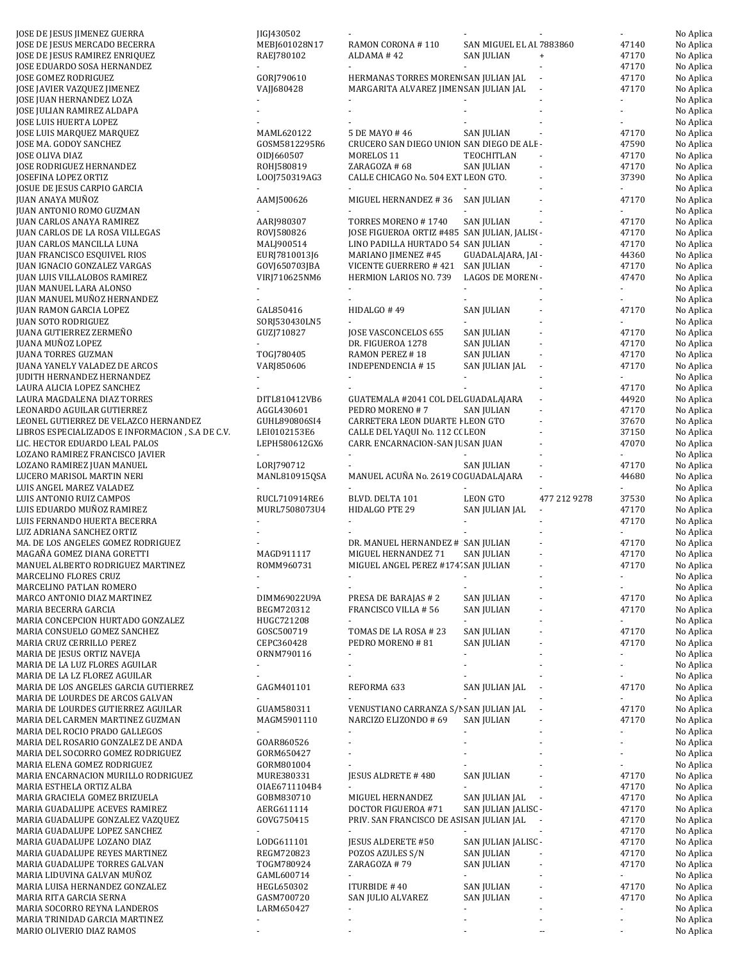| JOSE DE JESUS JIMENEZ GUERRA                     | JIGJ430502    |                                               |                          |                                  | $\blacksquare$ | No Aplica |
|--------------------------------------------------|---------------|-----------------------------------------------|--------------------------|----------------------------------|----------------|-----------|
| JOSE DE JESUS MERCADO BECERRA                    | MEBJ601028N17 | RAMON CORONA #110                             | SAN MIGUEL EL AI 7883860 |                                  | 47140          | No Aplica |
| JOSE DE JESUS RAMIREZ ENRIQUEZ                   | RAEJ780102    | ALDAMA #42                                    | SAN JULIAN               | $\begin{array}{c} + \end{array}$ | 47170          | No Aplica |
| JOSE EDUARDO SOSA HERNANDEZ                      |               |                                               | $\sim$                   |                                  | 47170          | No Aplica |
| JOSE GOMEZ RODRIGUEZ                             | GORJ790610    | HERMANAS TORRES MOREN SAN JULIAN JAL          |                          | $\blacksquare$                   | 47170          | No Aplica |
| JOSE JAVIER VAZQUEZ JIMENEZ                      | VAJJ680428    | MARGARITA ALVAREZ JIMEN SAN JULIAN JAL        |                          |                                  | 47170          | No Aplica |
| JOSE JUAN HERNANDEZ LOZA                         |               |                                               |                          |                                  |                | No Aplica |
| JOSE JULIAN RAMIREZ ALDAPA                       |               |                                               |                          |                                  |                | No Aplica |
| JOSE LUIS HUERTA LOPEZ                           |               |                                               |                          |                                  |                | No Aplica |
| JOSE LUIS MARQUEZ MARQUEZ                        | MAML620122    | 5 DE MAYO # 46                                | SAN JULIAN               |                                  | 47170          | No Aplica |
| JOSE MA. GODOY SANCHEZ                           | GOSM5812295R6 | CRUCERO SAN DIEGO UNION SAN DIEGO DE ALE-     |                          |                                  | 47590          | No Aplica |
| JOSE OLIVA DIAZ                                  | OIDJ660507    | MORELOS <sub>11</sub>                         | TEOCHITLAN               |                                  | 47170          | No Aplica |
|                                                  |               | ZARAGOZA #68                                  |                          |                                  |                |           |
| JOSE RODRIGUEZ HERNANDEZ                         | ROHJ580819    |                                               | SAN JULIAN               |                                  | 47170          | No Aplica |
| JOSEFINA LOPEZ ORTIZ                             | LO0J750319AG3 | CALLE CHICAGO No. 504 EXT LEON GTO.           |                          |                                  | 37390          | No Aplica |
| JOSUE DE JESUS CARPIO GARCIA                     |               |                                               |                          |                                  |                | No Aplica |
| JUAN ANAYA MUÑOZ                                 | AAMJ500626    | MIGUEL HERNANDEZ #36 SAN JULIAN               |                          |                                  | 47170          | No Aplica |
| JUAN ANTONIO ROMO GUZMAN                         |               |                                               |                          |                                  |                | No Aplica |
| JUAN CARLOS ANAYA RAMIREZ                        | AARJ980307    | TORRES MORENO #1740                           | <b>SAN JULIAN</b>        |                                  | 47170          | No Aplica |
| JUAN CARLOS DE LA ROSA VILLEGAS                  | ROVJ580826    | JOSE FIGUEROA ORTIZ #485 SAN JULIAN, JALISI - |                          |                                  | 47170          | No Aplica |
| JUAN CARLOS MANCILLA LUNA                        | MALJ900514    | LINO PADILLA HURTADO 54 SAN JULIAN            |                          |                                  | 47170          | No Aplica |
| JUAN FRANCISCO ESQUIVEL RIOS                     | EURJ7810013J6 | MARIANO JIMENEZ #45                           | GUADALAJARA, JAI -       |                                  | 44360          | No Aplica |
| JUAN IGNACIO GONZALEZ VARGAS                     | GOVJ650703JBA | VICENTE GUERRERO # 421                        | SAN JULIAN               |                                  | 47170          | No Aplica |
| JUAN LUIS VILLALOBOS RAMIREZ                     | VIRJ710625NM6 | HERMION LARIOS NO. 739                        | LAGOS DE MORENI-         |                                  | 47470          | No Aplica |
| JUAN MANUEL LARA ALONSO                          |               |                                               | $\omega$                 |                                  | ÷.             | No Aplica |
| JUAN MANUEL MUÑOZ HERNANDEZ                      |               |                                               |                          |                                  |                | No Aplica |
|                                                  |               |                                               | <b>SAN JULIAN</b>        |                                  |                |           |
| JUAN RAMON GARCIA LOPEZ                          | GAL850416     | HIDALGO #49                                   |                          |                                  | 47170          | No Aplica |
| JUAN SOTO RODRIGUEZ                              | SORJ530430LN5 |                                               |                          |                                  |                | No Aplica |
| JUANA GUTIERREZ ZERMEÑO                          | GUZJ710827    | JOSE VASCONCELOS 655                          | <b>SAN JULIAN</b>        |                                  | 47170          | No Aplica |
| JUANA MUÑOZ LOPEZ                                |               | DR. FIGUEROA 1278                             | SAN JULIAN               |                                  | 47170          | No Aplica |
| JUANA TORRES GUZMAN                              | TOGJ780405    | RAMON PEREZ #18                               | <b>SAN JULIAN</b>        | $\bar{a}$                        | 47170          | No Aplica |
| JUANA YANELY VALADEZ DE ARCOS                    | VARJ850606    | <b>INDEPENDENCIA #15</b>                      | SAN JULIAN JAL           |                                  | 47170          | No Aplica |
| JUDITH HERNANDEZ HERNANDEZ                       |               |                                               |                          |                                  | ÷.             | No Aplica |
| LAURA ALICIA LOPEZ SANCHEZ                       |               |                                               |                          |                                  | 47170          | No Aplica |
| LAURA MAGDALENA DIAZ TORRES                      | DITL810412VB6 | GUATEMALA #2041 COL DEL GUADALAJARA           |                          |                                  | 44920          | No Aplica |
| LEONARDO AGUILAR GUTIERREZ                       | AGGL430601    | PEDRO MORENO #7                               | SAN JULIAN               |                                  | 47170          | No Aplica |
| LEONEL GUTIERREZ DE VELAZCO HERNANDEZ            | GUHL890806SI4 | CARRETERA LEON DUARTE I LEON GTO              |                          |                                  | 37670          | No Aplica |
|                                                  |               |                                               |                          |                                  |                |           |
| LIBROS ESPECIALIZADOS E INFORMACION, S.A DE C.V. | LEI0102153E6  | CALLE DEL YAQUI No. 112 C( LEON               |                          |                                  | 37150          | No Aplica |
| LIC. HECTOR EDUARDO LEAL PALOS                   | LEPH580612GX6 | CARR. ENCARNACION-SAN JU SAN JUAN             |                          |                                  | 47070          | No Aplica |
| LOZANO RAMIREZ FRANCISCO JAVIER                  | ÷.            |                                               |                          |                                  |                | No Aplica |
| LOZANO RAMIREZ JUAN MANUEL                       | LORJ790712    |                                               | <b>SAN JULIAN</b>        |                                  | 47170          | No Aplica |
| LUCERO MARISOL MARTIN NERI                       | MANL810915QSA | MANUEL ACUÑA No. 2619 CC GUADALAJARA          |                          |                                  | 44680          | No Aplica |
| LUIS ANGEL MAREZ VALADEZ                         |               |                                               |                          |                                  |                | No Aplica |
| LUIS ANTONIO RUIZ CAMPOS                         | RUCL710914RE6 | BLVD. DELTA 101                               | <b>LEON GTO</b>          | 477 212 9278                     | 37530          | No Aplica |
| LUIS EDUARDO MUÑOZ RAMIREZ                       | MURL7508073U4 | HIDALGO PTE 29                                | SAN JULIAN JAL           |                                  | 47170          | No Aplica |
| LUIS FERNANDO HUERTA BECERRA                     |               |                                               |                          |                                  | 47170          | No Aplica |
| LUZ ADRIANA SANCHEZ ORTIZ                        |               |                                               |                          |                                  |                | No Aplica |
| MA. DE LOS ANGELES GOMEZ RODRIGUEZ               |               | DR. MANUEL HERNANDEZ # SAN JULIAN             |                          |                                  | 47170          | No Aplica |
| MAGAÑA GOMEZ DIANA GORETTI                       | MAGD911117    | MIGUEL HERNANDEZ 71                           | SAN JULIAN               |                                  | 47170          | No Aplica |
| MANUEL ALBERTO RODRIGUEZ MARTINEZ                |               |                                               |                          | $\bar{a}$                        | 47170          |           |
|                                                  | ROMM960731    | MIGUEL ANGEL PEREZ #174' SAN JULIAN           |                          |                                  |                | No Aplica |
| MARCELINO FLORES CRUZ                            |               |                                               |                          |                                  |                | No Aplica |
| MARCELINO PATLAN ROMERO                          |               |                                               |                          |                                  | $\blacksquare$ | No Aplica |
| MARCO ANTONIO DIAZ MARTINEZ                      | DIMM69022U9A  | PRESA DE BARAJAS # 2                          | <b>SAN JULIAN</b>        |                                  | 47170          | No Aplica |
| MARIA BECERRA GARCIA                             | BEGM720312    | FRANCISCO VILLA #56                           | <b>SAN JULIAN</b>        |                                  | 47170          | No Aplica |
| MARIA CONCEPCION HURTADO GONZALEZ                | HUGC721208    |                                               |                          |                                  | $\sim$         | No Aplica |
| MARIA CONSUELO GOMEZ SANCHEZ                     | GOSC500719    | TOMAS DE LA ROSA #23                          | SAN JULIAN               |                                  | 47170          | No Aplica |
| MARIA CRUZ CERRILLO PEREZ                        | CEPC360428    | PEDRO MORENO #81                              | <b>SAN JULIAN</b>        |                                  | 47170          | No Aplica |
| MARIA DE JESUS ORTIZ NAVEJA                      | ORNM790116    |                                               |                          |                                  | $\blacksquare$ | No Aplica |
| MARIA DE LA LUZ FLORES AGUILAR                   |               |                                               |                          |                                  |                | No Aplica |
| MARIA DE LA LZ FLOREZ AGUILAR                    |               |                                               |                          |                                  |                | No Aplica |
| MARIA DE LOS ANGELES GARCIA GUTIERREZ            | GAGM401101    | REFORMA 633                                   | SAN JULIAN JAL           |                                  | 47170          | No Aplica |
| MARIA DE LOURDES DE ARCOS GALVAN                 |               |                                               |                          |                                  |                | No Aplica |
|                                                  |               |                                               |                          |                                  |                |           |
| MARIA DE LOURDES GUTIERREZ AGUILAR               | GUAM580311    | VENUSTIANO CARRANZA S/I SAN JULIAN JAL        |                          |                                  | 47170          | No Aplica |
| MARIA DEL CARMEN MARTINEZ GUZMAN                 | MAGM5901110   | NARCIZO ELIZONDO # 69                         | <b>SAN JULIAN</b>        |                                  | 47170          | No Aplica |
| MARIA DEL ROCIO PRADO GALLEGOS                   |               |                                               |                          |                                  |                | No Aplica |
| MARIA DEL ROSARIO GONZALEZ DE ANDA               | GOAR860526    |                                               |                          |                                  |                | No Aplica |
| MARIA DEL SOCORRO GOMEZ RODRIGUEZ                | GORM650427    |                                               |                          |                                  |                | No Aplica |
| MARIA ELENA GOMEZ RODRIGUEZ                      | GORM801004    |                                               |                          |                                  |                | No Aplica |
| MARIA ENCARNACION MURILLO RODRIGUEZ              | MURE380331    | JESUS ALDRETE #480                            | <b>SAN JULIAN</b>        |                                  | 47170          | No Aplica |
| MARIA ESTHELA ORTIZ ALBA                         | OIAE6711104B4 |                                               |                          |                                  | 47170          | No Aplica |
| MARIA GRACIELA GOMEZ BRIZUELA                    | GOBM830710    | MIGUEL HERNANDEZ                              | SAN JULIAN JAL           | $\overline{\phantom{a}}$         | 47170          | No Aplica |
| MARIA GUADALUPE ACEVES RAMIREZ                   | AERG611114    | DOCTOR FIGUEROA #71                           | SAN JULIAN JALISC -      |                                  | 47170          | No Aplica |
| MARIA GUADALUPE GONZALEZ VAZQUEZ                 | GOVG750415    | PRIV. SAN FRANCISCO DE AS SAN JULIAN JAL      |                          |                                  | 47170          | No Aplica |
| MARIA GUADALUPE LOPEZ SANCHEZ                    |               |                                               |                          |                                  | 47170          | No Aplica |
|                                                  |               |                                               |                          |                                  |                |           |
| MARIA GUADALUPE LOZANO DIAZ                      | LODG611101    | <b>JESUS ALDERETE #50</b>                     | SAN JULIAN JALISC -      |                                  | 47170          | No Aplica |
| MARIA GUADALUPE REYES MARTINEZ                   | REGM720823    | POZOS AZULES S/N                              | SAN JULIAN               |                                  | 47170          | No Aplica |
| MARIA GUADALUPE TORRES GALVAN                    | TOGM780924    | ZARAGOZA #79                                  | SAN JULIAN               |                                  | 47170          | No Aplica |
| MARIA LIDUVINA GALVAN MUÑOZ                      | GAML600714    |                                               |                          |                                  |                | No Aplica |
| MARIA LUISA HERNANDEZ GONZALEZ                   | HEGL650302    | <b>ITURBIDE #40</b>                           | <b>SAN JULIAN</b>        |                                  | 47170          | No Aplica |
| MARIA RITA GARCIA SERNA                          | GASM700720    | SAN JULIO ALVAREZ                             | SAN JULIAN               |                                  | 47170          | No Aplica |
| MARIA SOCORRO REYNA LANDEROS                     | LARM650427    |                                               |                          |                                  | ÷.             | No Aplica |
| MARIA TRINIDAD GARCIA MARTINEZ                   |               |                                               |                          |                                  |                | No Aplica |
| MARIO OLIVERIO DIAZ RAMOS                        |               |                                               |                          |                                  |                | No Aplica |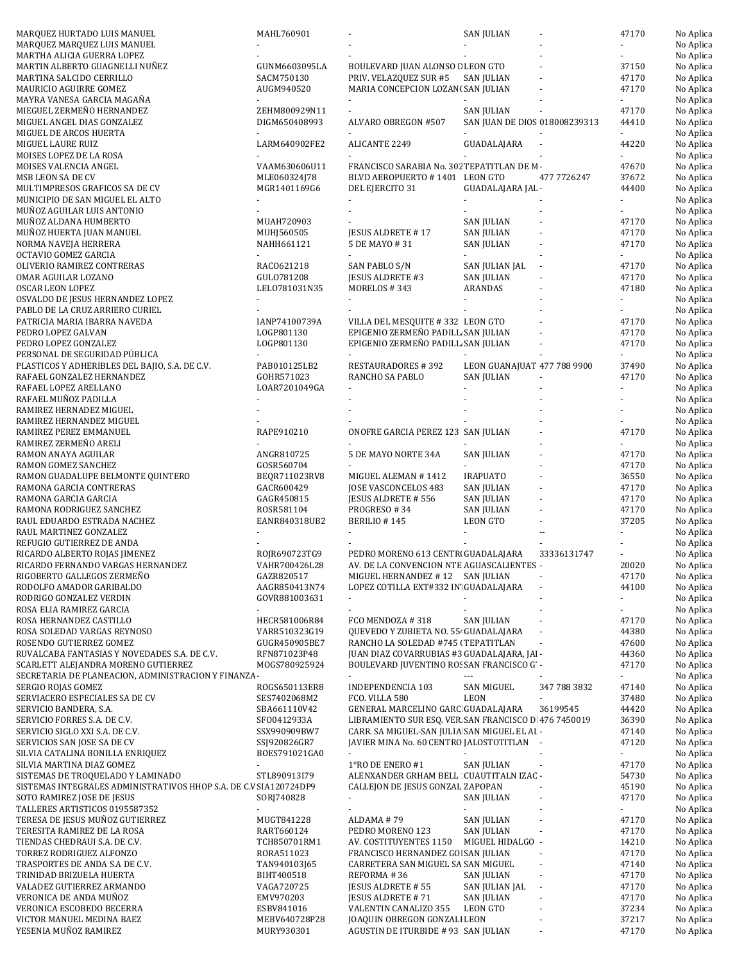|                                                                   | MAHL760901                  |                                                                     |                               |                          |                             |                        |
|-------------------------------------------------------------------|-----------------------------|---------------------------------------------------------------------|-------------------------------|--------------------------|-----------------------------|------------------------|
| MARQUEZ HURTADO LUIS MANUEL                                       |                             |                                                                     | <b>SAN JULIAN</b>             |                          | 47170                       | No Aplica              |
| MARQUEZ MARQUEZ LUIS MANUEL                                       |                             |                                                                     |                               |                          |                             | No Aplica              |
| MARTHA ALICIA GUERRA LOPEZ                                        |                             |                                                                     |                               |                          |                             | No Aplica              |
|                                                                   |                             |                                                                     |                               |                          |                             | No Aplica              |
| MARTIN ALBERTO GUAGNELLI NUÑEZ                                    | GUNM6603095LA               | BOULEVARD JUAN ALONSO E LEON GTO                                    |                               |                          | 37150                       |                        |
| MARTINA SALCIDO CERRILLO                                          | SACM750130                  | PRIV. VELAZQUEZ SUR #5                                              | <b>SAN JULIAN</b>             |                          | 47170                       | No Aplica              |
| MAURICIO AGUIRRE GOMEZ                                            | AUGM940520                  | MARIA CONCEPCION LOZAN(SAN JULIAN                                   |                               |                          | 47170                       | No Aplica              |
| MAYRA VANESA GARCIA MAGAÑA                                        |                             |                                                                     |                               |                          |                             | No Aplica              |
|                                                                   |                             |                                                                     |                               |                          |                             |                        |
| MIEGUEL ZERMEÑO HERNANDEZ                                         | ZEHM800929N11               |                                                                     | <b>SAN JULIAN</b>             |                          | 47170                       | No Aplica              |
| MIGUEL ANGEL DIAS GONZALEZ                                        | DIGM650408993               | ALVARO OBREGON #507                                                 | SAN JUAN DE DIOS 018008239313 |                          | 44410                       | No Aplica              |
| MIGUEL DE ARCOS HUERTA                                            |                             |                                                                     |                               |                          |                             | No Aplica              |
|                                                                   |                             |                                                                     |                               |                          | 44220                       |                        |
| MIGUEL LAURE RUIZ                                                 | LARM640902FE2               | ALICANTE 2249                                                       | GUADALAJARA                   |                          |                             | No Aplica              |
| MOISES LOPEZ DE LA ROSA                                           |                             |                                                                     |                               |                          |                             | No Aplica              |
| MOISES VALENCIA ANGEL                                             | VAAM630606U11               | FRANCISCO SARABIA No. 302 TEPATITLAN DE M-                          |                               |                          | 47670                       | No Aplica              |
| MSB LEON SA DE CV                                                 | MLE060324J78                | BLVD AEROPUERTO #1401 LEON GTO                                      |                               | 477 7726247              | 37672                       | No Aplica              |
|                                                                   |                             |                                                                     |                               |                          |                             |                        |
| MULTIMPRESOS GRAFICOS SA DE CV                                    | MGR1401169G6                | DEL EJERCITO 31                                                     | GUADALAJARA JAL -             |                          | 44400                       | No Aplica              |
| MUNICIPIO DE SAN MIGUEL EL ALTO                                   |                             |                                                                     |                               |                          |                             | No Aplica              |
| MUÑOZ AGUILAR LUIS ANTONIO                                        |                             |                                                                     |                               |                          |                             | No Aplica              |
|                                                                   |                             |                                                                     |                               |                          |                             |                        |
| MUÑOZ ALDANA HUMBERTO                                             | MUAH720903                  |                                                                     | <b>SAN JULIAN</b>             |                          | 47170                       | No Aplica              |
| MUÑOZ HUERTA JUAN MANUEL                                          | MUHJ560505                  | <b>JESUS ALDRETE #17</b>                                            | <b>SAN JULIAN</b>             |                          | 47170                       | No Aplica              |
| NORMA NAVEJA HERRERA                                              | NAHH661121                  | 5 DE MAYO # 31                                                      | SAN JULIAN                    |                          | 47170                       | No Aplica              |
|                                                                   |                             |                                                                     |                               |                          |                             |                        |
| OCTAVIO GOMEZ GARCIA                                              |                             |                                                                     |                               |                          | $\sim$                      | No Aplica              |
| OLIVERIO RAMIREZ CONTRERAS                                        | RAC0621218                  | SAN PABLO S/N                                                       | SAN JULIAN JAL                |                          | 47170                       | No Aplica              |
| OMAR AGUILAR LOZANO                                               | GULO781208                  | JESUS ALDRETE #3                                                    | <b>SAN JULIAN</b>             |                          | 47170                       | No Aplica              |
|                                                                   |                             |                                                                     |                               |                          |                             |                        |
| <b>OSCAR LEON LOPEZ</b>                                           | LEL0781031N35               | MORELOS #343                                                        | ARANDAS                       |                          | 47180                       | No Aplica              |
| OSVALDO DE JESUS HERNANDEZ LOPEZ                                  |                             |                                                                     |                               |                          |                             | No Aplica              |
| PABLO DE LA CRUZ ARRIERO CURIEL                                   |                             |                                                                     |                               |                          |                             | No Aplica              |
| PATRICIA MARIA IBARRA NAVEDA                                      | IANP74100739A               | VILLA DEL MESQUITE #332 LEON GTO                                    |                               |                          | 47170                       | No Aplica              |
|                                                                   |                             |                                                                     |                               |                          |                             |                        |
| PEDRO LOPEZ GALVAN                                                | LOGP801130                  | EPIGENIO ZERMEÑO PADILL SAN JULIAN                                  |                               |                          | 47170                       | No Aplica              |
| PEDRO LOPEZ GONZALEZ                                              | LOGP801130                  | EPIGENIO ZERMEÑO PADILL SAN JULIAN                                  |                               |                          | 47170                       | No Aplica              |
| PERSONAL DE SEGURIDAD PÚBLICA                                     |                             |                                                                     |                               |                          |                             | No Aplica              |
|                                                                   |                             |                                                                     |                               |                          |                             |                        |
| PLASTICOS Y ADHERIBLES DEL BAJIO, S.A. DE C.V.                    | PAB010125LB2                | <b>RESTAURADORES #392</b>                                           | LEON GUANAJUAT 477 788 9900   |                          | 37490                       | No Aplica              |
| RAFAEL GONZALEZ HERNANDEZ                                         | GOHR571023                  | RANCHO SA PABLO                                                     | <b>SAN JULIAN</b>             |                          | 47170                       | No Aplica              |
| RAFAEL LOPEZ ARELLANO                                             | LOAR7201049GA               |                                                                     |                               |                          |                             | No Aplica              |
|                                                                   |                             |                                                                     |                               |                          |                             |                        |
| RAFAEL MUÑOZ PADILLA                                              |                             |                                                                     |                               |                          |                             | No Aplica              |
| RAMIREZ HERNADEZ MIGUEL                                           |                             |                                                                     |                               |                          |                             | No Aplica              |
| RAMIREZ HERNANDEZ MIGUEL                                          |                             |                                                                     |                               |                          |                             | No Aplica              |
| RAMIREZ PEREZ EMMANUEL                                            |                             | ONOFRE GARCIA PEREZ 123 SAN JULIAN                                  |                               |                          | 47170                       |                        |
|                                                                   | RAPE910210                  |                                                                     |                               |                          |                             | No Aplica              |
| RAMIREZ ZERMEÑO ARELI                                             |                             |                                                                     |                               |                          |                             | No Aplica              |
| RAMON ANAYA AGUILAR                                               | ANGR810725                  | 5 DE MAYO NORTE 34A                                                 | <b>SAN JULIAN</b>             |                          | 47170                       | No Aplica              |
| RAMON GOMEZ SANCHEZ                                               | GOSR560704                  |                                                                     |                               |                          | 47170                       | No Aplica              |
|                                                                   |                             |                                                                     |                               |                          |                             |                        |
| RAMON GUADALUPE BELMONTE QUINTERO                                 | BEQR711023RV8               | MIGUEL ALEMAN #1412                                                 | <b>IRAPUATO</b>               |                          | 36550                       | No Aplica              |
| RAMONA GARCIA CONTRERAS                                           | GACR600429                  | JOSE VASCONCELOS 483                                                | SAN JULIAN                    |                          | 47170                       | No Aplica              |
| RAMONA GARCIA GARCIA                                              | GAGR450815                  | JESUS ALDRETE # 556                                                 | <b>SAN JULIAN</b>             |                          | 47170                       | No Aplica              |
|                                                                   |                             |                                                                     |                               |                          |                             |                        |
| RAMONA RODRIGUEZ SANCHEZ                                          | ROSR581104                  | PROGRESO #34                                                        | <b>SAN JULIAN</b>             |                          | 47170                       | No Aplica              |
| RAUL EDUARDO ESTRADA NACHEZ                                       | EANR840318UB2               | BERILIO #145                                                        | LEON GTO                      |                          | 37205                       | No Aplica              |
| RAUL MARTINEZ GONZALEZ                                            |                             |                                                                     |                               | $\sim$ $\sim$            |                             | No Aplica              |
|                                                                   |                             |                                                                     |                               |                          |                             |                        |
| REFUGIO GUTIERREZ DE ANDA                                         |                             |                                                                     |                               |                          |                             | No Aplica              |
| RICARDO ALBERTO ROJAS JIMENEZ                                     | ROJR690723TG9               | PEDRO MORENO 613 CENTRI GUADALAJARA                                 |                               | 33336131747              |                             | No Aplica              |
| RICARDO FERNANDO VARGAS HERNANDEZ                                 | VAHR700426L28               | AV. DE LA CONVENCION NTE AGUASCALIENTES -                           |                               |                          | 20020                       | No Aplica              |
|                                                                   |                             | MIGUEL HERNANDEZ #12 SAN JULIAN                                     |                               |                          |                             |                        |
| RIGOBERTO GALLEGOS ZERMEÑO                                        | GAZR820517                  |                                                                     |                               |                          | 47170                       | No Aplica              |
| RODOLFO AMADOR GARIBALDO                                          | AAGR850413N74               | LOPEZ COTILLA EXT#332 IN' GUADALAJARA                               |                               |                          | 44100                       | No Aplica              |
| RODRIGO GONZALEZ VERDIN                                           | GOVR881003631               | $\blacksquare$                                                      |                               |                          | ÷.                          | No Aplica              |
|                                                                   |                             |                                                                     |                               |                          |                             | No Aplica              |
| ROSA ELIA RAMIREZ GARCIA                                          |                             |                                                                     |                               |                          |                             |                        |
| ROSA HERNANDEZ CASTILLO                                           | HECR581006R84               | FCO MENDOZA #318                                                    | <b>SAN JULIAN</b>             |                          | 47170                       | No Aplica              |
| ROSA SOLEDAD VARGAS REYNOSO                                       | VARR510323G19               | QUEVEDO Y ZUBIETA NO. 55- GUADALAJARA                               |                               | ÷,                       | 44380                       | No Aplica              |
| ROSENDO GUTIERREZ GOMEZ                                           | GUGR450905BE7               | RANCHO LA SOLEDAD #745 (TEPATITLAN                                  |                               | ä,                       | 47600                       | No Aplica              |
|                                                                   |                             |                                                                     |                               |                          |                             |                        |
| RUVALCABA FANTASIAS Y NOVEDADES S.A. DE C.V.                      | RFN871023P48                | JUAN DIAZ COVARRUBIAS #3 GUADALAJARA, JAI-                          |                               |                          | 44360                       | No Aplica              |
| SCARLETT ALEJANDRA MORENO GUTIERREZ                               | MOGS780925924               | BOULEVARD JUVENTINO ROSSAN FRANCISCO G' -                           |                               |                          | 47170                       | No Aplica              |
| SECRETARIA DE PLANEACION, ADMINISTRACION Y FINANZA -              |                             |                                                                     |                               |                          | ÷.                          | No Aplica              |
| SERGIO ROJAS GOMEZ                                                | ROGS650113ER8               | <b>INDEPENDENCIA 103</b>                                            | SAN MIGUEL                    | 347 788 3832             | 47140                       | No Aplica              |
|                                                                   |                             |                                                                     |                               |                          |                             |                        |
| SERVIACERO ESPECIALES SA DE CV                                    | SES7402068M2                | FCO. VILLA 580                                                      | <b>LEON</b>                   | ä,                       | 37480                       | No Aplica              |
| SERVICIO BANDERA, S.A.                                            | SBA661110V42                | GENERAL MARCELINO GARC GUADALAJARA                                  |                               | 36199545                 | 44420                       | No Aplica              |
| SERVICIO FORRES S.A. DE C.V.                                      | SF00412933A                 | LIBRAMIENTO SUR ESQ. VER SAN FRANCISCO D 476 7450019                |                               |                          | 36390                       | No Aplica              |
| SERVICIO SIGLO XXI S.A. DE C.V.                                   | SSX990909BW7                | CARR. SA MIGUEL-SAN JULIA SAN MIGUEL EL AI -                        |                               |                          | 47140                       | No Aplica              |
|                                                                   |                             |                                                                     |                               |                          |                             |                        |
| SERVICIOS SAN JOSE SA DE CV                                       | SSJ920826GR7                | JAVIER MINA No. 60 CENTRO JALOSTOTITLAN -                           |                               |                          | 47120                       | No Aplica              |
| SILVIA CATALINA BONILLA ENRIQUEZ                                  | BOES791021GA0               |                                                                     |                               |                          | ÷.                          | No Aplica              |
| SILVIA MARTINA DIAZ GOMEZ                                         | $\sim$                      | 1°RO DE ENERO #1                                                    | <b>SAN JULIAN</b>             | $\overline{\phantom{a}}$ | 47170                       | No Aplica              |
|                                                                   |                             |                                                                     |                               |                          |                             |                        |
| SISTEMAS DE TROQUELADO Y LAMINADO                                 | STL890913I79                | ALENXANDER GRHAM BELL CUAUTITALN IZAC -                             |                               |                          | 54730                       | No Aplica              |
| SISTEMAS INTEGRALES ADMINISTRATIVOS HHOP S.A. DE C.V SIA120724DP9 |                             | CALLEJON DE JESUS GONZAL ZAPOPAN                                    |                               |                          | 45190                       | No Aplica              |
| SOTO RAMIREZ JOSE DE JESUS                                        | SORJ740828                  |                                                                     | SAN JULIAN                    |                          | 47170                       | No Aplica              |
|                                                                   |                             |                                                                     |                               |                          |                             |                        |
| TALLERES ARTISTICOS 0195587352                                    | $\omega$                    |                                                                     | $\blacksquare$                |                          | $\mathcal{L}_{\mathcal{A}}$ | No Aplica              |
| TERESA DE JESUS MUÑOZ GUTIERREZ                                   | MUGT841228                  | ALDAMA #79                                                          | <b>SAN JULIAN</b>             |                          | 47170                       | No Aplica              |
| TERESITA RAMIREZ DE LA ROSA                                       | RART660124                  | PEDRO MORENO 123                                                    | SAN JULIAN                    | ä,                       | 47170                       | No Aplica              |
|                                                                   |                             |                                                                     |                               |                          |                             |                        |
| TIENDAS CHEDRAUI S.A. DE C.V.                                     | TCH850701RM1                | AV. COSTITUYENTES 1150                                              | MIGUEL HIDALGO -              |                          | 14210                       | No Aplica              |
| TORREZ RODRIGUEZ ALFONZO                                          | RORA511023                  | FRANCISCO HERNANDEZ GOI SAN JULIAN                                  |                               |                          | 47170                       | No Aplica              |
| TRASPORTES DE ANDA S.A DE C.V.                                    | TAN940103J65                | CARRETERA SAN MIGUEL SA SAN MIGUEL                                  |                               |                          | 47140                       | No Aplica              |
|                                                                   |                             |                                                                     |                               | ä,                       |                             |                        |
| TRINIDAD BRIZUELA HUERTA                                          | BIHT400518                  | REFORMA #36                                                         | SAN JULIAN                    |                          | 47170                       | No Aplica              |
| VALADEZ GUTIERREZ ARMANDO                                         |                             |                                                                     |                               |                          | 47170                       | No Aplica              |
|                                                                   | VAGA720725                  | JESUS ALDRETE # 55                                                  | SAN JULIAN JAL                |                          |                             |                        |
| VERONICA DE ANDA MUÑOZ                                            | EMV970203                   |                                                                     | <b>SAN JULIAN</b>             |                          | 47170                       |                        |
|                                                                   |                             | JESUS ALDRETE #71                                                   |                               |                          |                             | No Aplica              |
| VERONICA ESCOBEDO BECERRA                                         | ESBV841016                  | VALENTIN CANALIZO 355                                               | LEON GTO                      |                          | 37234                       | No Aplica              |
| VICTOR MANUEL MEDINA BAEZ<br>YESENIA MUÑOZ RAMIREZ                | MEBV640728P28<br>MURY930301 | JOAQUIN OBREGON GONZALI LEON<br>AGUSTIN DE ITURBIDE # 93 SAN JULIAN |                               |                          | 37217<br>47170              | No Aplica<br>No Aplica |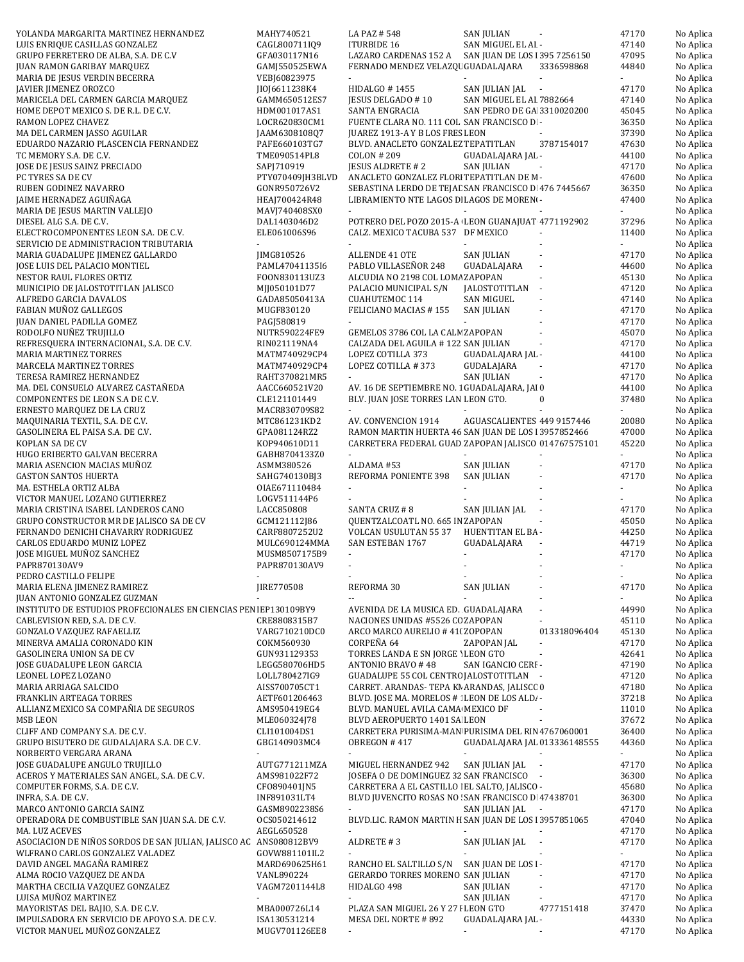| YOLANDA MARGARITA MARTINEZ HERNANDEZ                                                | MAHY740521                     | LA PAZ #548                                                                                       | <b>SAN JULIAN</b>                                      |                          | 47170          | No Aplica              |
|-------------------------------------------------------------------------------------|--------------------------------|---------------------------------------------------------------------------------------------------|--------------------------------------------------------|--------------------------|----------------|------------------------|
| LUIS ENRIQUE CASILLAS GONZALEZ                                                      | CAGL800711IQ9                  | <b>ITURBIDE 16</b>                                                                                | SAN MIGUEL EL AI -                                     |                          | 47140          | No Aplica              |
| GRUPO FERRETERO DE ALBA, S.A. DE C.V                                                | GFA030117N16                   | LAZARO CARDENAS 152 A SAN JUAN DE LOS 1395 7256150                                                |                                                        |                          | 47095          | No Aplica              |
| JUAN RAMON GARIBAY MARQUEZ                                                          | GAMJ550525EWA                  | FERNADO MENDEZ VELAZQU GUADALAJARA                                                                |                                                        | 3336598868               | 44840          | No Aplica              |
| MARIA DE JESUS VERDIN BECERRA                                                       | VEBJ60823975                   |                                                                                                   |                                                        |                          |                | No Aplica              |
| JAVIER JIMENEZ OROZCO                                                               | JI0J6611238K4                  | HIDALGO #1455                                                                                     | SAN JULIAN JAL<br>$\sim$                               |                          | 47170          | No Aplica              |
| MARICELA DEL CARMEN GARCIA MARQUEZ                                                  | GAMM650512ES7                  | JESUS DELGADO # 10<br>SANTA ENGRACIA                                                              | SAN MIGUEL EL AI 7882664<br>SAN PEDRO DE GA 3310020200 |                          | 47140<br>45045 | No Aplica<br>No Aplica |
| HOME DEPOT MEXICO S. DE R.L. DE C.V.<br>RAMON LOPEZ CHAVEZ                          | HDM001017AS1<br>LOCR620830CM1  | FUENTE CLARA NO. 111 COL SAN FRANCISCO D -                                                        |                                                        |                          | 36350          | No Aplica              |
| MA DEL CARMEN JASSO AGUILAR                                                         | JAAM6308108Q7                  | JUAREZ 1913-A Y B LOS FRES LEON                                                                   |                                                        |                          | 37390          | No Aplica              |
| EDUARDO NAZARIO PLASCENCIA FERNANDEZ                                                | PAFE660103TG7                  | BLVD. ANACLETO GONZALEZ TEPATITLAN                                                                |                                                        | 3787154017               | 47630          | No Aplica              |
| TC MEMORY S.A. DE C.V.                                                              | TME090514PL8                   | <b>COLON #209</b>                                                                                 | GUADALAJARA JAL -                                      |                          | 44100          | No Aplica              |
| JOSE DE JESUS SAINZ PRECIADO                                                        | SAPJ710919                     | <b>JESUS ALDRETE #2</b>                                                                           | <b>SAN JULIAN</b>                                      |                          | 47170          | No Aplica              |
| PC TYRES SA DE CV                                                                   | PTY070409JH3BLVD               | ANACLETO GONZALEZ FLORI TEPATITLAN DE M-                                                          |                                                        |                          | 47600          | No Aplica              |
| RUBEN GODINEZ NAVARRO                                                               | GONR950726V2                   | SEBASTINA LERDO DE TEJAL SAN FRANCISCO D 476 7445667                                              |                                                        |                          | 36350          | No Aplica              |
| JAIME HERNADEZ AGUIÑAGA                                                             | HEAJ700424R48                  | LIBRAMIENTO NTE LAGOS D. LAGOS DE MORENI-                                                         |                                                        |                          | 47400          | No Aplica              |
| MARIA DE JESUS MARTIN VALLEJO                                                       | MAVJ740408SX0                  |                                                                                                   |                                                        |                          |                | No Aplica              |
| DIESEL ALG S.A. DE C.V.                                                             | DAL1403046D2                   | POTRERO DEL POZO 2015-A LEON GUANAJUAT 4771192902                                                 |                                                        |                          | 37296          | No Aplica              |
| ELECTROCOMPONENTES LEON S.A. DE C.V.                                                | ELE061006S96                   | CALZ. MEXICO TACUBA 537 DF MEXICO                                                                 |                                                        |                          | 11400          | No Aplica              |
| SERVICIO DE ADMINISTRACION TRIBUTARIA<br>MARIA GUADALUPE JIMENEZ GALLARDO           |                                | ALLENDE 41 OTE                                                                                    | <b>SAN JULIAN</b>                                      |                          | 47170          | No Aplica              |
| JOSE LUIS DEL PALACIO MONTIEL                                                       | JIMG810526<br>PAML47041135I6   | PABLO VILLASEÑOR 248                                                                              | GUADALAJARA                                            |                          | 44600          | No Aplica<br>No Aplica |
| NESTOR RAUL FLORES ORTIZ                                                            | FOON830113UZ3                  | ALCUDIA NO 2198 COL LOMA ZAPOPAN                                                                  |                                                        |                          | 45130          | No Aplica              |
| MUNICIPIO DE JALOSTOTITLAN JALISCO                                                  | MJJ050101D77                   | PALACIO MUNICIPAL S/N                                                                             | JALOSTOTITLAN -                                        |                          | 47120          | No Aplica              |
| ALFREDO GARCIA DAVALOS                                                              | GADA85050413A                  | CUAHUTEMOC 114                                                                                    | <b>SAN MIGUEL</b>                                      |                          | 47140          | No Aplica              |
| FABIAN MUÑOZ GALLEGOS                                                               | MUGF830120                     | FELICIANO MACIAS #155                                                                             | SAN JULIAN                                             |                          | 47170          | No Aplica              |
| <b>JUAN DANIEL PADILLA GOMEZ</b>                                                    | PAGJ580819                     |                                                                                                   | $\omega$                                               |                          | 47170          | No Aplica              |
| RODOLFO NUÑEZ TRUJILLO                                                              | NUTR590224FE9                  | GEMELOS 3786 COL LA CALM ZAPOPAN                                                                  |                                                        |                          | 45070          | No Aplica              |
| REFRESQUERA INTERNACIONAL, S.A. DE C.V.                                             | RIN021119NA4                   | CALZADA DEL AGUILA # 122 SAN JULIAN                                                               |                                                        | $\blacksquare$           | 47170          | No Aplica              |
| <b>MARIA MARTINEZ TORRES</b>                                                        | MATM740929CP4                  | LOPEZ COTILLA 373                                                                                 | GUADALAJARA JAL -                                      |                          | 44100          | No Aplica              |
| MARCELA MARTINEZ TORRES                                                             | MATM740929CP4                  | LOPEZ COTILLA #373                                                                                | GUDALAJARA                                             | $\overline{\phantom{a}}$ | 47170          | No Aplica              |
| TERESA RAMIREZ HERNANDEZ                                                            | RAHT370821MR5                  |                                                                                                   | SAN JULIAN                                             |                          | 47170          | No Aplica              |
| MA. DEL CONSUELO ALVAREZ CASTAÑEDA<br>COMPONENTES DE LEON S.A DE C.V.               | AACC660521V20<br>CLE121101449  | AV. 16 DE SEPTIEMBRE NO. 1 GUADALAJARA, JAI 0<br>BLV. JUAN JOSE TORRES LAN LEON GTO.              |                                                        | 0                        | 44100<br>37480 | No Aplica<br>No Aplica |
| ERNESTO MARQUEZ DE LA CRUZ                                                          | MACR830709S82                  | ÷.                                                                                                |                                                        |                          | ÷.             | No Aplica              |
| MAQUINARIA TEXTIL, S.A. DE C.V.                                                     | MTC861231KD2                   | AV. CONVENCION 1914                                                                               | AGUASCALIENTES 449 9157446                             |                          | 20080          | No Aplica              |
| GASOLINERA EL PAISA S.A. DE C.V.                                                    | GPA081124RZ2                   | RAMON MARTIN HUERTA 46 SAN JUAN DE LOS 13957852466                                                |                                                        |                          | 47000          | No Aplica              |
| KOPLAN SA DE CV                                                                     | K0P940610D11                   | CARRETERA FEDERAL GUAD ZAPOPAN JALISCO 014767575101                                               |                                                        |                          | 45220          | No Aplica              |
| HUGO ERIBERTO GALVAN BECERRA                                                        | GABH8704133Z0                  | $\blacksquare$                                                                                    |                                                        |                          | $\sim$         | No Aplica              |
| MARIA ASENCION MACIAS MUÑOZ                                                         | ASMM380526                     | ALDAMA #53                                                                                        | <b>SAN JULIAN</b>                                      |                          | 47170          | No Aplica              |
| <b>GASTON SANTOS HUERTA</b>                                                         | SAHG740130BJ3                  | REFORMA PONIENTE 398                                                                              | <b>SAN JULIAN</b>                                      |                          | 47170          | No Aplica              |
| MA. ESTHELA ORTIZ ALBA                                                              | OIAE671110484                  |                                                                                                   |                                                        |                          |                | No Aplica              |
| VICTOR MANUEL LOZANO GUTIERREZ                                                      | LOGV511144P6                   |                                                                                                   |                                                        |                          |                | No Aplica              |
| MARIA CRISTINA ISABEL LANDEROS CANO                                                 | LACC850808                     | SANTA CRUZ #8                                                                                     | SAN JULIAN JAL                                         | ÷,                       | 47170          | No Aplica              |
| GRUPO CONSTRUCTOR MR DE JALISCO SA DE CV                                            | GCM121112J86                   | QUENTZALCOATL NO. 665 IN ZAPOPAN                                                                  |                                                        |                          | 45050          | No Aplica              |
| FERNANDO DENICHI CHAVARRY RODRIGUEZ<br>CARLOS EDUARDO MUNIZ LOPEZ                   | CARF8807252U2<br>MULC690124MMA | VOLCAN USULUTAN 55 37<br>SAN ESTEBAN 1767                                                         | HUENTITAN EL BA-<br>GUADALAJARA                        |                          | 44250<br>44719 | No Aplica<br>No Aplica |
| JOSE MIGUEL MUÑOZ SANCHEZ                                                           | MUSM8507175B9                  | $\blacksquare$                                                                                    | $\overline{\phantom{a}}$                               |                          | 47170          | No Aplica              |
| PAPR870130AV9                                                                       | PAPR870130AV9                  | ä,                                                                                                |                                                        |                          |                | No Aplica              |
| PEDRO CASTILLO FELIPE                                                               |                                | $\blacksquare$                                                                                    |                                                        |                          | $\sim$         | No Aplica              |
| MARIA ELENA JIMENEZ RAMIREZ                                                         | <b>IIRE770508</b>              | REFORMA 30                                                                                        | <b>SAN JULIAN</b>                                      |                          | 47170          | No Aplica              |
| JUAN ANTONIO GONZALEZ GUZMAN                                                        |                                | цü                                                                                                |                                                        |                          |                | No Aplica              |
| INSTITUTO DE ESTUDIOS PROFECIONALES EN CIENCIAS PEN IEP130109BY9                    |                                | AVENIDA DE LA MUSICA ED. GUADALAJARA                                                              |                                                        |                          | 44990          | No Aplica              |
| CABLEVISION RED, S.A. DE C.V.                                                       | CRE8808315B7                   | NACIONES UNIDAS #5526 CC ZAPOPAN                                                                  |                                                        |                          | 45110          | No Aplica              |
| <b>GONZALO VAZQUEZ RAFAELLIZ</b>                                                    | VARG710210DC0                  | ARCO MARCO AURELIO # 41(ZOPOPAN                                                                   |                                                        | 013318096404             | 45130          | No Aplica              |
| MINERVA AMALIA CORONADO KIN                                                         | COKM560930                     | CORPEÑA 64                                                                                        | ZAPOPAN JAL                                            |                          | 47170          | No Aplica              |
| <b>GASOLINERA UNION SA DE CV</b><br>JOSE GUADALUPE LEON GARCIA                      | GUN931129353<br>LEGG580706HD5  | TORRES LANDA E SN JORGE 1 LEON GTO                                                                | SAN IGANCIO CERI -                                     |                          | 42641<br>47190 | No Aplica              |
| LEONEL LOPEZ LOZANO                                                                 | LOLL780427IG9                  | ANTONIO BRAVO #48<br>GUADALUPE 55 COL CENTRO JALOSTOTITLAN -                                      |                                                        |                          | 47120          | No Aplica<br>No Aplica |
| MARIA ARRIAGA SALCIDO                                                               | AISS700705CT1                  | CARRET. ARANDAS- TEPA KN ARANDAS, JALISCC 0                                                       |                                                        |                          | 47180          | No Aplica              |
| FRANKLIN ARTEAGA TORRES                                                             | AETF601206463                  | BLVD. JOSE MA. MORELOS # LEON DE LOS ALD. -                                                       |                                                        |                          | 37218          | No Aplica              |
| ALLIANZ MEXICO SA COMPAÑIA DE SEGUROS                                               | AMS950419EG4                   | BLVD. MANUEL AVILA CAMA MEXICO DF                                                                 |                                                        |                          | 11010          | No Aplica              |
| MSB LEON                                                                            | MLE060324J78                   | BLVD AEROPUERTO 1401 SA LEON                                                                      |                                                        |                          | 37672          | No Aplica              |
| CLIFF AND COMPANY S.A. DE C.V.                                                      | CLI101004DS1                   | CARRETERA PURISIMA-MAN PURISIMA DEL RIN 4767060001                                                |                                                        |                          | 36400          | No Aplica              |
| GRUPO BISUTERO DE GUDALAJARA S.A. DE C.V.                                           | GBG140903MC4                   | OBREGON #417                                                                                      | GUADALAJARA JAL 013336148555                           |                          | 44360          | No Aplica              |
| NORBERTO VERGARA ARANA                                                              | ä,                             |                                                                                                   | $\sim$                                                 |                          | ÷.             | No Aplica              |
| JOSE GUADALUPE ANGULO TRUJILLO                                                      | AUTG771211MZA                  | MIGUEL HERNANDEZ 942                                                                              | SAN JULIAN JAL<br>$\sim$                               |                          | 47170          | No Aplica              |
| ACEROS Y MATERIALES SAN ANGEL, S.A. DE C.V.                                         | AMS981022F72                   | JOSEFA O DE DOMINGUEZ 32 SAN FRANCISCO -                                                          |                                                        |                          | 36300          | No Aplica              |
| COMPUTER FORMS, S.A. DE C.V.<br>INFRA, S.A. DE C.V.                                 | CF0890401JN5<br>INF891031LT4   | CARRETERA A EL CASTILLO   EL SALTO, JALISCO -<br>BLVD JUVENCITO ROSAS NO SAN FRANCISCO D 47438701 |                                                        |                          | 45680<br>36300 | No Aplica<br>No Aplica |
| MARCO ANTONIO GARCIA SAINZ                                                          | GASM8902238S6                  | $\sim$                                                                                            | SAN JULIAN JAL<br>$\sim$ $\sim$                        |                          | 47170          | No Aplica              |
| OPERADORA DE COMBUSTIBLE SAN JUAN S.A. DE C.V.                                      | OCS050214612                   | BLVD.LIC. RAMON MARTIN H SAN JUAN DE LOS 13957851065                                              |                                                        |                          | 47040          | No Aplica              |
| MA. LUZ ACEVES                                                                      | AEGL650528                     |                                                                                                   |                                                        |                          | 47170          | No Aplica              |
| ASOCIACION DE NIÑOS SORDOS DE SAN JULIAN, JALISCO AC ANS080812BV9                   |                                | ALDRETE #3                                                                                        | SAN JULIAN JAL<br>$\overline{\phantom{a}}$             |                          | 47170          | No Aplica              |
| WLFRANO CARLOS GONZALEZ VALADEZ                                                     | GOVW881101IL2                  | $\blacksquare$                                                                                    | $\omega$                                               |                          | $\sim$         | No Aplica              |
| DAVID ANGEL MAGAÑA RAMIREZ                                                          | MARD690625H61                  | RANCHO EL SALTILLO S/N                                                                            | SAN JUAN DE LOS I-                                     |                          | 47170          | No Aplica              |
| ALMA ROCIO VAZQUEZ DE ANDA                                                          | VANL890224                     | GERARDO TORRES MORENO SAN JULIAN                                                                  |                                                        |                          | 47170          | No Aplica              |
| MARTHA CECILIA VAZQUEZ GONZALEZ                                                     | VAGM7201144L8                  | HIDALGO 498                                                                                       | <b>SAN JULIAN</b>                                      |                          | 47170          | No Aplica              |
| LUISA MUÑOZ MARTINEZ                                                                | $\blacksquare$                 | $\blacksquare$                                                                                    | SAN JULIAN                                             | $\blacksquare$           | 47170          | No Aplica              |
| MAYORISTAS DEL BAJIO, S.A. DE C.V.<br>IMPULSADORA EN SERVICIO DE APOYO S.A. DE C.V. | MBA000726L14<br>ISA130531214   | PLAZA SAN MIGUEL 26 Y 27 I LEON GTO                                                               | GUADALAJARA JAL -                                      | 4777151418               | 37470<br>44330 | No Aplica              |
| VICTOR MANUEL MUÑOZ GONZALEZ                                                        | MUGV701126EE8                  | MESA DEL NORTE #892                                                                               |                                                        |                          | 47170          | No Aplica<br>No Aplica |
|                                                                                     |                                |                                                                                                   |                                                        |                          |                |                        |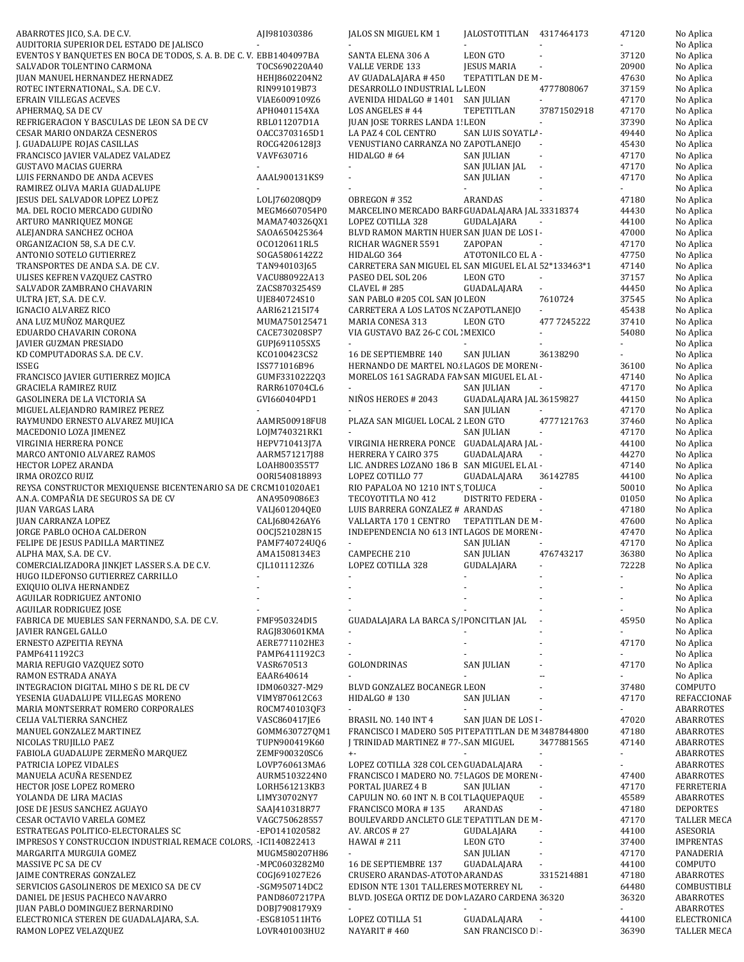| ABARROTES JICO, S.A. DE C.V.                                                | AJI981030386                   | JALOS SN MIGUEL KM 1                                                      | JALOSTOTITLAN 4317464173 |                          | 47120          | No Aplica                |
|-----------------------------------------------------------------------------|--------------------------------|---------------------------------------------------------------------------|--------------------------|--------------------------|----------------|--------------------------|
| AUDITORIA SUPERIOR DEL ESTADO DE JALISCO                                    |                                |                                                                           |                          |                          |                | No Aplica                |
| EVENTOS Y BANQUETES EN BOCA DE TODOS, S. A. B. DE C. V. EBB1404097BA        |                                | SANTA ELENA 306 A                                                         | LEON GTO                 |                          | 37120          | No Aplica                |
| SALVADOR TOLENTINO CARMONA                                                  | TOCS690220A40                  | VALLE VERDE 133                                                           | <b>JESUS MARIA</b>       | ä,                       | 20900          | No Aplica                |
| <b>JUAN MANUEL HERNANDEZ HERNADEZ</b>                                       | HEHJ8602204N2                  | AV GUADALAJARA #450                                                       | TEPATITLAN DE M-         |                          | 47630          | No Aplica                |
| ROTEC INTERNATIONAL, S.A. DE C.V.                                           | RIN991019B73                   | DESARROLLO INDUSTRIAL L LEON                                              |                          | 4777808067               | 37159          | No Aplica                |
| EFRAIN VILLEGAS ACEVES                                                      | VIAE6009109Z6                  | AVENIDA HIDALGO #1401                                                     | SAN JULIAN               |                          | 47170          | No Aplica                |
| APHERMAQ, SA DE CV                                                          | APH0401154XA                   | LOS ANGELES #44                                                           | TEPETITLAN               | 37871502918              | 47170          | No Aplica                |
| REFRIGERACION Y BASCULAS DE LEON SA DE CV                                   | RBL011207D1A                   | JUAN JOSE TORRES LANDA 1! LEON                                            |                          | $\sim$                   | 37390          | No Aplica                |
| <b>CESAR MARIO ONDARZA CESNEROS</b>                                         | 0ACC3703165D1                  | LA PAZ 4 COL CENTRO                                                       | SAN LUIS SOYATL/ -       |                          | 49440          | No Aplica                |
| J. GUADALUPE ROJAS CASILLAS                                                 | ROCG4206128J3                  | VENUSTIANO CARRANZA NO ZAPOTLANEJO                                        |                          |                          | 45430          | No Aplica                |
| FRANCISCO JAVIER VALADEZ VALADEZ                                            | VAVF630716                     | HIDALGO # 64                                                              | <b>SAN JULIAN</b>        | $\sim$                   | 47170          | No Aplica                |
| <b>GUSTAVO MACIAS GUERRA</b>                                                |                                |                                                                           | SAN JULIAN JAL           | $\overline{\phantom{a}}$ | 47170          | No Aplica                |
| LUIS FERNANDO DE ANDA ACEVES                                                | AAAL900131KS9                  |                                                                           | <b>SAN JULIAN</b>        | $\sim$                   | 47170          | No Aplica                |
| RAMIREZ OLIVA MARIA GUADALUPE                                               |                                |                                                                           |                          |                          |                | No Aplica                |
| JESUS DEL SALVADOR LOPEZ LOPEZ                                              | LOLJ760208QD9                  | OBREGON #352                                                              | ARANDAS                  |                          | 47180          | No Aplica                |
| MA. DEL ROCIO MERCADO GUDIÑO                                                | MEGM6607054P0                  | MARCELINO MERCADO BARF GUADALAJARA JAL 33318374                           |                          |                          | 44430          | No Aplica                |
| ARTURO MANRIQUEZ MONGE                                                      | MAMA740326QX1                  | LOPEZ COTILLA 328                                                         | GUDALAJARA               |                          | 44100          | No Aplica                |
| ALEJANDRA SANCHEZ OCHOA                                                     | SAOA650425364                  | BLVD RAMON MARTIN HUER SAN JUAN DE LOS I-                                 |                          |                          | 47000          | No Aplica                |
| ORGANIZACION 58, S.A DE C.V.                                                | OC0120611RL5                   | RICHAR WAGNER 5591                                                        | ZAPOPAN                  |                          | 47170          | No Aplica                |
| ANTONIO SOTELO GUTIERREZ                                                    | SOGA5806142Z2                  | HIDALGO 364                                                               | ATOTONILCO EL A -        |                          | 47750          | No Aplica                |
| TRANSPORTES DE ANDA S.A. DE C.V.                                            | TAN940103J65                   | CARRETERA SAN MIGUEL EL SAN MIGUEL EL AI 52*133463*1<br>PASEO DEL SOL 206 | <b>LEON GTO</b>          |                          | 47140<br>37157 | No Aplica<br>No Aplica   |
| ULISES KEFREN VAZQUEZ CASTRO<br>SALVADOR ZAMBRANO CHAVARIN                  | VACU880922A13<br>ZACS8703254S9 | <b>CLAVEL #285</b>                                                        | GUADALAJARA              | $\overline{\phantom{a}}$ | 44450          | No Aplica                |
| ULTRA JET, S.A. DE C.V.                                                     | UJE840724S10                   | SAN PABLO #205 COL SAN JO LEON                                            |                          | 7610724                  | 37545          | No Aplica                |
| IGNACIO ALVAREZ RICO                                                        | AARI621215I74                  | CARRETERA A LOS LATOS N(ZAPOTLANEJO                                       |                          |                          | 45438          | No Aplica                |
| ANA LUZ MUÑOZ MARQUEZ                                                       | MUMA750125471                  | MARIA CONESA 313                                                          | <b>LEON GTO</b>          | 477 7245222              | 37410          | No Aplica                |
| EDUARDO CHAVARIN CORONA                                                     | CACE730208SP7                  | VIA GUSTAVO BAZ 26-C COL : MEXICO                                         |                          |                          | 54080          | No Aplica                |
| <b>JAVIER GUZMAN PRESIADO</b>                                               | GUPI691105SX5                  |                                                                           |                          |                          |                | No Aplica                |
| KD COMPUTADORAS S.A. DE C.V.                                                | KC0100423CS2                   | 16 DE SEPTIEMBRE 140                                                      | <b>SAN JULIAN</b>        | 36138290                 |                | No Aplica                |
| ISSEG                                                                       | ISS771016B96                   | HERNANDO DE MARTEL NO.4 LAGOS DE MORENO-                                  |                          |                          | 36100          | No Aplica                |
| FRANCISCO JAVIER GUTIERREZ MOJICA                                           | GUMF3310222Q3                  | MORELOS 161 SAGRADA FAN SAN MIGUEL EL AI -                                |                          |                          | 47140          | No Aplica                |
| <b>GRACIELA RAMIREZ RUIZ</b>                                                | RARR610704CL6                  |                                                                           | <b>SAN JULIAN</b>        |                          | 47170          | No Aplica                |
| GASOLINERA DE LA VICTORIA SA                                                | GVI660404PD1                   | NIÑOS HEROES # 2043                                                       | GUADALAJARA JAL 36159827 |                          | 44150          | No Aplica                |
| MIGUEL ALEJANDRO RAMIREZ PEREZ                                              |                                |                                                                           | <b>SAN JULIAN</b>        | $\overline{\phantom{a}}$ | 47170          | No Aplica                |
| RAYMUNDO ERNESTO ALVAREZ MUJICA                                             | AAMR500918FU8                  | PLAZA SAN MIGUEL LOCAL 2 LEON GTO                                         |                          | 4777121763               | 37460          | No Aplica                |
| MACEDONIO LOZA JIMENEZ                                                      | LOJM740321RK1                  |                                                                           | <b>SAN JULIAN</b>        | $\sim$                   | 47170          | No Aplica                |
| VIRGINIA HERRERA PONCE                                                      | HEPV710413J7A                  | VIRGINIA HERRERA PONCE GUADALAJARA JAL -                                  |                          |                          | 44100          | No Aplica                |
| MARCO ANTONIO ALVAREZ RAMOS                                                 | AARM571217J88                  | HERRERA Y CAIRO 375                                                       | GUADALAJARA<br>$\sim$    |                          | 44270          | No Aplica                |
| HECTOR LOPEZ ARANDA                                                         | LOAH800355T7                   | LIC. ANDRES LOZANO 186 B SAN MIGUEL EL AI -                               |                          |                          | 47140          | No Aplica                |
| IRMA OROZCO RUIZ                                                            | 00RI540818893                  | LOPEZ COTILLO 77                                                          | GUADALAJARA              | 36142785                 | 44100          | No Aplica                |
| REYSA CONSTRUCTOR MEXIQUENSE BICENTENARIO SA DE CRCM101020AE1               |                                | RIO PAPALOA NO 1210 INT S TOLUCA                                          |                          |                          | 50010          | No Aplica                |
| A.N.A. COMPAÑIA DE SEGUROS SA DE CV                                         | ANA9509086E3                   | TECOYOTITLA NO 412                                                        | DISTRITO FEDERA -        |                          | 01050          | No Aplica                |
| <b>JUAN VARGAS LARA</b>                                                     | VALJ601204QE0                  | LUIS BARRERA GONZALEZ # ARANDAS                                           |                          |                          | 47180          | No Aplica                |
| JUAN CARRANZA LOPEZ                                                         | CALJ680426AY6                  | VALLARTA 170 1 CENTRO                                                     | TEPATITLAN DE M-         |                          | 47600          | No Aplica                |
| JORGE PABLO OCHOA CALDERON                                                  | 00CJ521028N15                  | INDEPENDENCIA NO 613 INTLAGOS DE MORENO-                                  |                          |                          | 47470          | No Aplica                |
| FELIPE DE JESUS PADILLA MARTINEZ                                            | PAMF740724UQ6                  |                                                                           | <b>SAN JULIAN</b>        |                          | 47170          | No Aplica                |
| ALPHA MAX, S.A. DE C.V.                                                     | AMA1508134E3                   | CAMPECHE 210                                                              | <b>SAN JULIAN</b>        | 476743217                | 36380          | No Aplica                |
| COMERCIALIZADORA JINKJET LASSER S.A. DE C.V.                                | CIL1011123Z6                   | LOPEZ COTILLA 328                                                         | GUDALAJARA               | $\bar{a}$                | 72228          | No Aplica                |
| HUGO ILDEFONSO GUTIERREZ CARRILLO                                           |                                |                                                                           |                          |                          |                | No Aplica                |
| EXIQUIO OLIVA HERNANDEZ                                                     |                                |                                                                           |                          |                          |                | No Aplica                |
| AGUILAR RODRIGUEZ ANTONIO                                                   |                                |                                                                           |                          |                          |                | No Aplica                |
| AGUILAR RODRIGUEZ JOSE                                                      |                                |                                                                           |                          |                          |                | No Aplica                |
| FABRICA DE MUEBLES SAN FERNANDO, S.A. DE C.V.                               | FMF950324DI5                   | GUADALAJARA LA BARCA S/I PONCITLAN JAL                                    |                          | $\overline{\phantom{a}}$ | 45950          | No Aplica                |
| JAVIER RANGEL GALLO                                                         | RAGJ830601KMA                  |                                                                           |                          |                          |                | No Aplica                |
| ERNESTO AZPEITIA REYNA                                                      | AERE771102HE3                  | $\blacksquare$                                                            |                          |                          | 47170          | No Aplica                |
| PAMP6411192C3                                                               | PAMP6411192C3                  |                                                                           |                          |                          |                | No Aplica                |
| MARIA REFUGIO VAZQUEZ SOTO                                                  | VASR670513                     | GOLONDRINAS                                                               | <b>SAN JULIAN</b>        |                          | 47170          | No Aplica                |
| RAMON ESTRADA ANAYA                                                         | EAAR640614                     | BLVD GONZALEZ BOCANEGR LEON                                               |                          |                          |                | No Aplica                |
| INTEGRACION DIGITAL MIHO S DE RL DE CV<br>YESENIA GUADALUPE VILLEGAS MORENO | IDM060327-M29                  |                                                                           |                          |                          | 37480<br>47170 | COMPUTO                  |
| MARIA MONTSERRAT ROMERO CORPORALES                                          | VIMY870612C63<br>ROCM740103QF3 | HIDALGO #130<br>÷.                                                        | <b>SAN JULIAN</b>        |                          |                | REFACCIONAF<br>ABARROTES |
| CELIA VALTIERRA SANCHEZ                                                     | VASC860417JE6                  | BRASIL NO. 140 INT 4                                                      | SAN JUAN DE LOS I-       |                          | 47020          | ABARROTES                |
| MANUEL GONZALEZ MARTINEZ                                                    | GOMM630727QM1                  | FRANCISCO I MADERO 505 PI TEPATITLAN DE M 3487844800                      |                          |                          | 47180          | ABARROTES                |
| NICOLAS TRUJILLO PAEZ                                                       | TUPN900419K60                  | J TRINIDAD MARTINEZ # 77- SAN MIGUEL                                      |                          | 3477881565               | 47140          | ABARROTES                |
| FABIOLA GUADALUPE ZERMEÑO MARQUEZ                                           | ZEMF900320SC6                  | $+ -$                                                                     |                          |                          | ÷.             | ABARROTES                |
| PATRICIA LOPEZ VIDALES                                                      | LOVP760613MA6                  | LOPEZ COTILLA 328 COL CEN GUADALAJARA                                     |                          | ä,                       |                | ABARROTES                |
| MANUELA ACUÑA RESENDEZ                                                      | AURM5103224N0                  | FRANCISCO I MADERO NO. 7! LAGOS DE MOREN-                                 |                          |                          | 47400          | ABARROTES                |
| HECTOR JOSE LOPEZ ROMERO                                                    | LORH561213KB3                  | PORTAL JUAREZ 4 B                                                         | <b>SAN JULIAN</b>        |                          | 47170          | <b>FERRETERIA</b>        |
| YOLANDA DE LIRA MACIAS                                                      | LIMY30702NY7                   | CAPULIN NO. 60 INT N. B COI TLAQUEPAQUE                                   |                          | $\overline{\phantom{a}}$ | 45589          | ABARROTES                |
| JOSE DE JESUS SANCHEZ AGUAYO                                                | SAAJ410318R77                  | FRANCISCO MORA #135                                                       | ARANDAS                  | $\sim$                   | 47180          | DEPORTES                 |
| CESAR OCTAVIO VARELA GOMEZ                                                  | VAGC750628557                  | BOULEVARDD ANCLETO GLE TEPATITLAN DE M-                                   |                          |                          | 47170          | TALLER MECA              |
| ESTRATEGAS POLITICO-ELECTORALES SC                                          | -EP0141020582                  | AV. ARCOS # 27                                                            | GUDALAJARA               |                          | 44100          | ASESORIA                 |
| IMPRESOS Y CONSTRUCCION INDUSTRIAL REMACE COLORS, -ICI140822413             |                                | <b>HAWAI#211</b>                                                          | LEON GTO                 |                          | 37400          | <b>IMPRENTAS</b>         |
| MARGARITA MURGUIA GOMEZ                                                     | MUGM580207H86                  | $\sim$                                                                    | <b>SAN JULIAN</b>        | $\blacksquare$           | 47170          | PANADERIA                |
| MASSIVE PC SA DE CV                                                         | -MPC0603282M0                  | 16 DE SEPTIEMBRE 137                                                      | GUADALAJARA              |                          | 44100          | COMPUTO                  |
| JAIME CONTRERAS GONZALEZ                                                    | COGJ691027E26                  | CRUSERO ARANDAS-ATOTOI ARANDAS                                            |                          | 3315214881               | 47180          | ABARROTES                |
| SERVICIOS GASOLINEROS DE MEXICO SA DE CV                                    | -SGM950714DC2                  | EDISON NTE 1301 TALLERES MOTERREY NL                                      |                          |                          | 64480          | COMBUSTIBLE              |
| DANIEL DE JESUS PACHECO NAVARRO                                             | PAND8607217PA                  | BLVD. JOSEGA ORTIZ DE DON LAZARO CARDENA 36320                            |                          |                          | 36320          | ABARROTES                |
| JUAN PABLO DOMINGUEZ BERNARDINO                                             | DOBJ7908179X9                  |                                                                           |                          |                          |                | ABARROTES                |
| ELECTRONICA STEREN DE GUADALAJARA, S.A.                                     | -ESG810511HT6                  | LOPEZ COTILLA 51                                                          | GUADALAJARA              | $\overline{\phantom{a}}$ | 44100          | ELECTRONICA              |
| RAMON LOPEZ VELAZQUEZ                                                       | LOVR401003HU2                  | NAYARIT #460                                                              | SAN FRANCISCO D -        |                          | 36390          | TALLER MECA              |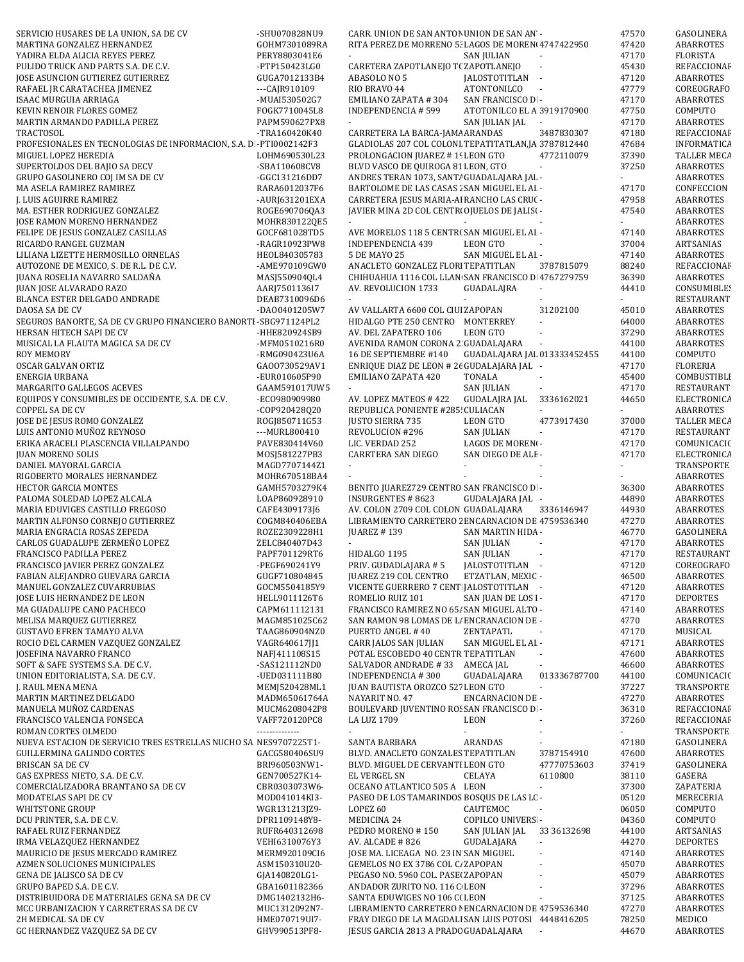| SERVICIO HUSARES DE LA UNION, SA DE CV                                                    | -SHU070828NU9                   | CARR. UNION DE SAN ANTON UNION DE SAN AN -                                               |                                      |                             | 47570                                | GASOLINERA                           |
|-------------------------------------------------------------------------------------------|---------------------------------|------------------------------------------------------------------------------------------|--------------------------------------|-----------------------------|--------------------------------------|--------------------------------------|
| MARTINA GONZALEZ HERNANDEZ                                                                | GOHM7301089RA                   | RITA PEREZ DE MORRENO 5. LAGOS DE MOREN 4747422950                                       |                                      |                             | 47420                                | ABARROTES                            |
| YADIRA ELDA ALICIA REYES PEREZ<br>PULIDO TRUCK AND PARTS S.A. DE C.V.                     | PERY8803041E6<br>-PTP150423LG0  | CARETERA ZAPOTLANEJO T(ZAPOTLANEJO                                                       | SAN JULIAN                           | $\mathcal{L}_{\mathcal{A}}$ | 47170<br>45430                       | FLORISTA<br>REFACCIONAF              |
| JOSE ASUNCION GUTIEREZ GUTIERREZ                                                          | GUGA7012133B4                   | ABASOLO NO 5                                                                             | JALOSTOTITLAN -                      |                             | 47120                                | ABARROTES                            |
| RAFAEL JR CARATACHEA JIMENEZ                                                              | $-CA$ JR $910109$               | RIO BRAVO 44                                                                             | <b>ATONTONILCO</b>                   | $\sim$                      | 47779                                | COREOGRAFO                           |
| ISAAC MURGUIA ARRIAGA                                                                     | -MUAI530502G7                   | <b>EMILIANO ZAPATA #304</b>                                                              | SAN FRANCISCO D -                    |                             | 47170                                | ABARROTES                            |
| KEVIN RENOIR FLORES GOMEZ                                                                 | FOGK7710045L8                   | <b>INDEPENDENCIA # 599</b>                                                               | ATOTONILCO EL A 3919170900           |                             | 47750                                | COMPUTO                              |
| MARTIN ARMANDO PADILLA PEREZ                                                              | PAPM590627PX8                   |                                                                                          | SAN JULIAN JAL                       | $\overline{\phantom{a}}$    | 47170                                | <b>ABARROTES</b>                     |
| TRACTOSOL                                                                                 | -TRA160420K40                   | CARRETERA LA BARCA-JAMA ARANDAS                                                          |                                      | 3487830307                  | 47180                                | REFACCIONAF                          |
| PROFESIONALES EN TECNOLOGIAS DE INFORMACION, S.A. DI-PTI0002142F3<br>MIGUEL LOPEZ HEREDIA | LOHM690530L23                   | GLADIOLAS 207 COL COLONI TEPATITATLAN, JA 3787812440<br>PROLONGACION JUAREZ #19 LEON GTO |                                      | 4772110079                  | 47684<br>37390                       | <b>INFORMATICA</b><br>TALLER MECA    |
| SUPERTOLDOS DEL BAJIO SA DECV                                                             | -SBA110608CV8                   | BLVD VASCO DE QUIROGA 81 LEON, GTO                                                       |                                      |                             | 37250                                | ABARROTES                            |
| GRUPO GASOLINERO COJ IM SA DE CV                                                          | -GGC131216DD7                   | ANDRES TERAN 1073, SANT/ GUADALAJARA JAL -                                               |                                      |                             |                                      | <b>ABARROTES</b>                     |
| MA ASELA RAMIREZ RAMIREZ                                                                  | RARA6012037F6                   | BARTOLOME DE LAS CASAS : SAN MIGUEL EL AI -                                              |                                      |                             | 47170                                | CONFECCION                           |
| J. LUIS AGUIRRE RAMIREZ                                                                   | -AURJ631201EXA                  | CARRETERA JESUS MARIA-AJ RANCHO LAS CRU( -                                               |                                      |                             | 47958                                | ABARROTES                            |
| MA. ESTHER RODRIGUEZ GONZALEZ                                                             | ROGE690706QA3                   | JAVIER MINA 2D COL CENTRI OJUELOS DE JALISI -                                            |                                      |                             | 47540                                | ABARROTES                            |
| JOSE RAMON MORENO HERNANDEZ<br>FELIPE DE JESUS GONZALEZ CASILLAS                          | MOHR830122QE5<br>GOCF681028TD5  | $\mathcal{L}_{\mathrm{max}}$<br>AVE MORELOS 118 5 CENTR( SAN MIGUEL EL AI -              | $\sim$                               |                             | $\mathcal{L}^{\mathcal{A}}$<br>47140 | ABARROTES<br>ABARROTES               |
| RICARDO RANGEL GUZMAN                                                                     | -RAGR10923PW8                   | INDEPENDENCIA 439                                                                        | LEON GTO                             |                             | 37004                                | ARTSANIAS                            |
| LILIANA LIZETTE HERMOSILLO ORNELAS                                                        | HEOL840305783                   | 5 DE MAYO 25                                                                             | SAN MIGUEL EL AI -                   |                             | 47140                                | ABARROTES                            |
| AUTOZONE DE MEXICO, S. DE R.L. DE C.V.                                                    | -AME970109GW0                   | ANACLETO GONZALEZ FLORI TEPATITLAN                                                       |                                      | 3787815079                  | 88240                                | REFACCIONAF                          |
| JUANA ROSELIA NAVARRO SALDAÑA                                                             | MASJ550904QL4                   | CHIHUAHUA 1116 COL LLAN SAN FRANCISCO D. 4767279759                                      |                                      |                             | 36390                                | ABARROTES                            |
| JUAN JOSE ALVARADO RAZO                                                                   | AARJ7501136I7                   | AV. REVOLUCION 1733                                                                      | GUADALAJRA                           |                             | 44410                                | CONSUMIBLES                          |
| BLANCA ESTER DELGADO ANDRADE                                                              | DEAB7310096D6                   |                                                                                          |                                      |                             |                                      | RESTAURANT                           |
| DAOSA SA DE CV<br>SEGUROS BANORTE, SA DE CV GRUPO FINANCIERO BANORTI-SBG971124PL2         | -DA00401205W7                   | AV VALLARTA 6600 COL CIUI ZAPOPAN<br>HIDALGO PTE 250 CENTRO MONTERREY                    |                                      | 31202100<br>$\bar{a}$       | 45010<br>64000                       | ABARROTES<br>ABARROTES               |
| HERSAN HITECH SAPI DE CV                                                                  | -HHE820924SB9                   | AV. DEL ZAPATERO 106                                                                     | <b>LEON GTO</b>                      | $\overline{\phantom{a}}$    | 37290                                | ABARROTES                            |
| MUSICAL LA FLAUTA MAGICA SA DE CV                                                         | -MFM0510216R0                   | AVENIDA RAMON CORONA 2 GUADALAJARA                                                       |                                      | $\overline{\phantom{a}}$    | 44100                                | ABARROTES                            |
| <b>ROY MEMORY</b>                                                                         | -RMG090423U6A                   | 16 DE SEPTIEMBRE #140                                                                    | GUADALAJARA JAL 013333452455         |                             | 44100                                | COMPUTO                              |
| OSCAR GALVAN ORTIZ                                                                        | GA00730529AV1                   | ENRIQUE DIAZ DE LEON # 26 GUDALAJARA JAL -                                               |                                      |                             | 47170                                | <b>FLORERIA</b>                      |
| <b>ENERGIA URBANA</b>                                                                     | -EUR010605P90                   | EMILIANO ZAPATA 420                                                                      | <b>TONALA</b>                        |                             | 45400                                | COMBUSTIBLE                          |
| MARGARITO GALLEGOS ACEVES                                                                 | GAAM591017UW5                   |                                                                                          | <b>SAN JULIAN</b>                    | $\sim$                      | 47170                                | <b>RESTAURANT</b>                    |
| EQUIPOS Y CONSUMIBLES DE OCCIDENTE, S.A. DE C.V.<br><b>COPPEL SA DE CV</b>                | -EC0980909980<br>-COP920428Q20  | AV. LOPEZ MATEOS #422<br>REPUBLICA PONIENTE #285! CULIACAN                               | <b>GUDALAJRA JAL</b>                 | 3336162021<br>$\mathcal{L}$ | 44650<br>$\omega$                    | ELECTRONICA<br>ABARROTES             |
| JOSE DE JESUS ROMO GONZALEZ                                                               | ROGJ850711G53                   | <b>JUSTO SIERRA 735</b>                                                                  | LEON GTO                             | 4773917430                  | 37000                                | TALLER MECA                          |
| LUIS ANTONIO MUÑOZ REYNOSO                                                                | ---MURL800410                   | REVOLUCION #296                                                                          | SAN JULIAN                           |                             | 47170                                | RESTAURANT                           |
| ERIKA ARACELI PLASCENCIA VILLALPANDO                                                      | PAVE830414V60                   | LIC. VERDAD 252                                                                          | LAGOS DE MORENI-                     |                             | 47170                                | COMUNICACIC                          |
| <b>JUAN MORENO SOLIS</b>                                                                  | MOSJ581227PB3                   | CARRTERA SAN DIEGO                                                                       | SAN DIEGO DE ALE -                   |                             | 47170                                | ELECTRONICA                          |
| DANIEL MAYORAL GARCIA                                                                     | MAGD7707144Z1                   | $\sim$                                                                                   |                                      |                             |                                      | TRANSPORTE                           |
| RIGOBERTO MORALES HERNANDEZ<br>HECTOR GARCIA MONTES                                       | MOHR670518BA4<br>GAMH5703279K4  | BENITO JUAREZ729 CENTRO SAN FRANCISCO D -                                                |                                      |                             | 36300                                | ABARROTES<br>ABARROTES               |
| PALOMA SOLEDAD LOPEZ ALCALA                                                               | LOAP860928910                   | <b>INSURGENTES #8623</b>                                                                 | GUDALAJARA JAL -                     |                             | 44890                                | ABARROTES                            |
| MARIA EDUVIGES CASTILLO FREGOSO                                                           | CAFE4309173J6                   | AV. COLON 2709 COL COLON GUADALAJARA                                                     |                                      | 3336146947                  | 44930                                | ABARROTES                            |
| MARTIN ALFONSO CORNEJO GUTIERREZ                                                          | COGM840406EBA                   | LIBRAMIENTO CARRETERO 2 ENCARNACION DE 4759536340                                        |                                      |                             | 47270                                | ABARROTES                            |
| MARIA ENGRACIA ROSAS ZEPEDA                                                               | ROZE2309228H1                   | <b>JUAREZ #139</b>                                                                       | SAN MARTIN HIDA -                    |                             | 46770                                | GASOLINERA                           |
| CARLOS GUADALUPE ZERMEÑO LOPEZ                                                            | ZELC840407D43                   | $\sim$                                                                                   | <b>SAN JULIAN</b>                    | $\sim$                      | 47170                                | ABARROTES                            |
| FRANCISCO PADILLA PEREZ                                                                   | PAPF701129RT6                   | HIDALGO 1195                                                                             | <b>SAN JULIAN</b>                    | $\overline{\phantom{a}}$    | 47170                                | RESTAURANT                           |
| FRANCISCO JAVIER PEREZ GONZALEZ<br>FABIAN ALEJANDRO GUEVARA GARCIA                        | -PEGF690241Y9<br>GUGF710804845  | PRIV. GUDADLAJARA #5<br>JUAREZ 219 COL CENTRO                                            | JALOSTOTITLAN -<br>ETZATLAN, MEXIC - |                             | 47120<br>46500                       | COREOGRAFO<br>ABARROTES              |
| MANUEL GONZALEZ CUVARRUBIAS                                                               | GOCM5504185Y9                   | VICENTE GUERRERO 7 CENT JALOSTOTITLAN -                                                  |                                      |                             | 47120                                | <b>ABARROTES</b>                     |
| JOSE LUIS HERNANDEZ DE LEON                                                               | HELL9011126T6                   | ROMELIO RUIZ 101                                                                         | SAN JUAN DE LOS I-                   |                             | 47170                                | <b>DEPORTES</b>                      |
| MA GUADALUPE CANO PACHECO                                                                 | CAPM611112131                   | FRANCISCO RAMIREZ NO 65/ SAN MIGUEL ALTO -                                               |                                      |                             | 47140                                | <b>ABARROTES</b>                     |
| MELISA MARQUEZ GUTIERREZ                                                                  | MAGM851025C62                   | SAN RAMON 98 LOMAS DE LI ENCRANACION DE -                                                |                                      |                             | 4770                                 | <b>ABARROTES</b>                     |
| <b>GUSTAVO EFREN TAMAYO ALVA</b>                                                          | TAAG860904NZ0                   | PUERTO ANGEL #40                                                                         | ZENTAPATL                            |                             | 47170                                | MUSICAL                              |
| ROCIO DEL CARMEN VAZQUEZ GONZALEZ<br>JOSEFINA NAVARRO FRANCO                              | VAGR640617JJ1<br>NAFJ411108S15  | CARR JALOS SAN JULIAN<br>POTAL ESCOBEDO 40 CENTR TEPATITLAN                              | SAN MIGUEL EL AI -                   |                             | 47171<br>47600                       | <b>ABARROTES</b><br><b>ABARROTES</b> |
| SOFT & SAFE SYSTEMS S.A. DE C.V.                                                          | -SAS121112ND0                   | SALVADOR ANDRADE #33 AMECA JAL                                                           |                                      | $\mathcal{L}_{\mathcal{A}}$ | 46600                                | ABARROTES                            |
| UNION EDITORIALISTA, S.A. DE C.V.                                                         | -UED031111B80                   | <b>INDEPENDENCIA #300</b>                                                                | GUADALAJARA                          | 013336787700                | 44100                                | COMUNICACIC                          |
| J. RAUL MENA MENA                                                                         | MEMJ520428ML1                   | <b>JUAN BAUTISTA OROZCO 527 LEON GTO</b>                                                 |                                      | $\sim$                      | 37227                                | TRANSPORTE                           |
| MARTIN MARTINEZ DELGADO                                                                   | MADM65061764A                   | NAYARIT NO. 47                                                                           | <b>ENCARNACION DE -</b>              |                             | 47270                                | ABARROTES                            |
| MANUELA MUÑOZ CARDENAS                                                                    | MUCM6208042P8                   | BOULEVARD JUVENTINO ROSSAN FRANCISCO D -                                                 |                                      |                             | 36310                                | REFACCIONAF                          |
| FRANCISCO VALENCIA FONSECA<br>ROMAN CORTES OLMEDO                                         | VAFF720120PC8<br>-------------- | LA LUZ 1709                                                                              | LEON                                 |                             | 37260                                | REFACCIONAF<br>TRANSPORTE            |
| NUEVA ESTACION DE SERVICIO TRES ESTRELLAS NUCHO SA NES9707225T1-                          |                                 | SANTA BARBARA                                                                            | ARANDAS                              |                             | 47180                                | GASOLINERA                           |
| GUILLERMINA GALINDO CORTES                                                                | GACG580406SU9                   | BLVD. ANACLETO GONZALES TEPATITLAN                                                       |                                      | 3787154910                  | 47600                                | ABARROTES                            |
| BRISCAN SA DE CV                                                                          | BRI960503NW1-                   | BLVD. MIGUEL DE CERVANTI LEON GTO                                                        |                                      | 47770753603                 | 37419                                | GASOLINERA                           |
| GAS EXPRESS NIETO, S.A. DE C.V.                                                           | GEN700527K14-                   | <b>EL VERGEL SN</b>                                                                      | CELAYA                               | 6110800                     | 38110                                | GASERA                               |
| COMERCIALIZADORA BRANTANO SA DE CV                                                        | CBR0303073W6-                   | OCEANO ATLANTICO 505 A LEON                                                              |                                      | $\overline{\phantom{a}}$    | 37300                                | ZAPATERIA                            |
| MODATELAS SAPI DE CV                                                                      | MOD041014KI3-                   | PASEO DE LOS TAMARINDOS BOSQUS DE LAS LC -                                               |                                      |                             | 05120                                | MERECERIA                            |
| WHITSTONE GROUP<br>DCU PRINTER, S.A. DE C.V.                                              | WGR131213JZ9-<br>DPR1109148Y8-  | LOPEZ 60<br>MEDICINA 24                                                                  | CAUTEMOC<br><b>COPILCO UNIVERS -</b> | $\sim$                      | 06050<br>04360                       | COMPUTO<br>COMPUTO                   |
| RAFAEL RUIZ FERNANDEZ                                                                     | RUFR640312698                   | PEDRO MORENO #150                                                                        | SAN JULIAN JAL                       | 33 36132698                 | 44100                                | ARTSANIAS                            |
| IRMA VELAZQUEZ HERNANDEZ                                                                  | VEHI6310076Y3                   | AV. ALCADE #826                                                                          | GUDALAJARA                           | $\sim$                      | 44270                                | <b>DEPORTES</b>                      |
| MAURICIO DE JESUS MERCADO RAMIREZ                                                         | MERM920109CI6                   | JOSE MA. LICEAGA NO. 23 IN SAN MIGUEL                                                    |                                      | ÷,                          | 47140                                | ABARROTES                            |
| AZMEN SOLUCIONES MUNICIPALES                                                              | ASM150310U20-                   | GEMELOS NO EX 3786 COL C. ZAPOPAN                                                        |                                      |                             | 45070                                | ABARROTES                            |
| GENA DE JALISCO SA DE CV                                                                  | GJA140820LG1-                   | PEGASO NO. 5960 COL. PASE ZAPOPAN                                                        |                                      |                             | 45079                                | ABARROTES                            |
| GRUPO BAPED S.A. DE C.V.<br>DISTRIBUIDORA DE MATERIALES GENA SA DE CV                     | GBA1601182366                   | ANDADOR ZURITO NO. 116 C LEON<br>SANTA EDUWIGES NO 106 C(LEON                            |                                      |                             | 37296<br>37125                       | ABARROTES<br>ABARROTES               |
| MCC URBANIZACION Y CARRETERAS SA DE CV                                                    | DMG1402132H6-<br>MUC1312092N7-  | LIBRAMIENTO CARRETERO I ENCARNACION DE 4759536340                                        |                                      |                             | 47270                                | ABARROTES                            |
| 2H MEDICAL SA DE CV                                                                       | HME070719UI7-                   | FRAY DIEGO DE LA MAGDALI SAN LUIS POTOSI 4448416205                                      |                                      |                             | 78250                                | MEDICO                               |
| GC HERNANDEZ VAZQUEZ SA DE CV                                                             | GHV990513PF8-                   | JESUS GARCIA 2813 A PRADC GUADALAJARA                                                    |                                      |                             | 44670                                | ABARROTES                            |
|                                                                                           |                                 |                                                                                          |                                      |                             |                                      |                                      |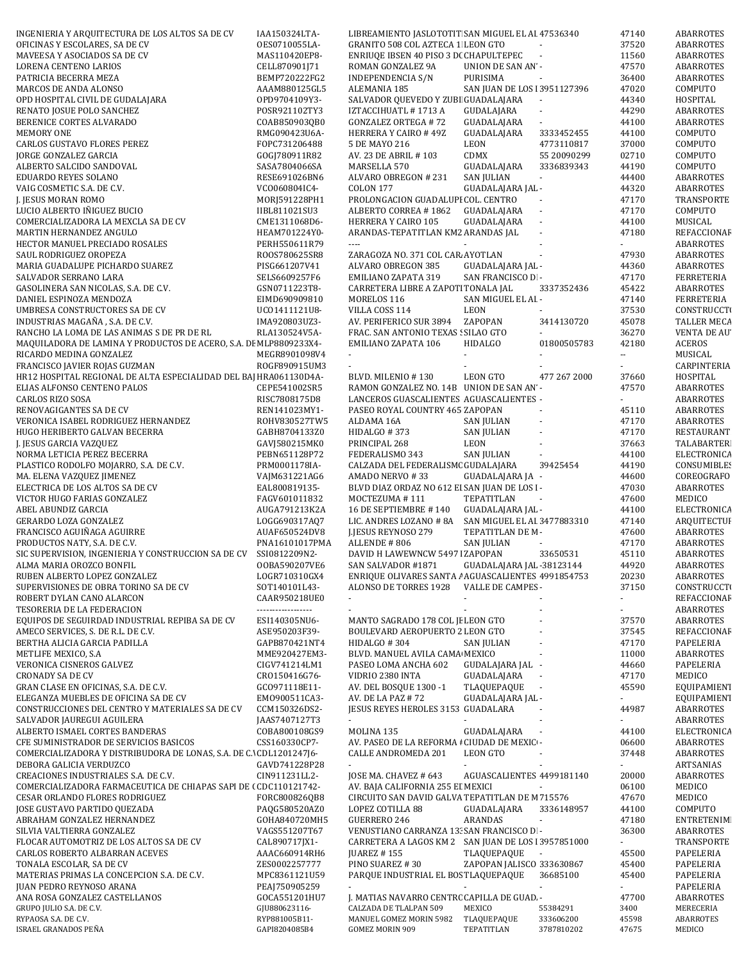| INGENIERIA Y ARQUITECTURA DE LOS ALTOS SA DE CV                    | IAA150324LTA-      | LIBREAMIENTO JASLOTOTIT SAN MIGUEL EL AI 47536340         |                             |                | 47140 | ABARROTES          |
|--------------------------------------------------------------------|--------------------|-----------------------------------------------------------|-----------------------------|----------------|-------|--------------------|
| OFICINAS Y ESCOLARES, SA DE CV                                     | OES0710055LA-      | GRANITO 508 COL AZTECA 1 LEON GTO                         |                             | $\sim$         | 37520 | <b>ABARROTES</b>   |
| MAVEESA Y ASOCIADOS SA DE CV                                       | MAS110420EP8-      | ENRIUQE IBSEN 40 PISO 3 D( CHAPULTEPEC                    |                             |                | 11560 | <b>ABARROTES</b>   |
| LORENA CENTENO LARIOS                                              | CELL870901J71      | ROMAN GONZALEZ 9A                                         | UNION DE SAN AN -           |                | 47570 | ABARROTES          |
| PATRICIA BECERRA MEZA                                              | BEMP720222FG2      | INDEPENDENCIA S/N                                         | PURISIMA                    |                | 36400 | ABARROTES          |
| MARCOS DE ANDA ALONSO                                              | AAAM880125GL5      | <b>ALEMANIA 185</b>                                       | SAN JUAN DE LOS 13951127396 |                | 47020 | COMPUTO            |
| OPD HOSPITAL CIVIL DE GUDALAJARA                                   | OPD9704109Y3-      | SALVADOR QUEVEDO Y ZUBI GUADALAJARA                       |                             | $\sim$         | 44340 | HOSPITAL           |
| RENATO JOSUE POLO SANCHEZ                                          | POSR921102TY3      | IZTACCIHUATL #1713 A                                      | GUDALAJARA                  | $\bar{a}$      | 44290 | <b>ABARROTES</b>   |
| BERENICE CORTES ALVARADO                                           | COAB850903QB0      | <b>GONZALEZ ORTEGA #72</b>                                | GUADALAJARA                 |                | 44100 | ABARROTES          |
| <b>MEMORY ONE</b>                                                  | RMG090423U6A-      | HERRERA Y CAIRO #49Z                                      | GUADALAJARA                 | 3333452455     | 44100 | COMPUTO            |
| <b>CARLOS GUSTAVO FLORES PEREZ</b>                                 | FOPC731206488      | 5 DE MAYO 216                                             | LEON                        | 4773110817     | 37000 | COMPUTO            |
| JORGE GONZALEZ GARCIA                                              | GOGI780911R82      | AV. 23 DE ABRIL # 103                                     | CDMX                        | 55 20090299    | 02710 | COMPUTO            |
| ALBERTO SALCIDO SANDOVAL                                           | SASA7804066SA      | MARSELLA 570                                              | GUADALAJARA                 | 3336839343     | 44190 | COMPUTO            |
| EDUARDO REYES SOLANO                                               | RESE691026BN6      | ALVARO OBREGON # 231                                      | <b>SAN JULIAN</b>           | $\blacksquare$ | 44400 | ABARROTES          |
| VAIG COSMETIC S.A. DE C.V.                                         | VC0060804IC4-      | <b>COLON 177</b>                                          | GUADALAJARA JAL -           |                | 44320 | ABARROTES          |
| J. JESUS MORAN ROMO                                                | MORJ591228PH1      | PROLONGACION GUADALUPI COL. CENTRO                        |                             | $\mathcal{L}$  | 47170 | TRANSPORTE         |
| LUCIO ALBERTO IÑIGUEZ BUCIO                                        | IIBL811021SU3      | ALBERTO CORREA #1862                                      | GUADALAJARA                 | $\mathcal{L}$  | 47170 | COMPUTO            |
|                                                                    |                    |                                                           |                             | $\mathcal{L}$  |       |                    |
| COMERCIALIZADORA LA MEXCLA SA DE CV                                | CME1311068D6-      | HERRERA Y CAIRO 105<br>ARANDAS-TEPATITLAN KM2 ARANDAS JAL | GUADALAJARA                 | Ĭ.             | 44100 | MUSICAL            |
| MARTIN HERNANDEZ ANGULO                                            | HEAM701224Y0-      |                                                           |                             |                | 47180 | REFACCIONAF        |
| HECTOR MANUEL PRECIADO ROSALES                                     | PERH550611R79      | $\cdots$                                                  |                             |                |       | <b>ABARROTES</b>   |
| SAUL RODRIGUEZ OROPEZA                                             | ROOS780625SR8      | ZARAGOZA NO. 371 COL CAR AYOTLAN                          |                             |                | 47930 | <b>ABARROTES</b>   |
| MARIA GUADALUPE PICHARDO SUAREZ                                    | PISG661207V41      | ALVARO OBREGON 385                                        | GUADALAJARA JAL -           |                | 44360 | <b>ABARROTES</b>   |
| SALVADOR SERRANO LARA                                              | SELS6609257F6      | EMILIANO ZAPATA 319                                       | SAN FRANCISCO D -           |                | 47170 | <b>FERRETERIA</b>  |
| GASOLINERA SAN NICOLAS, S.A. DE C.V.                               | GSN0711223T8-      | CARRETERA LIBRE A ZAPOTI TONALA JAL                       |                             | 3337352436     | 45422 | <b>ABARROTES</b>   |
| DANIEL ESPINOZA MENDOZA                                            | EIMD690909810      | MORELOS 116                                               | SAN MIGUEL EL AI -          |                | 47140 | FERRETERIA         |
| UMBRESA CONSTRUCTORES SA DE CV                                     | UC01411121U8-      | VILLA COSS 114                                            | <b>LEON</b>                 |                | 37530 | <b>CONSTRUCCTI</b> |
| INDUSTRIAS MAGAÑA, S.A. DE C.V.                                    | IMA920803UZ3-      | AV. PERIFERICO SUR 3894                                   | ZAPOPAN                     | 3414130720     | 45078 | TALLER MECA        |
| RANCHO LA LOMA DE LAS ANIMAS S DE PR DE RL                         | RLA130524V5A-      | FRAC. SAN ANTONIO TEXAS : SILAO GTO                       |                             |                | 36270 | VENTA DE AU        |
| MAQUILADORA DE LAMINA Y PRODUCTOS DE ACERO, S.A. DE MLP8809233X4-  |                    | EMILIANO ZAPATA 106                                       | HIDALGO                     | 01800505783    | 42180 | <b>ACEROS</b>      |
| RICARDO MEDINA GONZALEZ                                            | MEGR8901098V4      | $\sim$                                                    |                             |                | 44    | MUSICAL            |
| FRANCISCO JAVIER ROJAS GUZMAN                                      | ROGF890915UM3      | $\blacksquare$                                            |                             |                |       | CARPINTERIA        |
| HR12 HOSPITAL REGIONAL DE ALTA ESPECIALIDAD DEL BAJ HRA061130D4A-  |                    | BLVD. MILENIO #130                                        | <b>LEON GTO</b>             | 477 267 2000   | 37660 | HOSPITAL           |
| ELIAS ALFONSO CENTENO PALOS                                        | CEPE541002SR5      | RAMON GONZALEZ NO. 14B UNION DE SAN AN -                  |                             |                | 47570 | ABARROTES          |
| CARLOS RIZO SOSA                                                   | RISC7808175D8      | LANCEROS GUASCALIENTES AGUASCALIENTES -                   |                             |                |       | ABARROTES          |
| RENOVAGIGANTES SA DE CV                                            | REN141023MY1-      | PASEO ROYAL COUNTRY 465 ZAPOPAN                           |                             |                | 45110 | ABARROTES          |
| VERONICA ISABEL RODRIGUEZ HERNANDEZ                                | ROHV830527TW5      | ALDAMA 16A                                                | SAN JULIAN                  |                | 47170 | ABARROTES          |
| HUGO HERIBERTO GALVAN BECERRA                                      | GABH8704133Z0      | HIDALGO #373                                              | <b>SAN JULIAN</b>           |                | 47170 | RESTAURANT         |
| J. JESUS GARCIA VAZQUEZ                                            | GAVJ580215MK0      | PRINCIPAL 268                                             | LEON                        |                | 37663 | <b>TALABARTER</b>  |
| NORMA LETICIA PEREZ BECERRA                                        | PEBN651128P72      | FEDERALISMO 343                                           | <b>SAN JULIAN</b>           |                | 44100 | ELECTRONICA        |
| PLASTICO RODOLFO MOJARRO, S.A. DE C.V.                             | PRM0001178IA-      | CALZADA DEL FEDERALISM( GUDALAJARA                        |                             | 39425454       | 44190 | <b>CONSUMIBLES</b> |
| MA. ELENA VAZQUEZ JIMENEZ                                          | VAJM631221AG6      | AMADO NERVO #33                                           | GUADALAJARA JA -            |                | 44600 | COREOGRAFO         |
| ELECTRICA DE LOS ALTOS SA DE CV                                    | EAL800819135-      | BLVD DIAZ ORDAZ NO 612 EI SAN JUAN DE LOS I-              |                             |                | 47030 | ABARROTES          |
| VICTOR HUGO FARIAS GONZALEZ                                        |                    |                                                           | TEPATITLAN                  |                |       | MEDICO             |
|                                                                    | FAGV601011832      | MOCTEZUMA #111<br>16 DE SEPTIEMBRE #140                   |                             |                | 47600 |                    |
| ABEL ABUNDIZ GARCIA                                                | AUGA791213K2A      |                                                           | GUADALAJARA JAL -           |                | 44100 | ELECTRONICA        |
| GERARDO LOZA GONZALEZ                                              | LOGG690317AQ7      | LIC. ANDRES LOZANO # 8A                                   | SAN MIGUEL EL AI 3477883310 |                | 47140 | ARQUITECTUI        |
| FRANCISCO AGUIÑAGA AGUIRRE                                         | AUAF650524DV8      | J.JESUS REYNOSO 279                                       | TEPATITLAN DE M-            |                | 47600 | <b>ABARROTES</b>   |
| PRODUCTOS NATY, S.A. DE C.V.                                       | PNA16101017PMA     | ALLENDE #806                                              | <b>SAN JULIAN</b>           |                | 47170 | <b>ABARROTES</b>   |
| SIC SUPERVISION, INGENIERIA Y CONSTRUCCION SA DE CV                | SSI0812209N2-      | DAVID H LAWEWNCW 5497   ZAPOPAN                           |                             | 33650531       | 45110 | ABARROTES          |
| ALMA MARIA OROZCO BONFIL                                           | 00BA590207VE6      | SAN SALVADOR #1871                                        | GUADALAJARA JAL -38123144   |                | 44920 | ABARROTES          |
| RUBEN ALBERTO LOPEZ GONZALEZ                                       | LOGR710310GX4      | ENRIQUE OLIVARES SANTA / AGUASCALIENTES 4991854753        |                             |                | 20230 | ABARROTES          |
| SUPERVISIONES DE OBRA TORINO SA DE CV                              | SOT140101L43-      | ALONSO DE TORRES 1928                                     | VALLE DE CAMPES -           |                | 37150 | <b>CONSTRUCCTI</b> |
| ROBERT DYLAN CANO ALARCON                                          | CAAR950218UE0      | $\blacksquare$                                            |                             |                |       | REFACCIONAF        |
| TESORERIA DE LA FEDERACION                                         | ------------------ | ÷.                                                        |                             |                | ٠     | ABARROTES          |
| EQUIPOS DE SEGUIRDAD INDUSTRIAL REPIBA SA DE CV                    | ESI140305NU6-      | MANTO SAGRADO 178 COL JI LEON GTO                         |                             |                | 37570 | ABARROTES          |
| AMECO SERVICES, S. DE R.L. DE C.V.                                 | ASE950203F39-      | BOULEVARD AEROPUERTO 2 LEON GTO                           |                             |                | 37545 | REFACCIONAF        |
| BERTHA ALICIA GARCIA PADILLA                                       | GAPB870421NT4      | HIDALGO #304                                              | <b>SAN IULIAN</b>           | ÷,             | 47170 | PAPELERIA          |
| METLIFE MEXICO, S.A.                                               | MME920427EM3-      | BLVD. MANUEL AVILA CAMA MEXICO                            |                             |                | 11000 | ABARROTES          |
| VERONICA CISNEROS GALVEZ                                           | CIGV741214LM1      | PASEO LOMA ANCHA 602                                      | GUDALAJARA JAL -            |                | 44660 | PAPELERIA          |
| <b>CRONADY SA DE CV</b>                                            | CR0150416G76-      | VIDRIO 2380 INTA                                          | GUADALAJARA                 |                | 47170 | MEDICO             |
| GRAN CLASE EN OFICINAS, S.A. DE C.V.                               | GC0971118E11-      | AV. DEL BOSQUE 1300 -1                                    | TLAQUEPAQUE<br>$\sim$       |                | 45590 | EQUIPAMIENT        |
| ELEGANZA MUEBLES DE OFICINA SA DE CV                               | EM0900511CA3-      | AV. DE LA PAZ #72                                         | GUADALAJARA JAL -           |                |       | EQUIPAMIENT        |
| CONSTRUCCIONES DEL CENTRO Y MATERIALES SA DE CV                    | CCM150326DS2-      | JESUS REYES HEROLES 3153 GUADALARA                        |                             |                | 44987 | ABARROTES          |
| SALVADOR JAUREGUI AGUILERA                                         | JAAS7407127T3      | $\sim$                                                    |                             |                |       | <b>ABARROTES</b>   |
| ALBERTO ISMAEL CORTES BANDERAS                                     | COBA800108GS9      | MOLINA 135                                                | GUADALAJARA                 |                | 44100 | ELECTRONICA        |
| CFE SUMINISTRADOR DE SERVICIOS BASICOS                             | CSS160330CP7-      | AV. PASEO DE LA REFORMA I CIUDAD DE MEXIC -               |                             |                | 06600 | ABARROTES          |
| COMERCIALIZADORA Y DISTRIBUDORA DE LONAS, S.A. DE C. CDL120124716- |                    | CALLE ANDROMEDA 201                                       | LEON GTO                    |                | 37448 | ABARROTES          |
| DEBORA GALICIA VERDUZCO                                            | GAVD741228P28      | $\sim$                                                    | $\blacksquare$              |                |       | ARTSANIAS          |
| CREACIONES INDUSTRIALES S.A. DE C.V.                               | CIN911231LL2-      | JOSE MA. CHAVEZ # 643                                     | AGUASCALIENTES 4499181140   |                | 20000 | ABARROTES          |
| COMERCIALIZADORA FARMACEUTICA DE CHIAPAS SAPI DE (CDC110121742-    |                    | AV. BAJA CALIFORNIA 255 EI MEXICI                         |                             |                | 06100 | MEDICO             |
| CESAR ORLANDO FLORES RODRIGUEZ                                     | FORC800826QB8      | CIRCUITO SAN DAVID GALVA TEPATITLAN DE M 715576           |                             |                | 47670 | MEDICO             |
| JOSE GUSTAVO PARTIDO QUEZADA                                       | PAQG580520AZ0      | LOPEZ COTILLA 88                                          | GUADALAJARA                 | 3336148957     | 44100 | COMPUTO            |
| ABRAHAM GONZALEZ HERNANDEZ                                         | GOHA840720MH5      | GUERRERO 246                                              | ARANDAS                     |                | 47180 | <b>ENTRETENIME</b> |
| SILVIA VALTIERRA GONZALEZ                                          | VAGS551207T67      | VENUSTIANO CARRANZA 13. SAN FRANCISCO D -                 |                             |                | 36300 | ABARROTES          |
|                                                                    |                    |                                                           |                             |                |       |                    |
| FLOCAR AUTOMOTRIZ DE LOS ALTOS SA DE CV                            | CAL890717JX1-      | CARRETERA A LAGOS KM 2 SAN JUAN DE LOS 13957851000        |                             |                |       | TRANSPORTE         |
| CARLOS ROBERTO ALBARRAN ACEVES                                     | AAAC660914RH6      | <b>JUAREZ #155</b>                                        | TLAQUEPAQUE                 | $\sim$         | 45500 | PAPELERIA          |
| TONALA ESCOLAR, SA DE CV                                           | ZES0002257777      | PINO SUAREZ #30                                           | ZAPOPAN JALISCO 333630867   |                | 45400 | PAPELERIA          |
| MATERIAS PRIMAS LA CONCEPCION S.A. DE C.V.                         | MPC8361121U59      | PARQUE INDUSTRIAL EL BOS TLAQUEPAQUE                      |                             | 36685100       | 45400 | PAPELERIA          |
| JUAN PEDRO REYNOSO ARANA                                           | PEAJ750905259      | ÷.                                                        |                             |                |       | PAPELERIA          |
| ANA ROSA GONZALEZ CASTELLANOS                                      | GOCA551201HU7      | J. MATIAS NAVARRO CENTRC CAPILLA DE GUAD -                |                             |                | 47700 | ABARROTES          |
| GRUPO JULIO S.A. DE C.V.                                           | GJU880623116-      | CALZADA DE TLALPAN 509                                    | MEXICO                      | 55384291       | 3400  | MERECERIA          |
| RYPAOSA S.A. DE C.V.                                               | RYP881005B11-      | MANUEL GOMEZ MORIN 5982                                   | TLAQUEPAQUE                 | 333606200      | 45598 | ABARROTES          |
| ISRAEL GRANADOS PEÑA                                               | GAPI8204085B4      | GOMEZ MORIN 909                                           | TEPATITLAN                  | 3787810202     | 47675 | MEDICO             |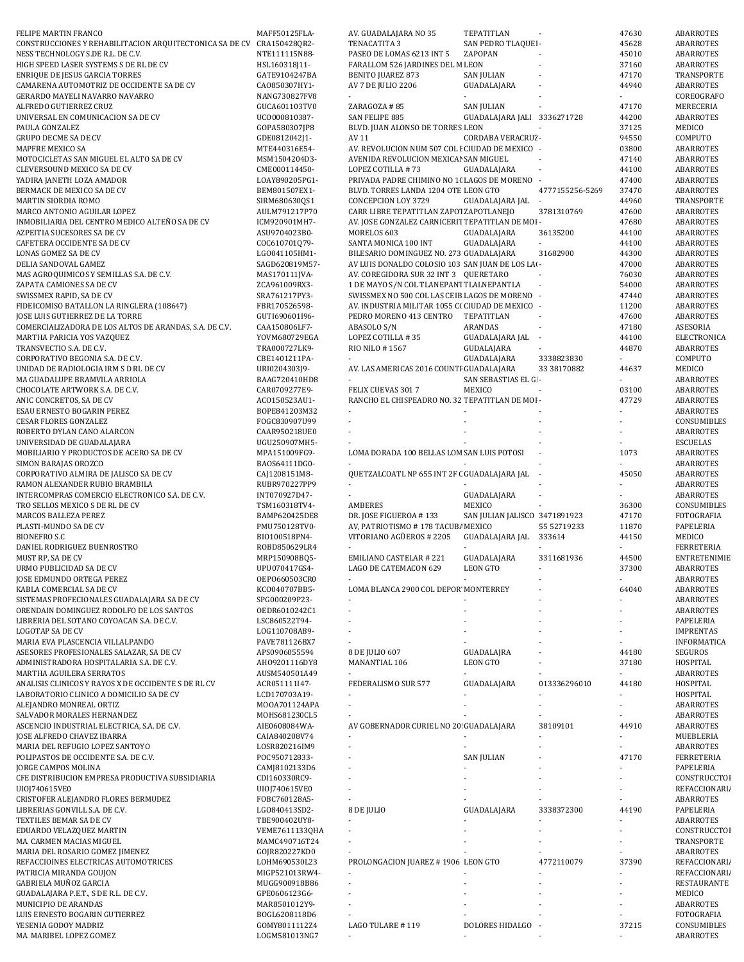| FELIPE MARTIN FRANCO                                    | MAFF50125FLA-  | AV. GUADALAJARA NO 35                            | TEPATITLAN                    |                          | 47630 | ABARROTES           |
|---------------------------------------------------------|----------------|--------------------------------------------------|-------------------------------|--------------------------|-------|---------------------|
| CONSTRUCCIONES Y REHABILITACION ARQUITECTONICA SA DE CV | CRA150428QR2-  | TENACATITA 3                                     | SAN PEDRO TLAQUEI -           |                          | 45628 | ABARROTES           |
| NESS TECHNOLOGY S.DE R.L. DE C.V.                       | NTE111115N88-  | PASEO DE LOMAS 6213 INT 5                        | ZAPOPAN                       |                          | 45010 | ABARROTES           |
| HIGH SPEED LASER SYSTEMS S DE RL DE CV                  | HSL160318J11-  | FARALLOM 526 JARDINES DEL M LEON                 |                               |                          | 37160 | ABARROTES           |
| ENRIQUE DE JESUS GARCIA TORRES                          | GATE9104247BA  | <b>BENITO JUAREZ 873</b>                         | <b>SAN JULIAN</b>             | ÷,                       | 47170 | TRANSPORTE          |
| CAMARENA AUTOMOTRIZ DE OCCIDENTE SA DE CV               | CA0850307HY1-  | AV 7 DE JULIO 2206                               | GUADALAJARA                   |                          | 44940 | ABARROTES           |
| GERARDO MAYELI NAVARRO NAVARRO                          | NANG730827FV8  |                                                  |                               |                          |       | COREOGRAFO          |
| ALFREDO GUTIERREZ CRUZ                                  | GUCA601103TV0  | ZARAGOZA #85                                     | <b>SAN JULIAN</b>             |                          | 47170 | MERECERIA           |
| UNIVERSAL EN COMUNICACION SA DE CV                      | UC0000810387-  | SAN FELIPE 885                                   | GUADALAJARA JALI 3336271728   |                          | 44200 | <b>ABARROTES</b>    |
| PAULA GONZALEZ                                          | GOPA580307JP8  | BLVD. JUAN ALONSO DE TORRES LEON                 |                               |                          | 37125 | MEDICO              |
| <b>GRUPO DECME SA DE CV</b>                             | GDE0812042J1-  | AV 11                                            | CORDABA VERACRUZ -            |                          | 94550 | COMPUTO             |
| MAPFRE MEXICO SA                                        | MTE440316E54-  | AV. REVOLUCION NUM 507 COL I CIUDAD DE MEXICO -  |                               |                          | 03800 | <b>ABARROTES</b>    |
| MOTOCICLETAS SAN MIGUEL EL ALTO SA DE CV                | MSM1504204D3-  | AVENIDA REVOLUCION MEXICAI SAN MIGUEL            |                               |                          | 47140 | <b>ABARROTES</b>    |
| CLEVERSOUND MEXICO SA DE CV                             | CME000114450-  | LOPEZ COTILLA #73                                | GUADALAJARA                   | $\overline{\phantom{a}}$ | 44100 | <b>ABARROTES</b>    |
| YADIRA JANETH LOZA AMADOR                               | LOAY890205PG1- | PRIVADA PADRE CHIMINO NO 10 LAGOS DE MORENO -    |                               |                          | 47400 | <b>ABARROTES</b>    |
| BERMACK DE MEXICO SA DE CV                              | BEM801507EX1-  | BLVD. TORRES LANDA 1204 OTE LEON GTO             |                               | 4777155256-5269          | 37470 | ABARROTES           |
| MARTIN SIORDIA ROMO                                     | SIRM680630QS1  | CONCEPCION LOY 3729                              | GUADALAJARA JAL               |                          | 44960 | TRANSPORTE          |
| MARCO ANTONIO AGUILAR LOPEZ                             | AULM791217P70  | CARR LIBRE TEPATITLAN ZAPOTZAPOTLANEJO           |                               | 3781310769               | 47600 | ABARROTES           |
| INMOBILIARIA DEL CENTRO MEDICO ALTEÑO SA DE CV          | ICM920901MH7-  | AV. JOSE GONZALEZ CARNICERIT TEPATITLAN DE MOI - |                               |                          | 47680 | ABARROTES           |
| AZPEITIA SUCESORES SA DE CV                             | ASU9704023B0-  | MORELOS 603                                      | GUADALAJARA                   | 36135200                 | 44100 | ABARROTES           |
| CAFETERA OCCIDENTE SA DE CV                             | COC610701Q79-  | SANTA MONICA 100 INT                             | GUADALAJARA                   |                          | 44100 | <b>ABARROTES</b>    |
| LONAS GOMEZ SA DE CV                                    | LG0041105HM1-  | BILESARIO DOMINGUEZ NO. 273 GUADALAJARA          |                               | 31682900                 | 44300 | <b>ABARROTES</b>    |
| DELIA SANDOVAL GAMEZ                                    | SAGD620819M57- | AV LUIS DONALDO COLOSIO 103 SAN JUAN DE LOS LAI- |                               |                          | 47000 | <b>ABARROTES</b>    |
| MAS AGROQUIMICOS Y SEMILLAS S.A. DE C.V.                | MAS170111JVA-  | AV. COREGIDORA SUR 32 INT 3 QUERETARO            |                               |                          | 76030 | ABARROTES           |
| ZAPATA CAMIONES SA DE CV                                | ZCA961009RX3-  | 1 DE MAYO S/N COL TLANEPANT TLALNEPANTLA         |                               |                          | 54000 | ABARROTES           |
| SWISSMEX RAPID, SA DE CV                                | SRA761217PY3-  | SWISSMEX NO 500 COL LAS CEIB LAGOS DE MORENO -   |                               |                          | 47440 | ABARROTES           |
| FIDEICOMISO BATALLON LA RINGLERA (108647)               | FBR170526598-  | AV. INDUSTRIA MILITAR 1055 C( CIUDAD DE MEXICO - |                               |                          | 11200 | ABARROTES           |
| JOSE LUIS GUTIERREZ DE LA TORRE                         | GUTI690601I96- | PEDRO MORENO 413 CENTRO                          | TEPATITLAN                    | $\overline{\phantom{a}}$ | 47600 | ABARROTES           |
| COMERCIALIZADORA DE LOS ALTOS DE ARANDAS, S.A. DE C.V.  | CAA150806LF7-  | ABASOLO S/N                                      | <b>ARANDAS</b>                |                          | 47180 | ASESORIA            |
| MARTHA PARICIA YOS VAZQUEZ                              | YOVM680729EGA  | LOPEZ COTILLA #35                                | GUADALAJARA JAL               | $\overline{\phantom{a}}$ | 44100 | ELECTRONICA         |
| TRANSVECTIO S.A. DE C.V.                                | TRA000727LK9-  | RIO NILO #1567                                   | GUDALAJARA                    |                          | 44870 | <b>ABARROTES</b>    |
| CORPORATIVO BEGONIA S.A. DE C.V.                        | CBE1401211PA-  |                                                  | GUADALAJARA                   | 3338823830               |       | COMPUTO             |
| UNIDAD DE RADIOLOGIA IRM S D RL DE CV                   | URI0204303J9-  | AV. LAS AMERICAS 2016 COUNTI GUADALAJARA         |                               | 33 38170882              | 44637 | MEDICO              |
| MA GUADALUPE BRAMVILA ARRIOLA                           | BAAG720410HD8  |                                                  | SAN SEBASTIAS EL GI -         |                          |       | ABARROTES           |
| CHOCOLATE ARTWORK S.A. DE C.V.                          | CAR0709277E9-  | FELIX CUEVAS 3017                                | MEXICO                        |                          | 03100 | ABARROTES           |
| ANIC CONCRETOS, SA DE CV                                | AC0150523AU1-  | RANCHO EL CHISPEADRO NO. 32 TEPATITLAN DE MOI -  |                               |                          | 47729 | ABARROTES           |
| ESAU ERNESTO BOGARIN PEREZ                              | BOPE841203M32  |                                                  |                               |                          |       | ABARROTES           |
| <b>CESAR FLORES GONZALEZ</b>                            | FOGC830907U99  |                                                  |                               |                          |       | CONSUMIBLES         |
| ROBERTO DYLAN CANO ALARCON                              | CAAR950218UE0  |                                                  |                               |                          |       | <b>ABARROTES</b>    |
| UNIVERSIDAD DE GUADALAJARA                              | UGU250907MH5-  |                                                  |                               |                          |       | <b>ESCUELAS</b>     |
| MOBILIARIO Y PRODUCTOS DE ACERO SA DE CV                | MPA151009FG9-  | LOMA DORADA 100 BELLAS LOM SAN LUIS POTOSI       |                               |                          | 1073  | ABARROTES           |
| SIMON BARAJAS OROZCO                                    | BA0S64111DG0-  |                                                  |                               |                          |       | ABARROTES           |
| CORPORATIVO ALMIRA DE JALISCO SA DE CV                  | CAJ1208151M8-  | QUETZALCOATL NP 655 INT 2F ( GUADALAJARA JAL -   |                               |                          | 45050 | ABARROTES           |
| RAMON ALEXANDER RUBIO BRAMBILA                          | RUBR970227PP9  |                                                  |                               |                          |       | ABARROTES           |
| INTERCOMPRAS COMERCIO ELECTRONICO S.A. DE C.V.          | INT070927D47-  |                                                  | GUADALAJARA                   |                          |       | ABARROTES           |
| TRO SELLOS MEXICO S DE RL DE CV                         | TSM160318TV4-  | AMBERES                                          | MEXICO                        |                          | 36300 | CONSUMIBLES         |
|                                                         |                |                                                  |                               |                          |       |                     |
| MARCOS BALLEZA PEREZ                                    | BAMP620425DE8  | DR. JOSE FIGUEROA #133                           | SAN JULIAN JALISCO 3471891923 |                          | 47170 | FOTOGRAFIA          |
| PLASTI-MUNDO SA DE CV                                   | PMU750128TV0-  | AV, PATRIOTISMO # 178 TACUB/ MEXICO              |                               | 55 52719233              | 11870 | PAPELERIA           |
| <b>BIONEFRO S.C</b>                                     | BI0100518PN4-  | VITORIANO AGÜEROS # 2205                         | GUADALAJARA JAL               | 333614                   | 44150 | MEDICO              |
| DANIEL RODRIGUEZ BUENROSTRO                             | ROBD850629LR4  |                                                  |                               |                          |       | <b>FERRETERIA</b>   |
| MUST RP, SA DE CV                                       | MRP150908BQ5-  | <b>EMILIANO CASTELAR #221</b>                    | GUADALAJARA                   | 3311681936               | 44500 | <b>ENTRETENIMIE</b> |
| URMO PUBLICIDAD SA DE CV                                | UPU070417GS4-  | LAGO DE CATEMACON 629                            | <b>LEON GTO</b>               | $\blacksquare$           | 37300 | ABARROTES           |
| JOSE EDMUNDO ORTEGA PEREZ                               | 0EP0660503CR0  |                                                  |                               |                          |       | ABARROTES           |
| KABLA COMERCIAL SA DE CV                                | KC0040707BB5-  | LOMA BLANCA 2900 COL DEPOR MONTERREY             |                               |                          | 64040 | <b>ABARROTES</b>    |
| SISTEMAS PROFECIONALES GUADALAJARA SA DE CV             | SPG000209P23-  |                                                  |                               |                          |       | ABARROTES           |
| ORENDAIN DOMINGUEZ RODOLFO DE LOS SANTOS                | OEDR6010242C1  |                                                  |                               |                          |       | <b>ABARROTES</b>    |
| LIBRERIA DEL SOTANO COYOACAN S.A. DE C.V.               | LSC860522T94-  |                                                  |                               |                          |       | PAPELERIA           |
| <b>LOGOTAP SA DE CV</b>                                 | LOG110708AB9-  |                                                  |                               |                          |       | <b>IMPRENTAS</b>    |
| MARIA EVA PLASCENCIA VILLALPANDO                        | PAVE781126BX7  |                                                  |                               |                          |       | INFORMATICA         |
| ASESORES PROFESIONALES SALAZAR, SA DE CV                | APS0906055594  | 8 DE JULIO 607                                   | GUADALAJRA                    |                          | 44180 | SEGUROS             |
| ADMINISTRADORA HOSPITALARIA S.A. DE C.V.                | AH09201116DY8  | MANANTIAL 106                                    | <b>LEON GTO</b>               |                          | 37180 | HOSPITAL            |
| MARTHA AGUILERA SERRATOS                                | AUSM540501A49  | $\overline{\phantom{a}}$                         |                               |                          |       | ABARROTES           |
| ANALISIS CLINICOS Y RAYOS X DE OCCIDENTE S DE RL CV     | ACR051111I47-  | FEDERALISMO SUR 577                              | GUADALAJARA                   | 013336296010             | 44180 | HOSPITAL            |
| LABORATORIO CLINICO A DOMICILIO SA DE CV                | LCD170703A19-  |                                                  |                               |                          |       | HOSPITAL            |
| ALEJANDRO MONREAL ORTIZ                                 | MOOA701124APA  |                                                  |                               |                          |       | ABARROTES           |
| SALVADOR MORALES HERNANDEZ                              | MOHS681230CL5  |                                                  |                               |                          |       | ABARROTES           |
| ASCENCIO INDUSTRIAL ELECTRICA, S.A. DE C.V.             | AIE0608084WA-  | AV GOBERNADOR CURIEL NO 20 GUADALAJARA           |                               | 38109101                 | 44910 | ABARROTES           |
| JOSE ALFREDO CHAVEZ IBARRA                              | CAIA840208V74  |                                                  |                               |                          |       | MUEBLERIA           |
| MARIA DEL REFUGIO LOPEZ SANTOYO                         | LOSR820216IM9  | $\overline{\phantom{a}}$                         |                               |                          |       | ABARROTES           |
| POLIPASTOS DE OCCIDENTE S.A. DE C.V.                    | POC950712833-  |                                                  | <b>SAN JULIAN</b>             |                          | 47170 | <b>FERRETERIA</b>   |
| JORGE CAMPOS MOLINA                                     | CAMJ8102133D6  |                                                  |                               |                          |       | PAPELERIA           |
| CFE DISTRIBUCION EMPRESA PRODUCTIVA SUBSIDIARIA         | CDI160330RC9-  |                                                  |                               |                          |       | CONSTRUCCTOI        |
| UI0J740615VE0                                           | UI0J740615VE0  |                                                  |                               |                          |       | REFACCIONARI/       |
| CRISTOFER ALEJANDRO FLORES BERMUDEZ                     | FOBC760128A5-  |                                                  |                               |                          |       | ABARROTES           |
| LIBRERIAS GONVILL S.A. DE C.V.                          | LG0840413SD2-  | 8 DE JULIO                                       | GUADALAJARA                   | 3338372300               | 44190 | PAPELERIA           |
| TEXTILES BEMAR SA DE CV                                 | TBE900402UY8-  |                                                  |                               |                          |       | ABARROTES           |
| EDUARDO VELAZQUEZ MARTIN                                | VEME7611133QHA | $\overline{\phantom{a}}$                         |                               |                          |       | CONSTRUCCTOI        |
| MA. CARMEN MACIAS MIGUEL                                | MAMC490716T24  |                                                  |                               |                          |       | TRANSPORTE          |
| MARIA DEL ROSARIO GOMEZ JIMENEZ                         | GOJR820227KD0  |                                                  |                               |                          |       | ABARROTES           |
| REFACCIOINES ELECTRICAS AUTOMOTRICES                    | LOHM690530L23  | PROLONGACION JUAREZ # 1906 LEON GTO              |                               | 4772110079               | 37390 | REFACCIONARI/       |
| PATRICIA MIRANDA GOUJON                                 | MIGP521013RW4- |                                                  |                               |                          |       | REFACCIONARI/       |
| GABRIELA MUÑOZ GARCIA                                   | MUGG900918B86  |                                                  |                               |                          |       | <b>RESTAURANTE</b>  |
| GUADALAJARA P.E.T., S DE R.L. DE C.V.                   | GPE0606123G6-  |                                                  |                               |                          |       | MEDICO              |
| MUNICIPIO DE ARANDAS                                    | MAR8501012Y9-  |                                                  |                               |                          |       | ABARROTES           |
| LUIS ERNESTO BOGARIN GUTIERREZ                          | BOGL6208118D6  |                                                  |                               |                          |       | FOTOGRAFIA          |
| YESENIA GODOY MADRIZ                                    | GOMY8011112Z4  | LAGO TULARE #119                                 | DOLORES HIDALGO               |                          | 37215 | CONSUMIBLES         |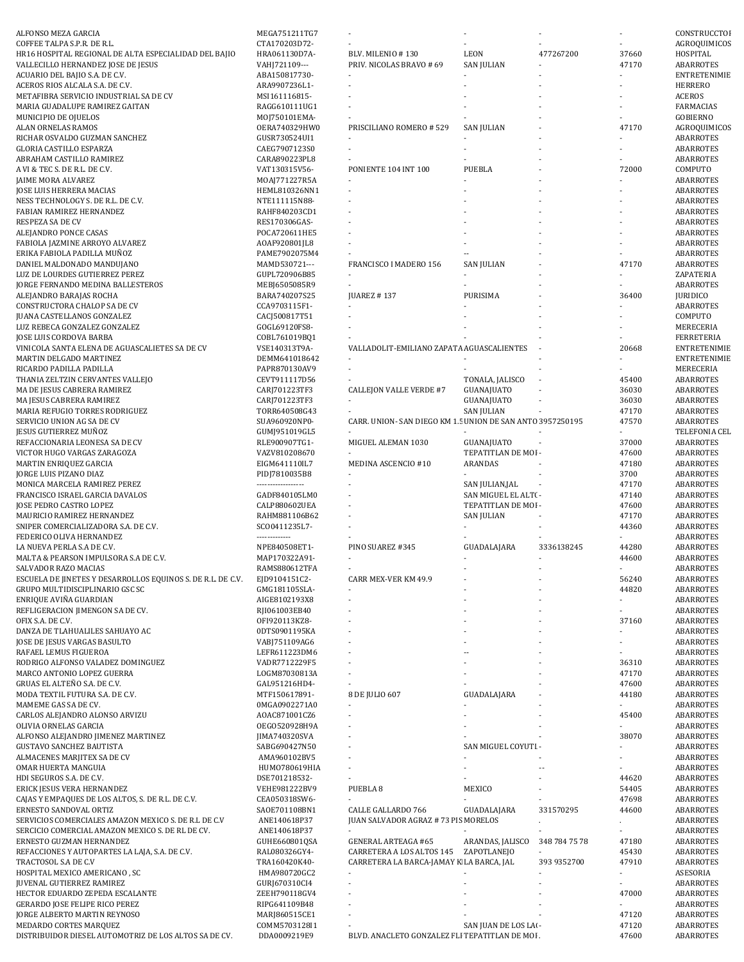| ALFONSO MEZA GARCIA                                             | MEGA751211TG7                  |                                                           |                       |               |                | CONSTRUCCTOI                  |
|-----------------------------------------------------------------|--------------------------------|-----------------------------------------------------------|-----------------------|---------------|----------------|-------------------------------|
| COFFEE TALPA S.P.R. DE R.L.                                     | CTA170203D72-                  |                                                           |                       |               |                | AGROQUIMICOS                  |
| HR16 HOSPITAL REGIONAL DE ALTA ESPECIALIDAD DEL BAJIO           | HRA061130D7A-                  | BLV. MILENIO #130                                         | LEON                  | 477267200     | 37660          | HOSPITAL                      |
| VALLECILLO HERNANDEZ JOSE DE JESUS                              | VAHJ721109---                  | PRIV. NICOLAS BRAVO # 69                                  | <b>SAN JULIAN</b>     |               | 47170          | ABARROTES                     |
| ACUARIO DEL BAJIO S.A. DE C.V.                                  | ABA150817730-                  |                                                           |                       |               |                | ENTRETENIMIE                  |
| ACEROS RIOS ALCALA S.A. DE C.V.                                 | ARA9907236L1-                  |                                                           |                       |               |                | <b>HERRERO</b>                |
| METAFIBRA SERVICIO INDUSTRIAL SA DE CV                          | MSI161116815-                  |                                                           |                       |               |                | <b>ACEROS</b>                 |
| MARIA GUADALUPE RAMIREZ GAITAN                                  | RAGG610111UG1                  |                                                           |                       |               |                | FARMACIAS                     |
| MUNICIPIO DE OJUELOS                                            | M0J750101EMA-                  |                                                           |                       |               |                | <b>GOBIERNO</b>               |
| ALAN ORNELAS RAMOS                                              | OERA740329HW0                  | PRISCILIANO ROMERO # 529                                  | <b>SAN JULIAN</b>     |               | 47170          | AGROQUIMICOS                  |
| RICHAR OSVALDO GUZMAN SANCHEZ<br>GLORIA CASTILLO ESPARZA        | GUSR730524UI1<br>CAEG7907123S0 |                                                           |                       |               |                | ABARROTES<br><b>ABARROTES</b> |
| ABRAHAM CASTILLO RAMIREZ                                        | CARA890223PL8                  |                                                           |                       |               |                | ABARROTES                     |
| A VI & TEC S. DE R.L. DE C.V.                                   | VAT130315V56-                  | PONIENTE 104 INT 100                                      | PUEBLA                |               | 72000          | COMPUTO                       |
| <b>JAIME MORA ALVAREZ</b>                                       | MOAJ771227R5A                  |                                                           |                       |               |                | ABARROTES                     |
| JOSE LUIS HERRERA MACIAS                                        | HEML810326NN1                  |                                                           |                       |               |                | ABARROTES                     |
| NESS TECHNOLOGY S. DE R.L. DE C.V.                              | NTE111115N88-                  |                                                           |                       |               |                | ABARROTES                     |
| FABIAN RAMIREZ HERNANDEZ                                        | RAHF840203CD1                  |                                                           |                       |               |                | ABARROTES                     |
| RESPEZA SA DE CV                                                | RES170306GAS-                  |                                                           |                       |               |                | ABARROTES                     |
| ALEJANDRO PONCE CASAS                                           | POCA720611HE5                  |                                                           |                       |               |                | ABARROTES                     |
| FABIOLA JAZMINE ARROYO ALVAREZ                                  | AOAF920801JL8                  |                                                           |                       |               |                | ABARROTES                     |
| ERIKA FABIOLA PADILLA MUÑOZ                                     | PAME7902075M4                  |                                                           |                       |               |                | ABARROTES                     |
| DANIEL MALDONADO MANDUJANO                                      | MAMD530721---                  | FRANCISCO I MADERO 156                                    | <b>SAN JULIAN</b>     |               | 47170          | <b>ABARROTES</b>              |
| LUZ DE LOURDES GUTIERREZ PEREZ                                  | GUPL720906B85                  |                                                           |                       |               |                | ZAPATERIA                     |
| JORGE FERNANDO MEDINA BALLESTEROS                               | MEBJ6505085R9                  |                                                           |                       |               |                | ABARROTES                     |
| ALEJANDRO BARAJAS ROCHA                                         | BARA740207S25                  | <b>JUAREZ #137</b>                                        | PURISIMA              |               | 36400          | <b>JURIDICO</b>               |
| CONSTRUCTORA CHALOP SA DE CV                                    | CCA9703115F1-                  |                                                           |                       |               |                | ABARROTES                     |
| <b>JUANA CASTELLANOS GONZALEZ</b>                               | CACJ500817T51                  |                                                           |                       |               |                | COMPUTO                       |
| LUZ REBECA GONZALEZ GONZALEZ                                    | GOGL69120FS8-                  |                                                           |                       |               |                | MERECERIA                     |
| JOSE LUIS CORDOVA BARBA                                         | COBL761019BQ1                  |                                                           |                       |               |                | <b>FERRETERIA</b>             |
| VINICOLA SANTA ELENA DE AGUASCALIETES SA DE CV                  | VSE140313T9A-                  | VALLADOLIT-EMILIANO ZAPATA AGUASCALIENTES                 |                       |               | 20668          | ENTRETENIMIE                  |
| MARTIN DELGADO MARTINEZ<br>RICARDO PADILLA PADILLA              | DEMM641018642<br>PAPR870130AV9 |                                                           |                       |               |                | ENTRETENIMIE<br>MERECERIA     |
| THANIA ZELTZIN CERVANTES VALLEJO                                | CEVT911117D56                  |                                                           | TONALA, JALISCO       |               | 45400          | ABARROTES                     |
| MA DE JESUS CABRERA RAMIREZ                                     | CARJ701223TF3                  | <b>CALLEJON VALLE VERDE #7</b>                            | GUANAJUATO            |               | 36030          | ABARROTES                     |
| MA JESUS CABRERA RAMIREZ                                        | CARJ701223TF3                  |                                                           | GUANAJUATO            |               | 36030          | ABARROTES                     |
| MARIA REFUGIO TORRES RODRIGUEZ                                  | TORR640508G43                  |                                                           | <b>SAN JULIAN</b>     |               | 47170          | ABARROTES                     |
| SERVICIO UNION AG SA DE CV                                      | SUA960920NP0-                  | CARR. UNION-SAN DIEGO KM 1.5 UNION DE SAN ANTO 3957250195 |                       |               | 47570          | ABARROTES                     |
| JESUS GUTIERREZ MUÑOZ                                           | GUMJ951019GL5                  |                                                           |                       |               |                | TELEFONIA CEL                 |
| REFACCIONARIA LEONESA SA DE CV                                  | RLE900907TG1-                  | MIGUEL ALEMAN 1030                                        | GUANAJUATO            |               | 37000          | ABARROTES                     |
| VICTOR HUGO VARGAS ZARAGOZA                                     | VAZV810208670                  |                                                           | TEPATITLAN DE MOI -   |               | 47600          | ABARROTES                     |
| MARTIN ENRIQUEZ GARCIA                                          | EIGM641110IL7                  | MEDINA ASCENCIO #10                                       | ARANDAS               |               | 47180          | ABARROTES                     |
|                                                                 |                                |                                                           |                       |               |                |                               |
| JORGE LUIS PIZANO DIAZ                                          | PIDJ7810035B8                  |                                                           |                       |               | 3700           | ABARROTES                     |
| MONICA MARCELA RAMIREZ PEREZ                                    | ------------------             |                                                           | SAN JULIAN,JAL        |               | 47170          | ABARROTES                     |
| FRANCISCO ISRAEL GARCIA DAVALOS                                 | GADF840105LM0                  |                                                           | SAN MIGUEL EL ALT( -  |               | 47140          | ABARROTES                     |
| JOSE PEDRO CASTRO LOPEZ                                         | CALP880602UEA                  |                                                           | TEPATITLAN DE MOI -   |               | 47600          | ABARROTES                     |
| MAURICIO RAMIREZ HERNANDEZ                                      | RAHM881106B62                  |                                                           | <b>SAN JULIAN</b>     |               | 47170          | ABARROTES                     |
| SNIPER COMERCIALIZADORA S.A. DE C.V.                            | SC00411235L7-                  |                                                           |                       |               | 44360          | ABARROTES                     |
| FEDERICO OLIVA HERNANDEZ                                        | -------------                  |                                                           |                       |               |                | ABARROTES                     |
| LA NUEVA PERLA S.A DE C.V.                                      | NPE840508ET1-                  | PINO SUAREZ #345                                          | GUADALAJARA           | 3336138245    | 44280          | ABARROTES                     |
| MALTA & PEARSON IMPULSORA S.A DE C.V.                           | MAP170322A91-                  |                                                           |                       |               | 44600          | <b>ABARROTES</b>              |
| SALVADOR RAZO MACIAS                                            | RAMS880612TFA                  |                                                           |                       |               |                | ABARROTES                     |
| ESCUELA DE JINETES Y DESARROLLOS EQUINOS S. DE R.L. DE C.V.     | EJD9104151C2-                  | CARR MEX-VER KM 49.9                                      |                       |               | 56240          | ABARROTES                     |
| GRUPO MULTIDISCIPLINARIO GSC SC                                 | GMG181105SLA-                  |                                                           |                       |               | 44820          | ABARROTES                     |
| ENRIQUE AVIÑA GUARDIAN                                          | AIGE8102193X8                  |                                                           |                       |               |                | ABARROTES                     |
| REFLIGERACION JIMENGON SA DE CV.                                | RJI061003EB40                  |                                                           |                       |               |                | ABARROTES                     |
| OFIX S.A. DE C.V.                                               | OFI920113KZ8-                  |                                                           |                       |               | 37160          | ABARROTES                     |
| DANZA DE TLAHUALILES SAHUAYO AC                                 | 0DTS0901195KA                  |                                                           |                       |               |                | ABARROTES                     |
| JOSE DE JESUS VARGAS BASULTO                                    | VABJ751109AG6                  |                                                           |                       |               |                | ABARROTES                     |
| RAFAEL LEMUS FIGUEROA                                           | LEFR611223DM6                  |                                                           |                       |               |                | ABARROTES                     |
| RODRIGO ALFONSO VALADEZ DOMINGUEZ<br>MARCO ANTONIO LOPEZ GUERRA | VADR7712229F5<br>LOGM87030813A |                                                           |                       |               | 36310<br>47170 | ABARROTES<br>ABARROTES        |
| GRUAS EL ALTEÑO S.A. DE C.V.                                    | GAL951216HD4-                  |                                                           |                       |               | 47600          | ABARROTES                     |
| MODA TEXTIL FUTURA S.A. DE C.V.                                 | MTF150617891-                  | 8 DE JULIO 607                                            | GUADALAJARA           |               | 44180          | ABARROTES                     |
| MAMEME GAS SA DE CV.                                            | 0MGA0902271A0                  |                                                           |                       |               |                | ABARROTES                     |
| CARLOS ALEJANDRO ALONSO ARVIZU                                  | AOAC871001CZ6                  | $\mathcal{L}$                                             |                       |               | 45400          | ABARROTES                     |
| OLIVIA ORNELAS GARCIA                                           | OEGO520928H9A                  |                                                           |                       |               |                | ABARROTES                     |
| ALFONSO ALEJANDRO JIMENEZ MARTINEZ                              | JIMA740320SVA                  |                                                           |                       |               | 38070          | ABARROTES                     |
| <b>GUSTAVO SANCHEZ BAUTISTA</b>                                 | SABG690427N50                  |                                                           | SAN MIGUEL COYUTI -   |               |                | ABARROTES                     |
| ALMACENES MARJITEX SA DE CV                                     | AMA960102BV5                   |                                                           |                       |               |                | ABARROTES                     |
| OMAR HUERTA MANGUIA                                             | HUM0780619HIA                  |                                                           |                       | --            |                | ABARROTES                     |
| HDI SEGUROS S.A. DE C.V.                                        | DSE701218532-                  |                                                           |                       |               | 44620          | ABARROTES                     |
| ERICK JESUS VERA HERNANDEZ                                      | VEHE981222BV9                  | PUEBLA <sub>8</sub>                                       | MEXICO                |               | 54405          | ABARROTES                     |
| CAJAS Y EMPAQUES DE LOS ALTOS, S. DE R.L. DE C.V.               | CEA050318SW6-                  |                                                           |                       |               | 47698          | ABARROTES                     |
| ERNESTO SANDOVAL ORTIZ                                          | SAOE701108BN1                  | CALLE GALLARDO 766                                        | GUADALAJARA           | 331570295     | 44600          | ABARROTES                     |
| SERVICIOS COMERCIALES AMAZON MEXICO S. DE R.L DE C.V            | ANE140618P37                   | JUAN SALVADOR AGRAZ # 73 PIS MORELOS                      |                       |               |                | ABARROTES                     |
| SERCICIO COMERCIAL AMAZON MEXICO S. DE RL DE CV.                | ANE140618P37                   |                                                           |                       |               |                | ABARROTES                     |
| ERNESTO GUZMAN HERNANDEZ                                        | GUHE660801QSA                  | <b>GENERAL ARTEAGA #65</b>                                | ARANDAS, JALISCO      | 348 784 75 78 | 47180          | ABARROTES                     |
| REFACCIONES Y AUTOPARTES LA LAJA, S.A. DE C.V.                  | RAL080326GY4-                  | CARRETERA A LOS ALTOS 145                                 | ZAPOTLANEJO           |               | 45430          | ABARROTES                     |
| TRACTOSOL S.A DE C.V                                            | TRA160420K40-                  | CARRETERA LA BARCA-JAMAY K LA BARCA, JAL                  |                       | 393 9352700   | 47910          | ABARROTES                     |
| HOSPITAL MEXICO AMERICANO, SC<br>JUVENAL GUTIERREZ RAMIREZ      | HMA980720GC2<br>GURJ670310CI4  |                                                           |                       |               |                | ASESORIA<br>ABARROTES         |
| HECTOR EDUARDO ZEPEDA ESCALANTE                                 | ZEEH790118GV4                  |                                                           |                       |               | 47000          | ABARROTES                     |
| <b>GERARDO JOSE FELIPE RICO PEREZ</b>                           | RIPG641109B48                  |                                                           |                       |               |                | ABARROTES                     |
| JORGE ALBERTO MARTIN REYNOSO                                    | MARJ860515CE1                  |                                                           |                       |               | 47120          | ABARROTES                     |
| MEDARDO CORTES MARQUEZ                                          | COMM5703128I1                  |                                                           | SAN JUAN DE LOS LAI - |               | 47120          | ABARROTES                     |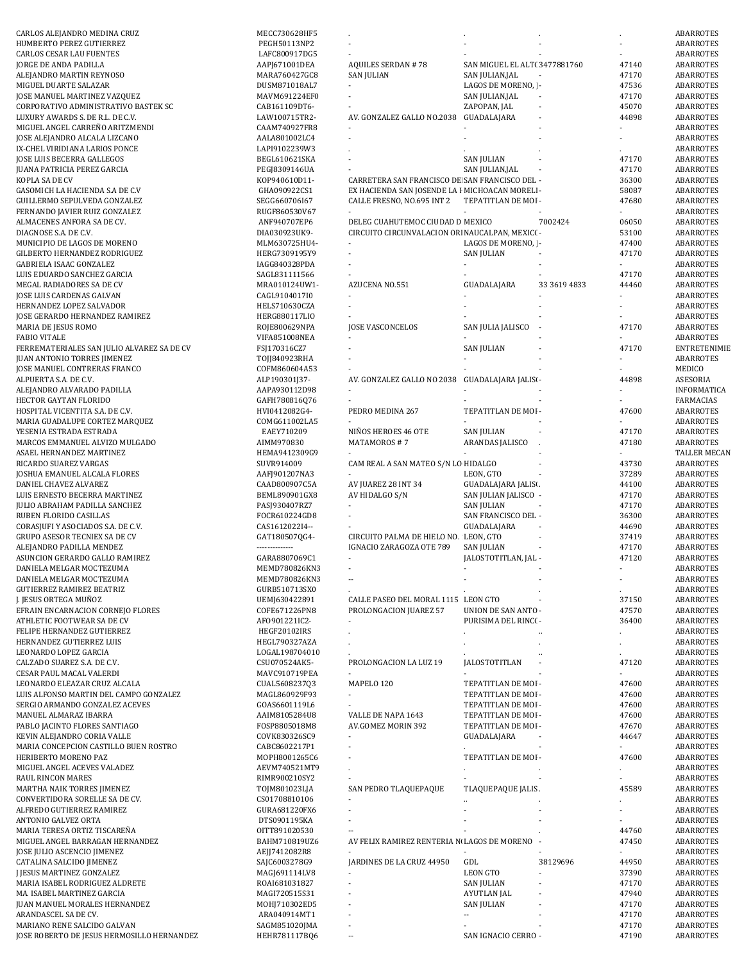| CARLOS ALEJANDRO MEDINA CRUZ                                              | MECC730628HF5                  |                                                 |                               |                          |                | ABARROTES                 |
|---------------------------------------------------------------------------|--------------------------------|-------------------------------------------------|-------------------------------|--------------------------|----------------|---------------------------|
| HUMBERTO PEREZ GUTIERREZ                                                  | PEGH50113NP2                   |                                                 |                               |                          |                | <b>ABARROTES</b>          |
| <b>CARLOS CESAR LAU FUENTES</b>                                           | LAFC800917DG5                  |                                                 |                               |                          |                | ABARROTES                 |
| <b>JORGE DE ANDA PADILLA</b>                                              | AAPJ671001DEA                  | <b>AQUILES SERDAN #78</b>                       | SAN MIGUEL EL ALT( 3477881760 |                          | 47140          | ABARROTES                 |
| ALEJANDRO MARTIN REYNOSO                                                  | MARA760427GC8                  | SAN JULIAN                                      | SAN JULIAN,JAL                |                          | 47170          | ABARROTES                 |
| MIGUEL DUARTE SALAZAR                                                     | DUSM871018AL7                  |                                                 | LAGOS DE MORENO,   -          |                          | 47536          | ABARROTES                 |
| <b>JOSE MANUEL MARTINEZ VAZQUEZ</b>                                       | MAVM691224EF0                  |                                                 | SAN JULIAN, JAL               |                          | 47170          | ABARROTES                 |
| CORPORATIVO ADMINISTRATIVO BASTEK SC                                      | CAB161109DT6-                  |                                                 | ZAPOPAN, JAL                  | $\overline{\phantom{a}}$ | 45070          | <b>ABARROTES</b>          |
| LUXURY AWARDS S. DE R.L. DE C.V.                                          | LAW100715TR2-                  | AV. GONZALEZ GALLO NO.2038                      | GUADALAJARA                   |                          | 44898          | <b>ABARROTES</b>          |
| MIGUEL ANGEL CARREÑO ARITZMENDI                                           | CAAM740927FR8                  |                                                 |                               |                          |                | <b>ABARROTES</b>          |
| JOSE ALEJANDRO ALCALA LIZCANO                                             | AALA801002LC4                  |                                                 |                               |                          |                | ABARROTES                 |
| IX-CHEL VIRIDIANA LARIOS PONCE                                            | LAPI9102239W3                  |                                                 |                               |                          |                | ABARROTES                 |
|                                                                           |                                |                                                 |                               |                          |                |                           |
| JOSE LUIS BECERRA GALLEGOS                                                | BEGL610621SKA                  |                                                 | <b>SAN JULIAN</b>             |                          | 47170          | ABARROTES                 |
| JUANA PATRICIA PEREZ GARCIA                                               | PEGJ8309146UA                  |                                                 | SAN JULIAN, JAL               |                          | 47170          | ABARROTES                 |
| KOPLA SA DE CV                                                            | K0P940610D11-                  | CARRETERA SAN FRANCISCO DE SAN FRANCISCO DEL -  |                               |                          | 36300          | ABARROTES                 |
| GASOMICH LA HACIENDA S.A DE C.V                                           | GHA090922CS1                   | EX HACIENDA SAN JOSENDE LA F MICHOACAN MORELI - |                               |                          | 58087          | ABARROTES                 |
| GUILLERMO SEPULVEDA GONZALEZ                                              | SEGG660706I67                  | CALLE FRESNO, NO.695 INT 2                      | TEPATITLAN DE MOI -           |                          | 47680          | ABARROTES                 |
| FERNANDO JAVIER RUIZ GONZALEZ                                             | RUGF860530V67                  |                                                 |                               |                          |                | <b>ABARROTES</b>          |
| ALMACENES ANFORA SA DE CV.                                                | ANF940707EP6                   | DELEG CUAHUTEMOC CIUDAD D MEXICO                |                               | 7002424                  | 06050          | <b>ABARROTES</b>          |
| DIAGNOSE S.A. DE C.V.                                                     | DIA030923UK9-                  | CIRCUITO CIRCUNVALACION ORI NAUCALPAN, MEXIC( - |                               |                          | 53100          | ABARROTES                 |
| MUNICIPIO DE LAGOS DE MORENO                                              | MLM630725HU4-                  |                                                 | LAGOS DE MORENO,   -          |                          | 47400          | ABARROTES                 |
| GILBERTO HERNANDEZ RODRIGUEZ                                              | HERG7309195Y9                  |                                                 | <b>SAN JULIAN</b>             |                          | 47170          | ABARROTES                 |
| GABRIELA ISAAC GONZALEZ                                                   | IAGG840328PDA                  |                                                 | $\blacksquare$                |                          |                | ABARROTES                 |
| LUIS EDUARDO SANCHEZ GARCIA                                               | SAGL831111566                  |                                                 |                               |                          | 47170          | <b>ABARROTES</b>          |
| MEGAL RADIADORES SA DE CV                                                 | MRA010124UW1-                  | AZUCENA NO.551                                  | GUADALAJARA                   | 33 3619 4833             | 44460          | <b>ABARROTES</b>          |
| JOSE LUIS CARDENAS GALVAN                                                 | CAGL9104017I0                  |                                                 |                               |                          |                | ABARROTES                 |
| HERNANDEZ LOPEZ SALVADOR                                                  | HELS710630CZA                  |                                                 |                               |                          |                | ABARROTES                 |
| JOSE GERARDO HERNANDEZ RAMIREZ                                            | HERG880117LIO                  |                                                 |                               |                          |                | ABARROTES                 |
| MARIA DE JESUS ROMO                                                       | ROJE800629NPA                  | <b>JOSE VASCONCELOS</b>                         | SAN JULIA JALISCO             |                          | 47170          | ABARROTES                 |
| <b>FABIO VITALE</b>                                                       |                                |                                                 |                               |                          |                |                           |
| FERREMATERIALES SAN JULIO ALVAREZ SA DE CV                                | VIFA851008NEA<br>FSJ170316CZ7  |                                                 | <b>SAN JULIAN</b>             |                          | 47170          | ABARROTES<br>ENTRETENIMIE |
|                                                                           |                                |                                                 |                               |                          |                |                           |
| <b>JUAN ANTONIO TORRES JIMENEZ</b>                                        | T0JJ840923RHA                  |                                                 |                               |                          |                | ABARROTES                 |
| <b>JOSE MANUEL CONTRERAS FRANCO</b>                                       | COFM860604A53                  |                                                 |                               |                          |                | MEDICO                    |
| ALPUERTA S.A. DE C.V.                                                     | ALP190301J37-                  | AV. GONZALEZ GALLO NO 2038                      | GUADALAJARA JALISI -          |                          | 44898          | ASESORIA                  |
| ALEJANDRO ALVARADO PADILLA                                                | AAPA930112D98                  |                                                 |                               |                          |                | INFORMATICA               |
| HECTOR GAYTAN FLORIDO                                                     | GAFH780816Q76                  |                                                 |                               |                          |                | FARMACIAS                 |
| HOSPITAL VICENTITA S.A. DE C.V.                                           | HVI0412082G4-                  | PEDRO MEDINA 267                                | TEPATITLAN DE MOI -           |                          | 47600          | ABARROTES                 |
| MARIA GUADALUPE CORTEZ MARQUEZ                                            | COMG611002LA5                  |                                                 |                               |                          |                | ABARROTES                 |
| YESENIA ESTRADA ESTRADA                                                   | EAEY710209                     | NIÑOS HEROES 46 OTE                             | <b>SAN JULIAN</b>             |                          | 47170          | ABARROTES                 |
| MARCOS EMMANUEL ALVIZO MULGADO                                            | AIMM970830                     | MATAMOROS #7                                    | ARANDAS JALISCO               |                          | 47180          | ABARROTES                 |
| ASAEL HERNANDEZ MARTINEZ                                                  | HEMA9412309G9                  |                                                 |                               |                          |                | TALLER MECAN              |
| RICARDO SUAREZ VARGAS                                                     | SUVR914009                     | CAM REAL A SAN MATEO S/N LO HIDALGO             |                               |                          | 43730          | <b>ABARROTES</b>          |
| JOSHUA EMANUEL ALCALA FLORES                                              | AAFJ901207NA3                  |                                                 | LEON, GTO                     |                          | 37289          | <b>ABARROTES</b>          |
| DANIEL CHAVEZ ALVAREZ                                                     | CAAD800907C5A                  | AV JUAREZ 28 INT 34                             | GUADALAJARA JALISI.           |                          | 44100          | <b>ABARROTES</b>          |
| LUIS ERNESTO BECERRA MARTINEZ                                             | BEML890901GX8                  | AV HIDALGO S/N                                  | SAN JULIAN JALISCO -          |                          | 47170          | ABARROTES                 |
| <b>JULIO ABRAHAM PADILLA SANCHEZ</b>                                      | PASJ930407RZ7                  |                                                 | <b>SAN JULIAN</b>             |                          | 47170          | ABARROTES                 |
|                                                                           | FOCR610224GD8                  |                                                 | SAN FRANCISCO DEL -           |                          | 36300          |                           |
| RUBEN FLORIDO CASILLAS                                                    |                                |                                                 |                               |                          |                | ABARROTES                 |
| CORASJUFI Y ASOCIADOS S.A. DE C.V.                                        | CAS1612022I4--                 |                                                 | GUADALAJARA                   |                          | 44690          | ABARROTES                 |
| <b>GRUPO ASESOR TECNIEX SA DE CV</b>                                      | GAT1805070G4-                  | CIRCUITO PALMA DE HIELO NO. LEON, GTO           |                               |                          | 37419          | ABARROTES                 |
| ALEJANDRO PADILLA MENDEZ                                                  | --------------                 | IGNACIO ZARAGOZA OTE 789                        | SAN JULIAN                    |                          | 47170          | ABARROTES                 |
| ASUNCION GERARDO GALLO RAMIREZ                                            | GARA8807069C1                  | $\overline{\phantom{a}}$                        | JALOSTOTITLAN, JAL -          |                          | 47120          | ABARROTES                 |
| DANIELA MELGAR MOCTEZUMA                                                  | MEMD780826KN3                  | $\overline{\phantom{a}}$                        |                               |                          |                | ABARROTES                 |
| DANIELA MELGAR MOCTEZUMA                                                  | MEMD780826KN3                  | $\overline{\phantom{a}}$                        |                               |                          |                | ABARROTES                 |
| <b>GUTIERREZ RAMIREZ BEATRIZ</b>                                          | GURB510713SX0                  |                                                 |                               |                          |                | <b>ABARROTES</b>          |
| J. JESUS ORTEGA MUÑOZ                                                     | UEMJ630422891                  | CALLE PASEO DEL MORAL 1115 LEON GTO             |                               |                          | 37150          | ABARROTES                 |
| EFRAIN ENCARNACION CORNEJO FLORES                                         | COFE671226PN8                  | PROLONGACION JUAREZ 57                          | UNION DE SAN ANTO -           |                          | 47570          | ABARROTES                 |
| ATHLETIC FOOTWEAR SA DE CV                                                | AF0901221IC2-                  |                                                 | PURISIMA DEL RINC( -          |                          | 36400          | <b>ABARROTES</b>          |
| FELIPE HERNANDEZ GUTIERREZ                                                | HEGF20102IRS                   |                                                 |                               |                          |                | ABARROTES                 |
| HERNANDEZ GUTIERREZ LUIS                                                  | HEGL790327AZA                  |                                                 |                               |                          |                | <b>ABARROTES</b>          |
| LEONARDO LOPEZ GARCIA                                                     | LOGAL198704010                 |                                                 |                               |                          |                | ABARROTES                 |
| CALZADO SUAREZ S.A. DE C.V.                                               | CSU070524AK5-                  | PROLONGACION LA LUZ 19                          | <b>JALOSTOTITLAN</b>          |                          | 47120          | ABARROTES                 |
| CESAR PAUL MACAL VALERDI                                                  | MAVC910719PEA                  |                                                 |                               |                          |                | ABARROTES                 |
| LEONARDO ELEAZAR CRUZ ALCALA                                              | CUAL560823703                  | MAPELO 120                                      | TEPATITLAN DE MOI -           |                          | 47600          | ABARROTES                 |
| LUIS ALFONSO MARTIN DEL CAMPO GONZALEZ                                    | MAGL860929F93                  |                                                 | TEPATITLAN DE MOI -           |                          | 47600          | ABARROTES                 |
| SERGIO ARMANDO GONZALEZ ACEVES                                            | GOAS6601119L6                  |                                                 | TEPATITLAN DE MOI -           |                          | 47600          | ABARROTES                 |
| MANUEL ALMARAZ IBARRA                                                     | AAIM8105284U8                  | VALLE DE NAPA 1643                              | TEPATITLAN DE MOI -           |                          | 47600          | ABARROTES                 |
|                                                                           | FOSP8805018M8                  |                                                 |                               |                          |                | <b>ABARROTES</b>          |
| PABLO JACINTO FLORES SANTIAGO                                             |                                | AV.GOMEZ MORIN 392                              | TEPATITLAN DE MOI -           |                          | 47670          |                           |
| KEVIN ALEJANDRO CORIA VALLE                                               | COVK830326SC9                  |                                                 | GUADALAJARA                   |                          | 44647          | ABARROTES                 |
| MARIA CONCEPCION CASTILLO BUEN ROSTRO                                     | CABC8602217P1                  | $\overline{\phantom{a}}$                        |                               |                          |                | <b>ABARROTES</b>          |
| HERIBERTO MORENO PAZ                                                      | MOPH8001265C6                  |                                                 | TEPATITLAN DE MOI -           |                          | 47600          | ABARROTES                 |
| MIGUEL ANGEL ACEVES VALADEZ                                               | AEVM740521MT9                  |                                                 |                               |                          |                | ABARROTES                 |
| RAUL RINCON MARES                                                         | RIMR900210SY2                  |                                                 |                               |                          |                | ABARROTES                 |
| MARTHA NAIK TORRES JIMENEZ                                                | TOJM801023LJA                  | SAN PEDRO TLAQUEPAQUE                           | TLAQUEPAQUE JALIS.            |                          | 45589          | ABARROTES                 |
| CONVERTIDORA SORELLE SA DE CV.                                            | CS01708810106                  |                                                 |                               |                          |                | ABARROTES                 |
| ALFREDO GUTIERREZ RAMIREZ                                                 | GURA681220FX6                  |                                                 |                               |                          |                | ABARROTES                 |
| ANTONIO GALVEZ ORTA                                                       | DTS0901195KA                   |                                                 |                               |                          |                | ABARROTES                 |
| MARIA TERESA ORTIZ TISCAREÑA                                              | OITT891020530                  |                                                 |                               |                          | 44760          | ABARROTES                 |
| MIGUEL ANGEL BARRAGAN HERNANDEZ                                           | BAHM710819UZ6                  | AV FELIX RAMIREZ RENTERIA N LAGOS DE MORENO     |                               |                          | 47450          | ABARROTES                 |
| JOSE JULIO ASCENCIO JIMENEZ                                               | AEJJ7412082R8                  |                                                 |                               |                          |                | ABARROTES                 |
| CATALINA SALCIDO JIMENEZ                                                  |                                | JARDINES DE LA CRUZ 44950                       | GDL                           | 38129696                 | 44950          | ABARROTES                 |
| J JESUS MARTINEZ GONZALEZ                                                 |                                |                                                 |                               |                          |                |                           |
|                                                                           | SAJC6003278G9                  |                                                 |                               |                          |                |                           |
|                                                                           | MAGJ691114LV8                  |                                                 | <b>LEON GTO</b>               |                          | 37390          | ABARROTES                 |
| MARIA ISABEL RODRIGUEZ ALDRETE                                            | ROAI681031827                  |                                                 | <b>SAN JULIAN</b>             |                          | 47170          | ABARROTES                 |
| MA. ISABEL MARTINEZ GARCIA                                                | MAGI720515S31                  |                                                 | <b>AYUTLAN JAL</b>            |                          | 47940          | ABARROTES                 |
| JUAN MANUEL MORALES HERNANDEZ                                             | MOHJ710302ED5                  |                                                 | <b>SAN JULIAN</b>             |                          | 47170          | ABARROTES                 |
| ARANDASCEL SA DE CV.                                                      | ARA040914MT1                   |                                                 | ٠.                            |                          | 47170          | ABARROTES                 |
| MARIANO RENE SALCIDO GALVAN<br>JOSE ROBERTO DE JESUS HERMOSILLO HERNANDEZ | SAGM851020JMA<br>HEHR781117BQ6 |                                                 | SAN IGNACIO CERRO -           |                          | 47170<br>47190 | ABARROTES<br>ABARROTES    |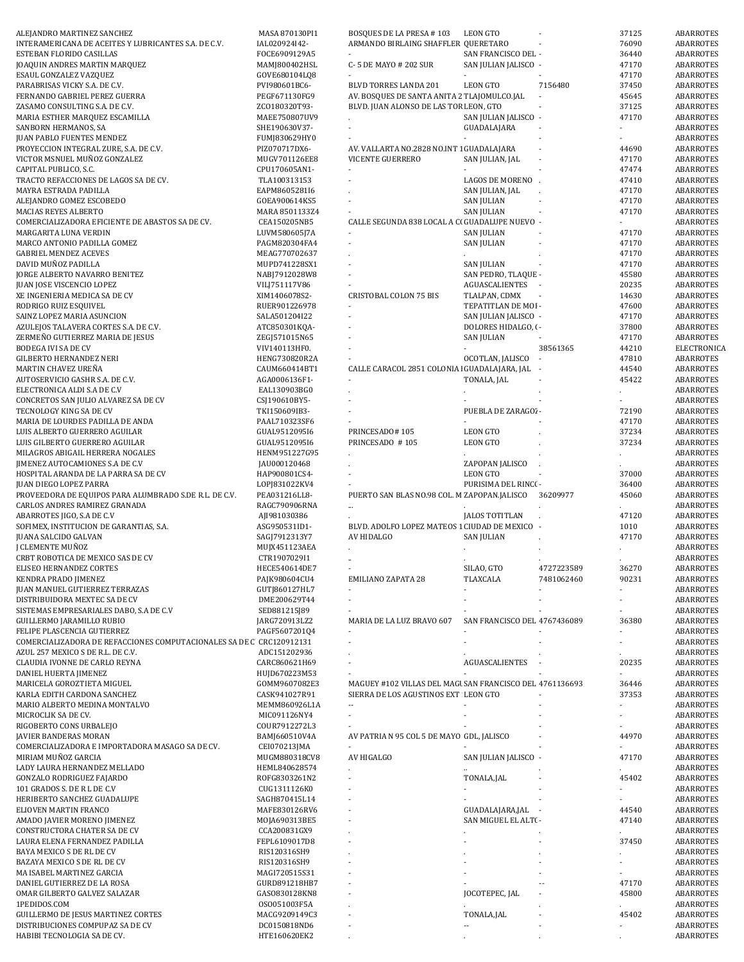| ALEJANDRO MARTINEZ SANCHEZ                                           | MASA 870130PI1               | <b>BOSQUES DE LA PRESA #103</b>                          | LEON GTO                     |            | 37125 | ABARROTES              |
|----------------------------------------------------------------------|------------------------------|----------------------------------------------------------|------------------------------|------------|-------|------------------------|
| INTERAMERICANA DE ACEITES Y LUBRICANTES S.A. DE C.V.                 | IAL020924I42-                | ARMANDO BIRLAING SHAFFLER QUERETARO                      |                              |            | 76090 | ABARROTES              |
| ESTEBAN FLORIDO CASILLAS                                             | FOCE6909129A5                |                                                          | SAN FRANCISCO DEL -          |            | 36440 | ABARROTES              |
| JOAQUIN ANDRES MARTIN MARQUEZ                                        | MAMJ800402HSL                | C-5 DE MAYO # 202 SUR                                    | SAN JULIAN JALISCO -         |            | 47170 | ABARROTES              |
| ESAUL GONZALEZ VAZQUEZ                                               | GOVE680104LQ8                |                                                          |                              |            | 47170 | ABARROTES              |
| PARABRISAS VICKY S.A. DE C.V.                                        | PVI980601BC6-                | BLVD TORRES LANDA 201                                    | <b>LEON GTO</b>              | 7156480    | 37450 | ABARROTES              |
| FERNANDO GABRIEL PEREZ GUERRA                                        | PEGF671130FG9                | AV. BOSQUES DE SANTA ANITA 2 TLAJOMULCO.JAL              |                              |            | 45645 | ABARROTES              |
| ZASAMO CONSULTING S.A. DE C.V.                                       | ZC0180320T93-                | BLVD. JUAN ALONSO DE LAS TOR LEON, GTO                   |                              |            | 37125 | ABARROTES              |
| MARIA ESTHER MARQUEZ ESCAMILLA                                       | MAEE750807UV9                |                                                          | SAN JULIAN JALISCO -         |            | 47170 | ABARROTES              |
| SANBORN HERMANOS, SA                                                 | SHE190630V37-                | $\overline{\phantom{a}}$                                 | GUADALAJARA                  |            |       | ABARROTES              |
|                                                                      |                              |                                                          |                              |            |       |                        |
| <b>JUAN PABLO FUENTES MENDEZ</b>                                     | FUMJ830629HY0                |                                                          |                              |            |       | ABARROTES              |
| PROYECCION INTEGRAL ZURE, S.A. DE C.V.                               | PIZ070717DX6-                | AV. VALLARTA NO.2828 NO.INT 1 GUADALAJARA                |                              |            | 44690 | ABARROTES              |
| VICTOR MSNUEL MUÑOZ GONZALEZ                                         | MUGV701126EE8                | VICENTE GUERRERO                                         | SAN JULIAN, JAL              |            | 47170 | ABARROTES              |
| CAPITAL PUBLICO, S.C.                                                | CPU170605AN1-                |                                                          |                              |            | 47474 | ABARROTES              |
| TRACTO REFACCIONES DE LAGOS SA DE CV.                                | TLA100313153                 | $\sim$                                                   | <b>LAGOS DE MORENO</b>       |            | 47410 | ABARROTES              |
| MAYRA ESTRADA PADILLA                                                | EAPM8605281I6                |                                                          | SAN JULIAN, JAL              |            | 47170 | ABARROTES              |
| ALEJANDRO GOMEZ ESCOBEDO                                             | GOEA900614KS5                | $\overline{a}$                                           | <b>SAN JULIAN</b>            |            | 47170 | ABARROTES              |
| MACIAS REYES ALBERTO                                                 | MARA 8501133Z4               |                                                          | <b>SAN JULIAN</b>            |            | 47170 | ABARROTES              |
| COMERCIALIZADORA EFICIENTE DE ABASTOS SA DE CV.                      | CEA150205NB5                 | CALLE SEGUNDA 838 LOCAL A CI GUADALUPE NUEVO -           |                              |            |       | ABARROTES              |
| MARGARITA LUNA VERDIN                                                | LUVM580605J7A                |                                                          | <b>SAN JULIAN</b>            |            | 47170 | ABARROTES              |
| MARCO ANTONIO PADILLA GOMEZ                                          | PAGM820304FA4                | $\overline{\phantom{a}}$                                 | <b>SAN JULIAN</b>            |            | 47170 | ABARROTES              |
| <b>GABRIEL MENDEZ ACEVES</b>                                         | MEAG770702637                |                                                          |                              |            | 47170 | ABARROTES              |
| DAVID MUÑOZ PADILLA                                                  | MUPD741228SX1                |                                                          | <b>SAN JULIAN</b>            |            | 47170 | ABARROTES              |
|                                                                      |                              | $\overline{a}$                                           |                              |            |       |                        |
| JORGE ALBERTO NAVARRO BENITEZ                                        | NABJ7912028W8                |                                                          | SAN PEDRO, TLAQUE -          |            | 45580 | ABARROTES              |
| JUAN JOSE VISCENCIO LOPEZ                                            | VILJ751117V86                |                                                          | AGUASCALIENTES -             |            | 20235 | ABARROTES              |
| XE INGENIERIA MEDICA SA DE CV                                        | XIM1406078S2-                | <b>CRISTOBAL COLON 75 BIS</b>                            | TLALPAN, CDMX                |            | 14630 | ABARROTES              |
| RODRIGO RUIZ ESQUIVEL                                                | RUER901226978                |                                                          | TEPATITLAN DE MOI -          |            | 47600 | ABARROTES              |
| SAINZ LOPEZ MARIA ASUNCION                                           | SALA501204I22                | $\mathbf{r}$                                             | SAN JULIAN JALISCO -         |            | 47170 | ABARROTES              |
| AZULEJOS TALAVERA CORTES S.A. DE C.V.                                | ATC850301KQA-                |                                                          | DOLORES HIDALGO, ( -         |            | 37800 | ABARROTES              |
| ZERMEÑO GUTIERREZ MARIA DE JESUS                                     | ZEGI571015N65                |                                                          | <b>SAN JULIAN</b>            |            | 47170 | <b>ABARROTES</b>       |
| <b>BODEGA IVI SA DE CV</b>                                           | VIV140113HF0.                | $\overline{a}$                                           |                              | 38561365   | 44210 | ELECTRONICA            |
|                                                                      |                              |                                                          |                              |            |       |                        |
| <b>GILBERTO HERNANDEZ NERI</b>                                       | HENG730820R2A                |                                                          | OCOTLAN, JALISCO             | $\sim$     | 47810 | ABARROTES              |
| MARTIN CHAVEZ UREÑA                                                  | CAUM660414BT1                | CALLE CARACOL 2851 COLONIA   GUADALAJARA, JAL -          |                              |            | 44540 | ABARROTES              |
| AUTOSERVICIO GASHR S.A. DE C.V.                                      | AGA0006136F1-                |                                                          | TONALA, JAL                  |            | 45422 | ABARROTES              |
| ELECTRONICA ALDI S.A DE C.V                                          | EAL130903BG0                 |                                                          |                              |            |       | ABARROTES              |
| CONCRETOS SAN JULIO ALVAREZ SA DE CV                                 | CSJ190610BY5-                |                                                          |                              |            |       | ABARROTES              |
| TECNOLOGY KING SA DE CV                                              | TKI150609IB3-                |                                                          | PUEBLA DE ZARAGO' -          |            | 72190 | ABARROTES              |
| MARIA DE LOURDES PADILLA DE ANDA                                     | PAAL710323SF6                |                                                          |                              |            | 47170 | ABARROTES              |
|                                                                      |                              |                                                          |                              |            |       |                        |
| LUIS ALBERTO GUERRERO AGUILAR                                        | GUAL9512095I6                | PRINCESADO#105                                           | <b>LEON GTO</b>              |            | 37234 | ABARROTES              |
| LUIS GILBERTO GUERRERO AGUILAR                                       | GUAL9512095I6                | PRINCESADO #105                                          | <b>LEON GTO</b>              |            | 37234 | ABARROTES              |
| MILAGROS ABIGAIL HERRERA NOGALES                                     | HENM951227G95                |                                                          |                              |            |       | ABARROTES              |
| JIMENEZ AUTOCAMIONES S.A DE C.V                                      | JAU000120468                 |                                                          | ZAPOPAN JALISCO              |            |       | ABARROTES              |
| HOSPITAL ARANDA DE LA PARRA SA DE CV                                 | HAP900801CS4-                |                                                          | <b>LEON GTO</b>              |            | 37000 | ABARROTES              |
| <b>JUAN DIEGO LOPEZ PARRA</b>                                        | LOPJ831022KV4                |                                                          | PURISIMA DEL RINC( -         |            | 36400 | ABARROTES              |
| PROVEEDORA DE EQUIPOS PARA ALUMBRADO S.DE R.L. DE C.V.               | PEA031216LL8-                | PUERTO SAN BLAS NO.98 COL. M ZAPOPAN.JALISCO             |                              | 36209977   | 45060 | ABARROTES              |
| CARLOS ANDRES RAMIREZ GRANADA                                        | RAGC790906RNA                |                                                          |                              |            |       | ABARROTES              |
|                                                                      |                              |                                                          | <b>JALOS TOTITLAN</b>        |            |       |                        |
|                                                                      | AJI981030386                 |                                                          |                              |            | 47120 | ABARROTES              |
| ABARROTES JIGO, S.A DE C.V                                           |                              |                                                          |                              |            |       |                        |
| SOFIMEX, INSTITUCION DE GARANTIAS, S.A.                              | ASG950531ID1-                | BLVD. ADOLFO LOPEZ MATEOS 1 CIUDAD DE MEXICO -           |                              |            | 1010  | ABARROTES              |
| <b>JUANA SALCIDO GALVAN</b>                                          | SAGJ7912313Y7                | AV HIDALGO                                               | <b>SAN JULIAN</b>            |            | 47170 | ABARROTES              |
| J CLEMENTE MUÑOZ                                                     | MUJX451123AEA                |                                                          |                              |            |       | ABARROTES              |
| CRBT ROBOTICA DE MEXICO SAS DE CV                                    | CTR1907029I1                 | ÷.                                                       |                              |            |       | ABARROTES              |
|                                                                      |                              | $\mathbf{r}$                                             |                              |            |       |                        |
| ELISEO HERNANDEZ CORTES                                              | HECE540614DE7                |                                                          | SILAO, GTO                   | 4727223589 | 36270 | ABARROTES              |
| KENDRA PRADO JIMENEZ                                                 | PAJK980604CU4                | <b>EMILIANO ZAPATA 28</b>                                | TLAXCALA                     | 7481062460 | 90231 | ABARROTES              |
| JUAN MANUEL GUTIERREZ TERRAZAS                                       | GUTJ860127HL7                |                                                          |                              |            |       | ABARROTES              |
| DISTRIBUIDORA MEXTEC SA DE CV                                        | DME200629T44                 |                                                          |                              |            |       | ABARROTES              |
| SISTEMAS EMPRESARIALES DABO, S.A DE C.V                              | SED881215J89                 |                                                          |                              |            |       | ABARROTES              |
| <b>GUILLERMO JARAMILLO RUBIO</b>                                     | JARG720913LZ2                | MARIA DE LA LUZ BRAVO 607                                | SAN FRANCISCO DEL 4767436089 |            | 36380 | ABARROTES              |
| FELIPE PLASCENCIA GUTIERREZ                                          | PAGF5607201Q4                |                                                          |                              |            |       | ABARROTES              |
| COMERCIALIZADORA DE REFACCIONES COMPUTACIONALES SA DE C CRC120912131 |                              |                                                          |                              |            |       | ABARROTES              |
| AZUL 257 MEXICO S DE R.L. DE C.V.                                    | ADC151202936                 |                                                          |                              |            |       | ABARROTES              |
| CLAUDIA IVONNE DE CARLO REYNA                                        | CARC860621H69                |                                                          | AGUASCALIENTES               |            | 20235 | <b>ABARROTES</b>       |
|                                                                      |                              |                                                          |                              |            |       |                        |
| DANIEL HUERTA JIMENEZ                                                | HUJD670223M53                |                                                          |                              |            |       | ABARROTES              |
| MARICELA GOROZTIETA MIGUEL                                           | GOMM9607082E3                | MAGUEY #102 VILLAS DEL MAGI SAN FRANCISCO DEL 4761136693 |                              |            | 36446 | ABARROTES              |
| KARLA EDITH CARDONA SANCHEZ                                          | CASK941027R91                | SIERRA DE LOS AGUSTINOS EXT LEON GTO                     |                              |            | 37353 | ABARROTES              |
| MARIO ALBERTO MEDINA MONTALVO                                        | MEMM860926L1A                | $\overline{\phantom{a}}$                                 |                              |            |       | ABARROTES              |
| MICROCLIK SA DE CV.                                                  | MIC091126NY4                 | $\blacksquare$                                           |                              |            |       | ABARROTES              |
| RIGOBERTO CONS URBALEJO                                              | COUR7912272L3                |                                                          |                              |            |       | ABARROTES              |
| JAVIER BANDERAS MORAN                                                | BAMJ660510V4A                | AV PATRIA N 95 COL 5 DE MAYO GDL, JALISCO                |                              |            | 44970 | ABARROTES              |
| COMERCIALIZADORA E IMPORTADORA MASAGO SA DE CV.                      | CEI070213JMA                 |                                                          |                              |            |       | ABARROTES              |
|                                                                      |                              |                                                          |                              |            |       |                        |
| MIRIAM MUÑOZ GARCIA                                                  | MUGM880318CV8                | AV HIGALGO                                               | SAN JULIAN JALISCO -         |            | 47170 | ABARROTES              |
| LADY LAURA HERNANDEZ MELLADO                                         | HEML840628574                | $\blacksquare$                                           |                              |            |       | ABARROTES              |
| GONZALO RODRIGUEZ FAJARDO                                            | ROFG8303261N2                |                                                          | TONALA, JAL                  |            | 45402 | ABARROTES              |
| 101 GRADOS S. DE R L DE C.V                                          | CUG1311126K0                 |                                                          |                              |            |       | ABARROTES              |
| HERIBERTO SANCHEZ GUADALUPE                                          | SAGH870415L14                |                                                          |                              |            |       | ABARROTES              |
| ELIOVEN MARTIN FRANCO                                                | MAFE830126RV6                |                                                          | GUADALAJARA,JAL -            |            | 44540 | ABARROTES              |
| AMADO JAVIER MORENO JIMENEZ                                          | MOJA690313BE5                |                                                          | SAN MIGUEL EL ALT( -         |            | 47140 | ABARROTES              |
| CONSTRUCTORA CHATER SA DE CV                                         | CCA200831GX9                 |                                                          |                              |            |       | ABARROTES              |
|                                                                      |                              |                                                          |                              |            |       |                        |
| LAURA ELENA FERNANDEZ PADILLA                                        | FEPL6109017D8                |                                                          |                              |            | 37450 | ABARROTES              |
| BAYA MEXICO S DE RL DE CV                                            | RIS120316SH9                 |                                                          |                              |            |       | ABARROTES              |
| BAZAYA MEXICO S DE RL DE CV                                          | RIS120316SH9                 |                                                          |                              |            |       | ABARROTES              |
| MA ISABEL MARTINEZ GARCIA                                            | MAGI720515S31                |                                                          |                              |            |       | ABARROTES              |
| DANIEL GUTIERREZ DE LA ROSA                                          | GURD891218HB7                |                                                          |                              |            | 47170 | ABARROTES              |
| OMAR GILBERTO GALVEZ SALAZAR                                         | GAS0830128KN8                |                                                          | JOCOTEPEC, JAL               |            | 45800 | ABARROTES              |
| 1PEDIDOS.COM                                                         | OSO051003F5A                 |                                                          |                              |            |       | ABARROTES              |
|                                                                      |                              |                                                          |                              |            |       |                        |
| <b>GUILLERMO DE JESUS MARTINEZ CORTES</b>                            | MACG9209149C3                |                                                          | TONALA,JAL<br>Ξ.             |            | 45402 | ABARROTES              |
| DISTRIBUCIONES COMPUPAZ SA DE CV<br>HABIBI TECNOLOGIA SA DE CV.      | DC0150818ND6<br>HTE160620EK2 |                                                          |                              |            |       | ABARROTES<br>ABARROTES |